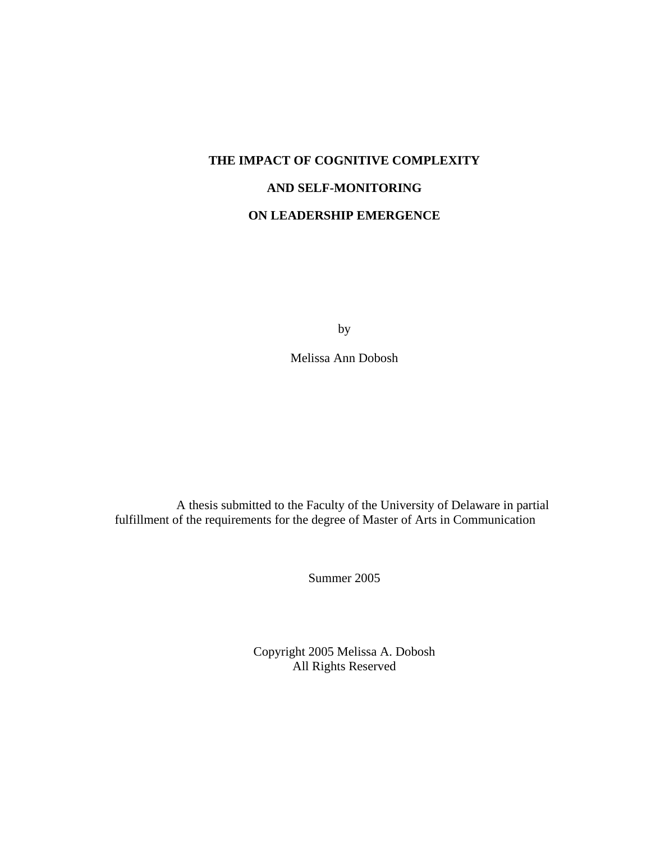# **THE IMPACT OF COGNITIVE COMPLEXITY AND SELF-MONITORING ON LEADERSHIP EMERGENCE**

by

Melissa Ann Dobosh

A thesis submitted to the Faculty of the University of Delaware in partial fulfillment of the requirements for the degree of Master of Arts in Communication

Summer 2005

Copyright 2005 Melissa A. Dobosh All Rights Reserved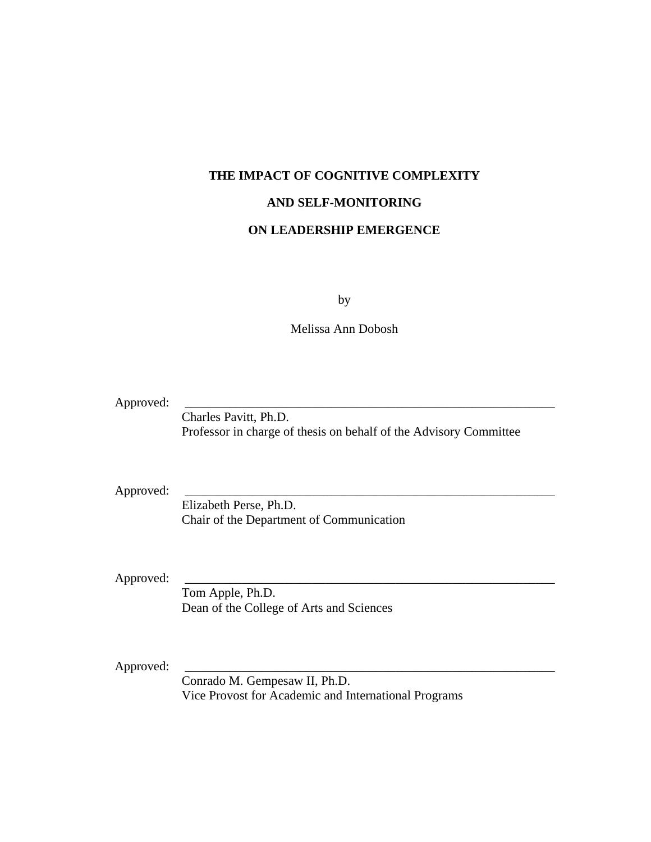# **THE IMPACT OF COGNITIVE COMPLEXITY**

#### **AND SELF-MONITORING**

# **ON LEADERSHIP EMERGENCE**

by

Melissa Ann Dobosh

Approved:

Charles Pavitt, Ph.D. Professor in charge of thesis on behalf of the Advisory Committee

Approved:

Elizabeth Perse, Ph.D. Chair of the Department of Communication

Approved:

Tom Apple, Ph.D. Dean of the College of Arts and Sciences

Approved:

Conrado M. Gempesaw II, Ph.D. Vice Provost for Academic and International Programs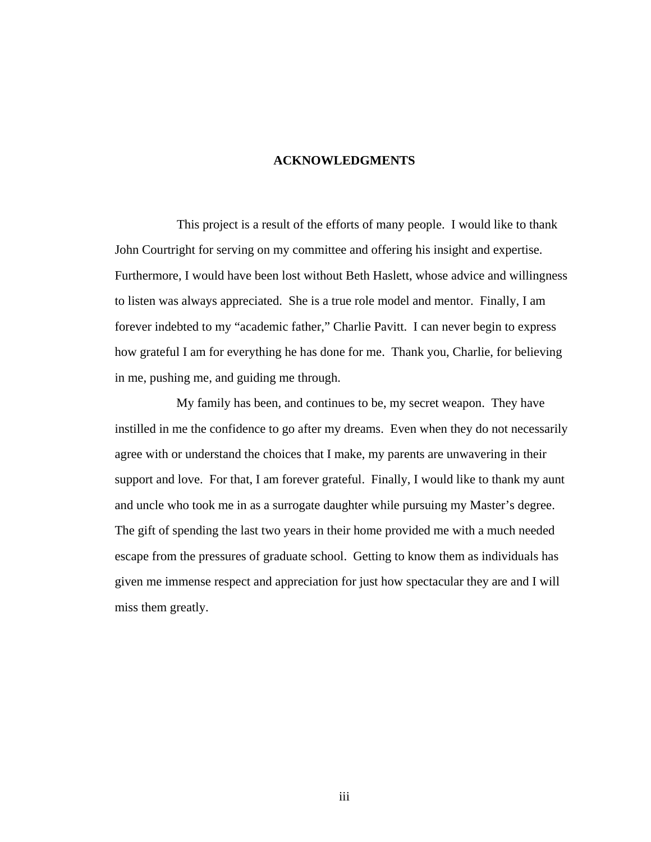#### **ACKNOWLEDGMENTS**

This project is a result of the efforts of many people. I would like to thank John Courtright for serving on my committee and offering his insight and expertise. Furthermore, I would have been lost without Beth Haslett, whose advice and willingness to listen was always appreciated. She is a true role model and mentor. Finally, I am forever indebted to my "academic father," Charlie Pavitt. I can never begin to express how grateful I am for everything he has done for me. Thank you, Charlie, for believing in me, pushing me, and guiding me through.

My family has been, and continues to be, my secret weapon. They have instilled in me the confidence to go after my dreams. Even when they do not necessarily agree with or understand the choices that I make, my parents are unwavering in their support and love. For that, I am forever grateful. Finally, I would like to thank my aunt and uncle who took me in as a surrogate daughter while pursuing my Master's degree. The gift of spending the last two years in their home provided me with a much needed escape from the pressures of graduate school. Getting to know them as individuals has given me immense respect and appreciation for just how spectacular they are and I will miss them greatly.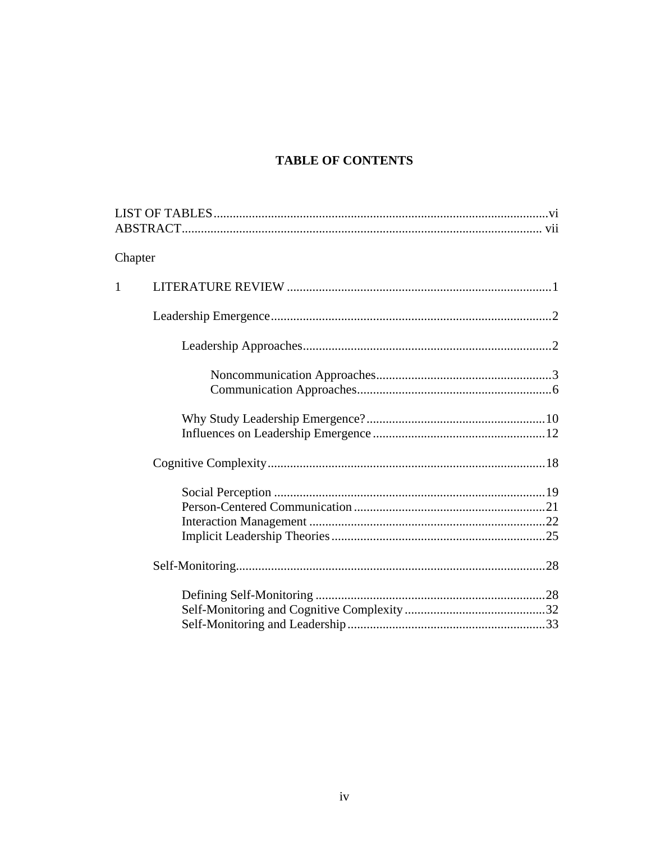# **TABLE OF CONTENTS**

| Chapter      |  |  |  |  |
|--------------|--|--|--|--|
| $\mathbf{1}$ |  |  |  |  |
|              |  |  |  |  |
|              |  |  |  |  |
|              |  |  |  |  |
|              |  |  |  |  |
|              |  |  |  |  |
|              |  |  |  |  |
|              |  |  |  |  |
|              |  |  |  |  |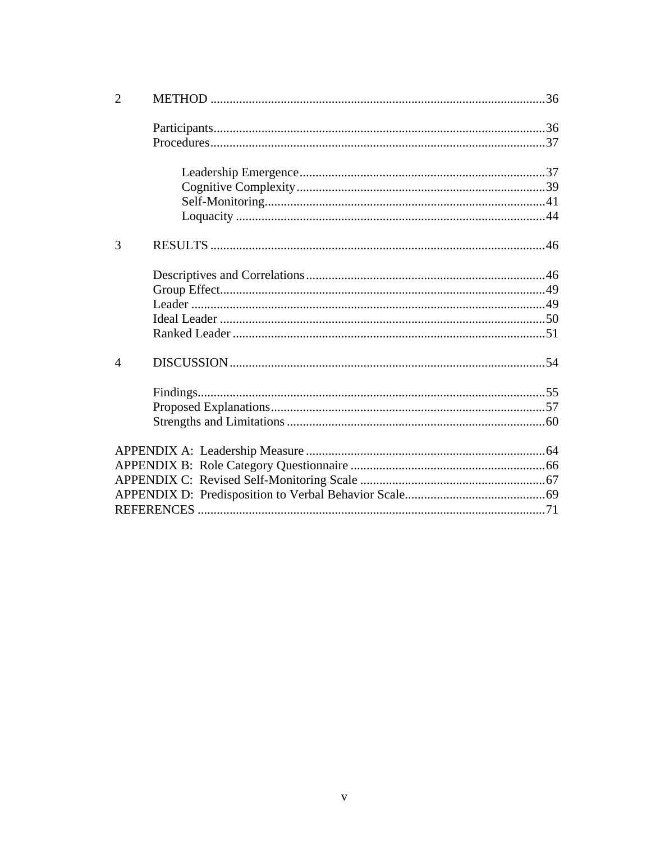| $\overline{2}$ |  |
|----------------|--|
|                |  |
|                |  |
|                |  |
|                |  |
|                |  |
|                |  |
| 3              |  |
|                |  |
|                |  |
|                |  |
|                |  |
|                |  |
| 4              |  |
|                |  |
|                |  |
|                |  |
|                |  |
|                |  |
|                |  |
|                |  |
|                |  |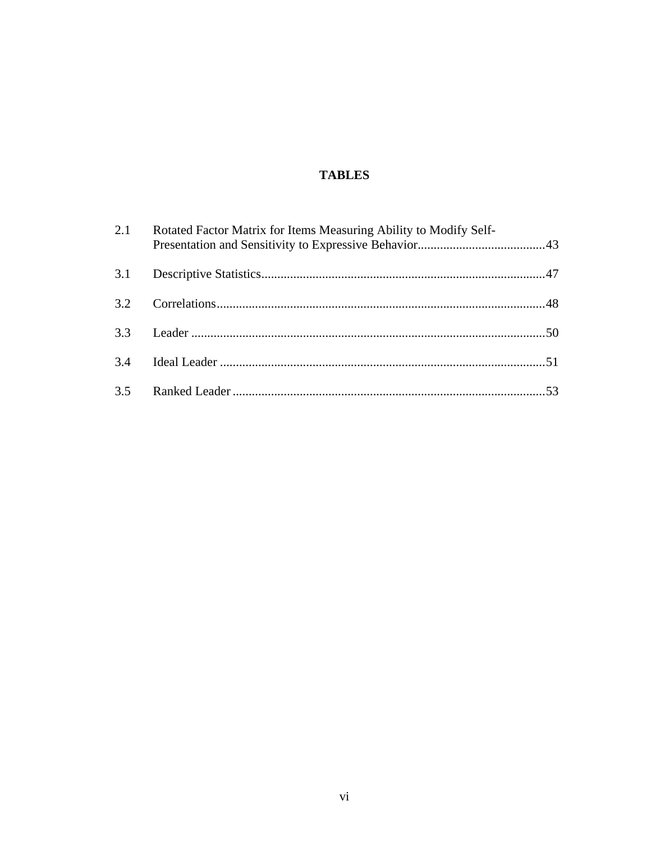# **TABLES**

| 2.1 | Rotated Factor Matrix for Items Measuring Ability to Modify Self- |  |
|-----|-------------------------------------------------------------------|--|
| 3.1 |                                                                   |  |
| 3.2 |                                                                   |  |
| 3.3 |                                                                   |  |
| 3.4 |                                                                   |  |
|     |                                                                   |  |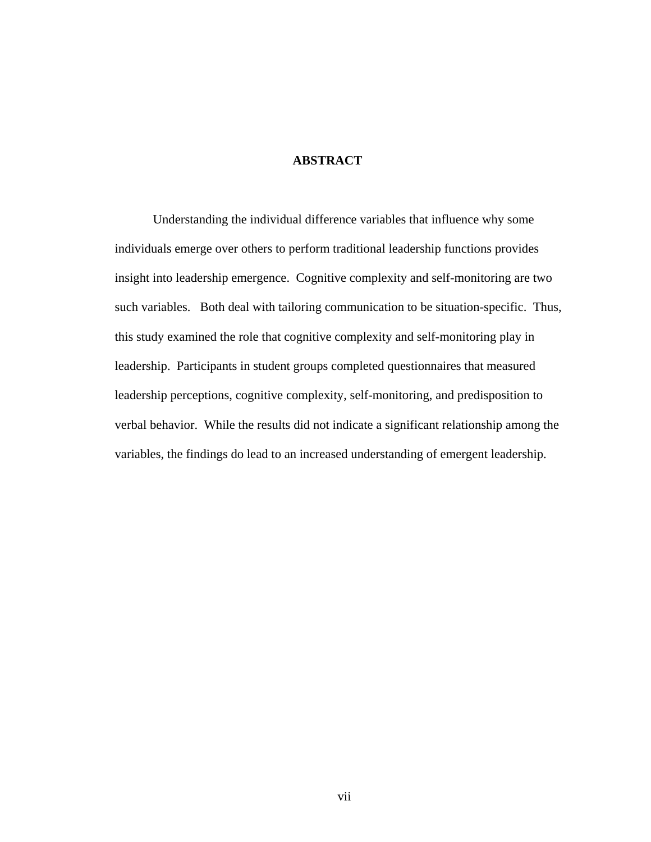# **ABSTRACT**

Understanding the individual difference variables that influence why some individuals emerge over others to perform traditional leadership functions provides insight into leadership emergence. Cognitive complexity and self-monitoring are two such variables. Both deal with tailoring communication to be situation-specific. Thus, this study examined the role that cognitive complexity and self-monitoring play in leadership. Participants in student groups completed questionnaires that measured leadership perceptions, cognitive complexity, self-monitoring, and predisposition to verbal behavior. While the results did not indicate a significant relationship among the variables, the findings do lead to an increased understanding of emergent leadership.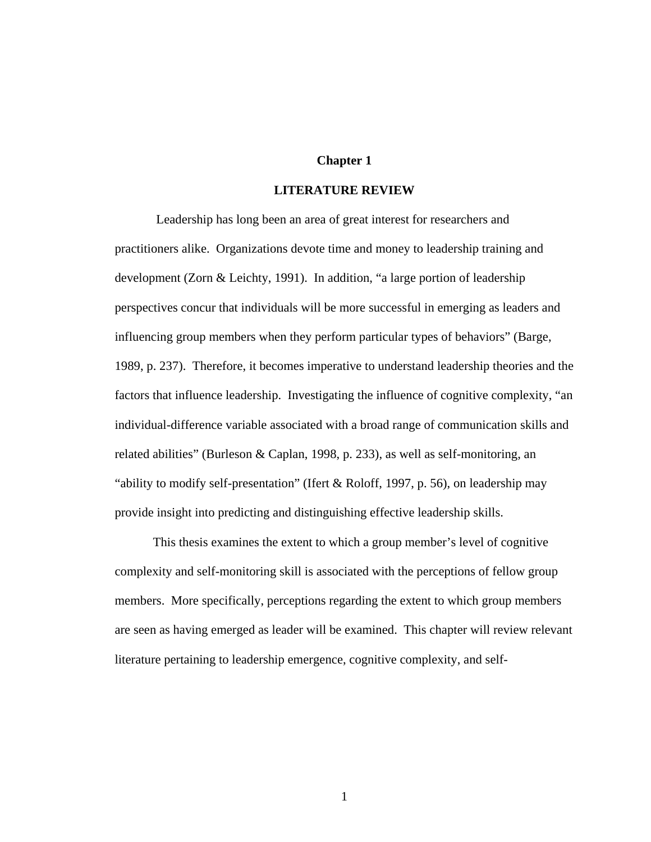### **Chapter 1**

# **LITERATURE REVIEW**

 Leadership has long been an area of great interest for researchers and practitioners alike. Organizations devote time and money to leadership training and development (Zorn & Leichty, 1991). In addition, "a large portion of leadership perspectives concur that individuals will be more successful in emerging as leaders and influencing group members when they perform particular types of behaviors" (Barge, 1989, p. 237). Therefore, it becomes imperative to understand leadership theories and the factors that influence leadership. Investigating the influence of cognitive complexity, "an individual-difference variable associated with a broad range of communication skills and related abilities" (Burleson & Caplan, 1998, p. 233), as well as self-monitoring, an "ability to modify self-presentation" (Ifert & Roloff, 1997, p. 56), on leadership may provide insight into predicting and distinguishing effective leadership skills.

This thesis examines the extent to which a group member's level of cognitive complexity and self-monitoring skill is associated with the perceptions of fellow group members. More specifically, perceptions regarding the extent to which group members are seen as having emerged as leader will be examined. This chapter will review relevant literature pertaining to leadership emergence, cognitive complexity, and self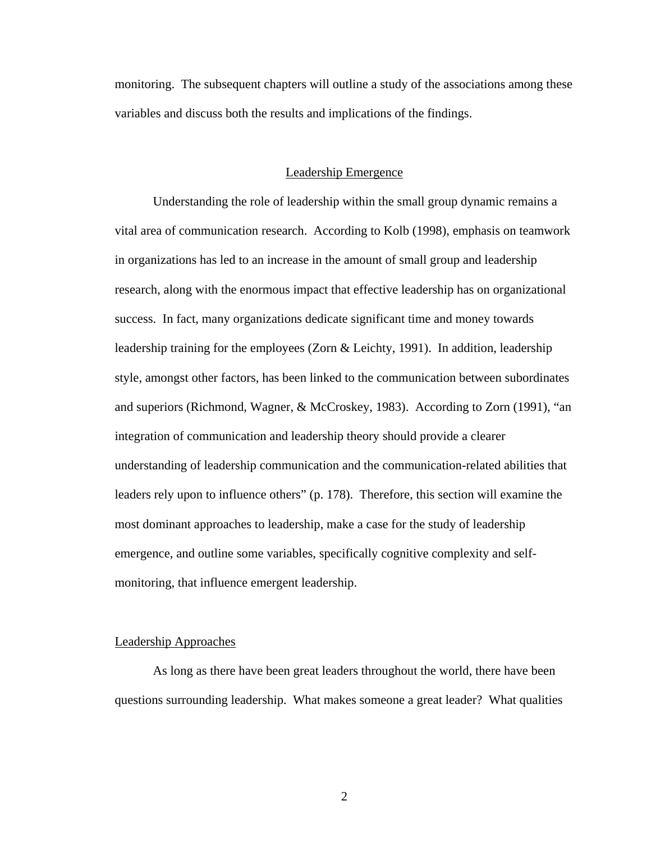monitoring. The subsequent chapters will outline a study of the associations among these variables and discuss both the results and implications of the findings.

#### Leadership Emergence

Understanding the role of leadership within the small group dynamic remains a vital area of communication research. According to Kolb (1998), emphasis on teamwork in organizations has led to an increase in the amount of small group and leadership research, along with the enormous impact that effective leadership has on organizational success. In fact, many organizations dedicate significant time and money towards leadership training for the employees (Zorn & Leichty, 1991). In addition, leadership style, amongst other factors, has been linked to the communication between subordinates and superiors (Richmond, Wagner, & McCroskey, 1983). According to Zorn (1991), "an integration of communication and leadership theory should provide a clearer understanding of leadership communication and the communication-related abilities that leaders rely upon to influence others" (p. 178). Therefore, this section will examine the most dominant approaches to leadership, make a case for the study of leadership emergence, and outline some variables, specifically cognitive complexity and selfmonitoring, that influence emergent leadership.

#### Leadership Approaches

As long as there have been great leaders throughout the world, there have been questions surrounding leadership. What makes someone a great leader? What qualities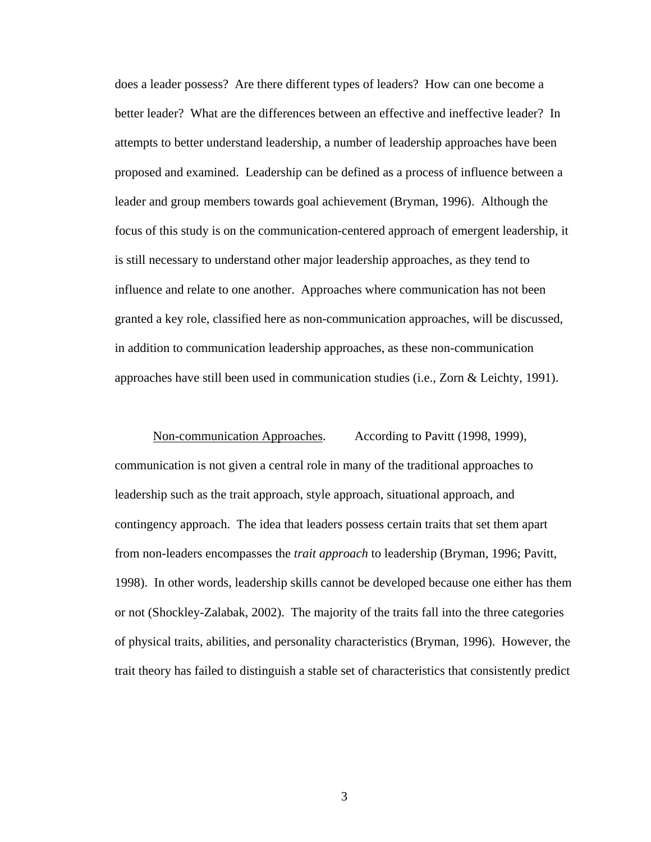does a leader possess? Are there different types of leaders? How can one become a better leader? What are the differences between an effective and ineffective leader? In attempts to better understand leadership, a number of leadership approaches have been proposed and examined. Leadership can be defined as a process of influence between a leader and group members towards goal achievement (Bryman, 1996). Although the focus of this study is on the communication-centered approach of emergent leadership, it is still necessary to understand other major leadership approaches, as they tend to influence and relate to one another. Approaches where communication has not been granted a key role, classified here as non-communication approaches, will be discussed, in addition to communication leadership approaches, as these non-communication approaches have still been used in communication studies (i.e., Zorn & Leichty, 1991).

Non-communication Approaches. According to Pavitt (1998, 1999), communication is not given a central role in many of the traditional approaches to leadership such as the trait approach, style approach, situational approach, and contingency approach. The idea that leaders possess certain traits that set them apart from non-leaders encompasses the *trait approach* to leadership (Bryman, 1996; Pavitt, 1998). In other words, leadership skills cannot be developed because one either has them or not (Shockley-Zalabak, 2002). The majority of the traits fall into the three categories of physical traits, abilities, and personality characteristics (Bryman, 1996). However, the trait theory has failed to distinguish a stable set of characteristics that consistently predict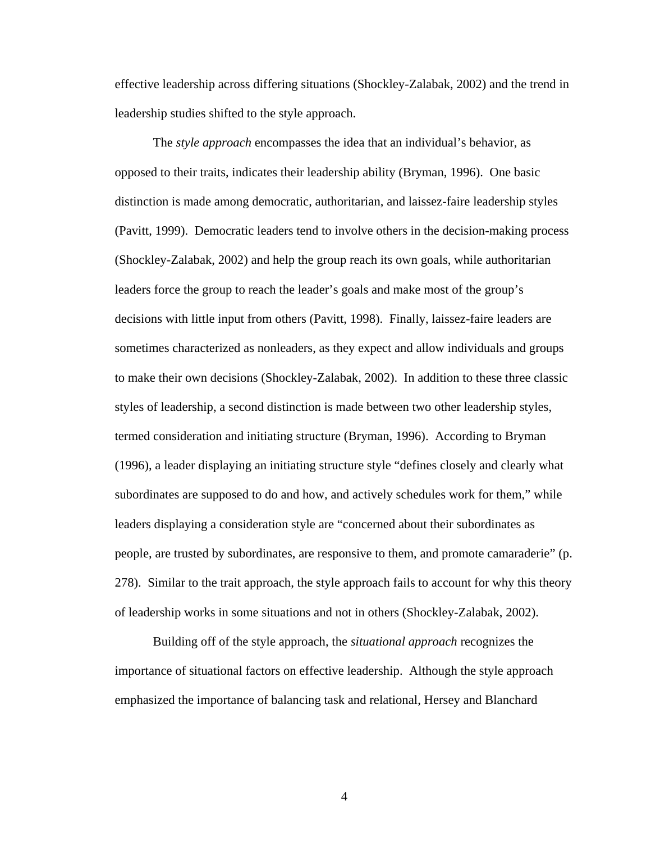effective leadership across differing situations (Shockley-Zalabak, 2002) and the trend in leadership studies shifted to the style approach.

 The *style approach* encompasses the idea that an individual's behavior, as opposed to their traits, indicates their leadership ability (Bryman, 1996). One basic distinction is made among democratic, authoritarian, and laissez-faire leadership styles (Pavitt, 1999). Democratic leaders tend to involve others in the decision-making process (Shockley-Zalabak, 2002) and help the group reach its own goals, while authoritarian leaders force the group to reach the leader's goals and make most of the group's decisions with little input from others (Pavitt, 1998). Finally, laissez-faire leaders are sometimes characterized as nonleaders, as they expect and allow individuals and groups to make their own decisions (Shockley-Zalabak, 2002). In addition to these three classic styles of leadership, a second distinction is made between two other leadership styles, termed consideration and initiating structure (Bryman, 1996). According to Bryman (1996), a leader displaying an initiating structure style "defines closely and clearly what subordinates are supposed to do and how, and actively schedules work for them," while leaders displaying a consideration style are "concerned about their subordinates as people, are trusted by subordinates, are responsive to them, and promote camaraderie" (p. 278). Similar to the trait approach, the style approach fails to account for why this theory of leadership works in some situations and not in others (Shockley-Zalabak, 2002).

Building off of the style approach, the *situational approach* recognizes the importance of situational factors on effective leadership. Although the style approach emphasized the importance of balancing task and relational, Hersey and Blanchard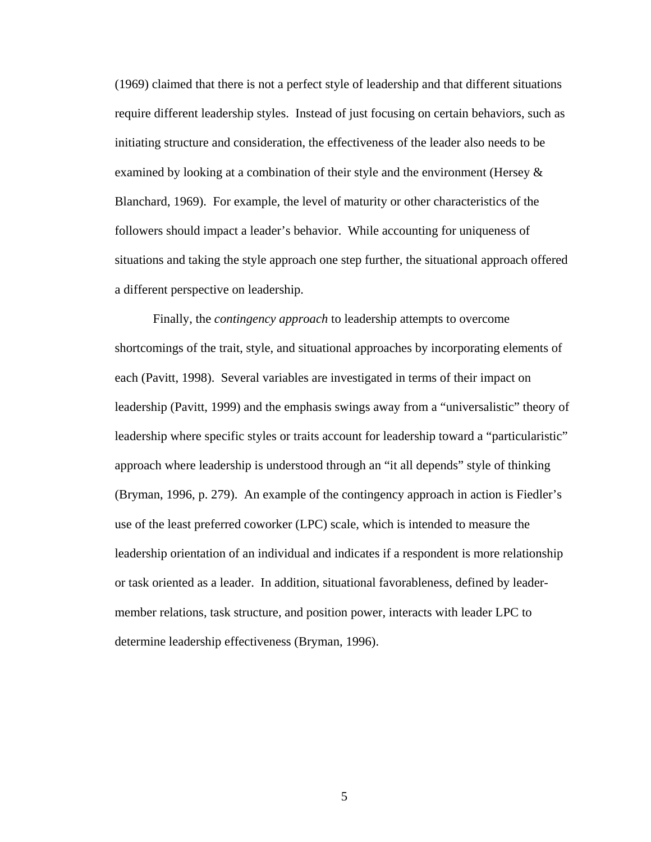(1969) claimed that there is not a perfect style of leadership and that different situations require different leadership styles. Instead of just focusing on certain behaviors, such as initiating structure and consideration, the effectiveness of the leader also needs to be examined by looking at a combination of their style and the environment (Hersey & Blanchard, 1969). For example, the level of maturity or other characteristics of the followers should impact a leader's behavior. While accounting for uniqueness of situations and taking the style approach one step further, the situational approach offered a different perspective on leadership.

 Finally, the *contingency approach* to leadership attempts to overcome shortcomings of the trait, style, and situational approaches by incorporating elements of each (Pavitt, 1998). Several variables are investigated in terms of their impact on leadership (Pavitt, 1999) and the emphasis swings away from a "universalistic" theory of leadership where specific styles or traits account for leadership toward a "particularistic" approach where leadership is understood through an "it all depends" style of thinking (Bryman, 1996, p. 279). An example of the contingency approach in action is Fiedler's use of the least preferred coworker (LPC) scale, which is intended to measure the leadership orientation of an individual and indicates if a respondent is more relationship or task oriented as a leader. In addition, situational favorableness, defined by leadermember relations, task structure, and position power, interacts with leader LPC to determine leadership effectiveness (Bryman, 1996).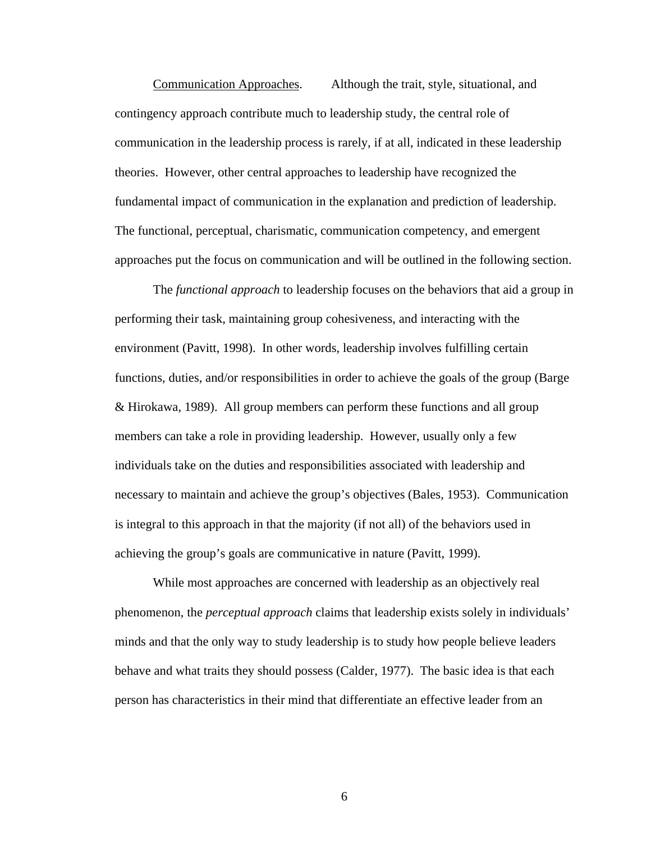Communication Approaches. Although the trait, style, situational, and contingency approach contribute much to leadership study, the central role of communication in the leadership process is rarely, if at all, indicated in these leadership theories. However, other central approaches to leadership have recognized the fundamental impact of communication in the explanation and prediction of leadership. The functional, perceptual, charismatic, communication competency, and emergent approaches put the focus on communication and will be outlined in the following section.

 The *functional approach* to leadership focuses on the behaviors that aid a group in performing their task, maintaining group cohesiveness, and interacting with the environment (Pavitt, 1998). In other words, leadership involves fulfilling certain functions, duties, and/or responsibilities in order to achieve the goals of the group (Barge & Hirokawa, 1989). All group members can perform these functions and all group members can take a role in providing leadership. However, usually only a few individuals take on the duties and responsibilities associated with leadership and necessary to maintain and achieve the group's objectives (Bales, 1953). Communication is integral to this approach in that the majority (if not all) of the behaviors used in achieving the group's goals are communicative in nature (Pavitt, 1999).

While most approaches are concerned with leadership as an objectively real phenomenon, the *perceptual approach* claims that leadership exists solely in individuals' minds and that the only way to study leadership is to study how people believe leaders behave and what traits they should possess (Calder, 1977). The basic idea is that each person has characteristics in their mind that differentiate an effective leader from an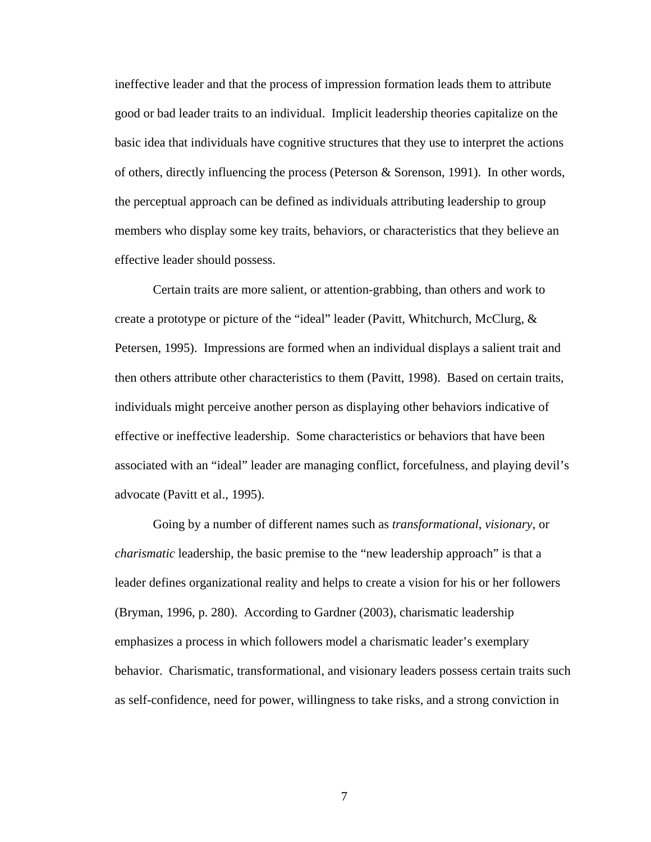ineffective leader and that the process of impression formation leads them to attribute good or bad leader traits to an individual. Implicit leadership theories capitalize on the basic idea that individuals have cognitive structures that they use to interpret the actions of others, directly influencing the process (Peterson & Sorenson, 1991). In other words, the perceptual approach can be defined as individuals attributing leadership to group members who display some key traits, behaviors, or characteristics that they believe an effective leader should possess.

Certain traits are more salient, or attention-grabbing, than others and work to create a prototype or picture of the "ideal" leader (Pavitt, Whitchurch, McClurg, & Petersen, 1995). Impressions are formed when an individual displays a salient trait and then others attribute other characteristics to them (Pavitt, 1998). Based on certain traits, individuals might perceive another person as displaying other behaviors indicative of effective or ineffective leadership. Some characteristics or behaviors that have been associated with an "ideal" leader are managing conflict, forcefulness, and playing devil's advocate (Pavitt et al., 1995).

Going by a number of different names such as *transformational*, *visionary*, or *charismatic* leadership, the basic premise to the "new leadership approach" is that a leader defines organizational reality and helps to create a vision for his or her followers (Bryman, 1996, p. 280). According to Gardner (2003), charismatic leadership emphasizes a process in which followers model a charismatic leader's exemplary behavior. Charismatic, transformational, and visionary leaders possess certain traits such as self-confidence, need for power, willingness to take risks, and a strong conviction in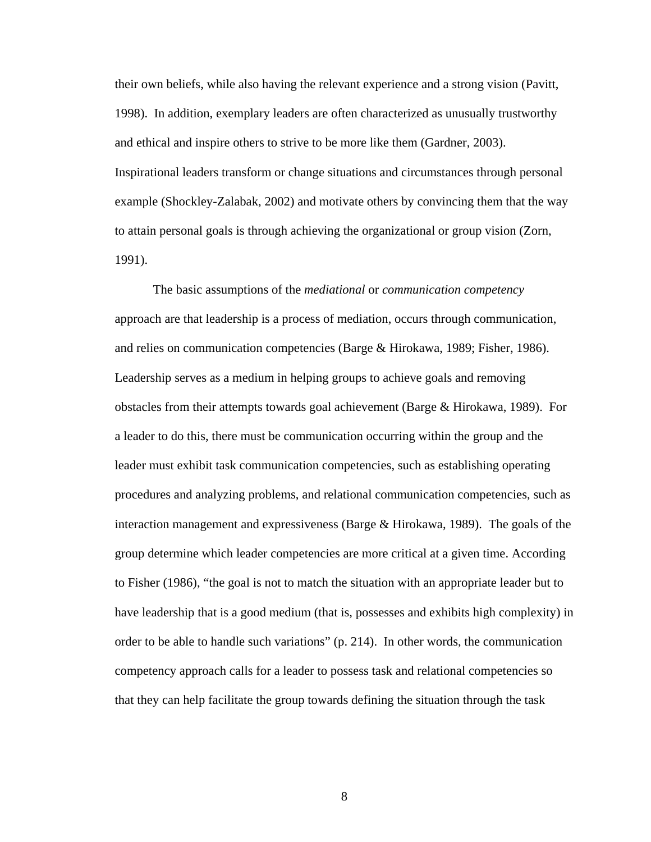their own beliefs, while also having the relevant experience and a strong vision (Pavitt, 1998). In addition, exemplary leaders are often characterized as unusually trustworthy and ethical and inspire others to strive to be more like them (Gardner, 2003). Inspirational leaders transform or change situations and circumstances through personal example (Shockley-Zalabak, 2002) and motivate others by convincing them that the way to attain personal goals is through achieving the organizational or group vision (Zorn, 1991).

The basic assumptions of the *mediational* or *communication competency* approach are that leadership is a process of mediation, occurs through communication, and relies on communication competencies (Barge & Hirokawa, 1989; Fisher, 1986). Leadership serves as a medium in helping groups to achieve goals and removing obstacles from their attempts towards goal achievement (Barge & Hirokawa, 1989). For a leader to do this, there must be communication occurring within the group and the leader must exhibit task communication competencies, such as establishing operating procedures and analyzing problems, and relational communication competencies, such as interaction management and expressiveness (Barge  $&$  Hirokawa, 1989). The goals of the group determine which leader competencies are more critical at a given time. According to Fisher (1986), "the goal is not to match the situation with an appropriate leader but to have leadership that is a good medium (that is, possesses and exhibits high complexity) in order to be able to handle such variations" (p. 214). In other words, the communication competency approach calls for a leader to possess task and relational competencies so that they can help facilitate the group towards defining the situation through the task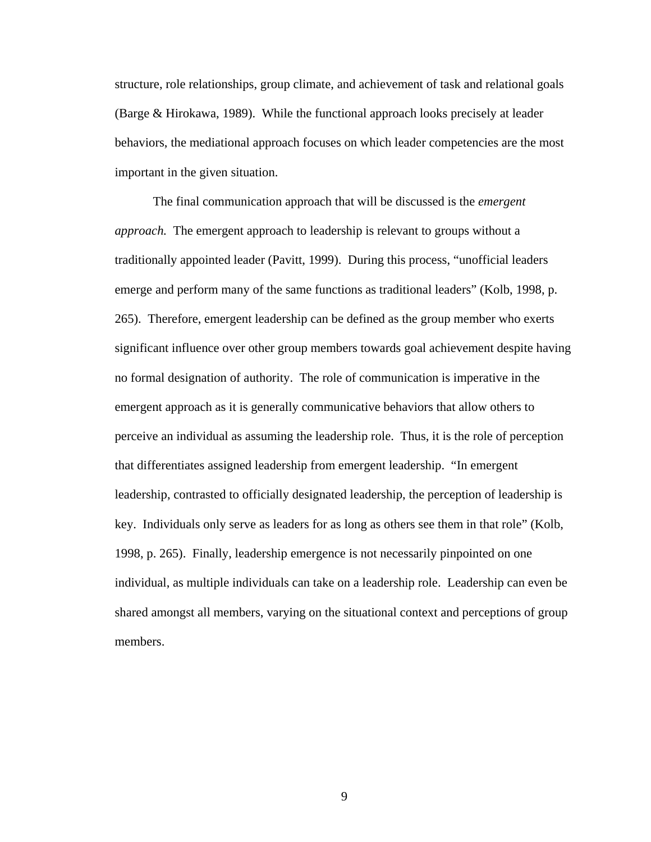structure, role relationships, group climate, and achievement of task and relational goals (Barge & Hirokawa, 1989). While the functional approach looks precisely at leader behaviors, the mediational approach focuses on which leader competencies are the most important in the given situation.

The final communication approach that will be discussed is the *emergent approach.* The emergent approach to leadership is relevant to groups without a traditionally appointed leader (Pavitt, 1999). During this process, "unofficial leaders emerge and perform many of the same functions as traditional leaders" (Kolb, 1998, p. 265). Therefore, emergent leadership can be defined as the group member who exerts significant influence over other group members towards goal achievement despite having no formal designation of authority. The role of communication is imperative in the emergent approach as it is generally communicative behaviors that allow others to perceive an individual as assuming the leadership role. Thus, it is the role of perception that differentiates assigned leadership from emergent leadership. "In emergent leadership, contrasted to officially designated leadership, the perception of leadership is key. Individuals only serve as leaders for as long as others see them in that role" (Kolb, 1998, p. 265). Finally, leadership emergence is not necessarily pinpointed on one individual, as multiple individuals can take on a leadership role. Leadership can even be shared amongst all members, varying on the situational context and perceptions of group members.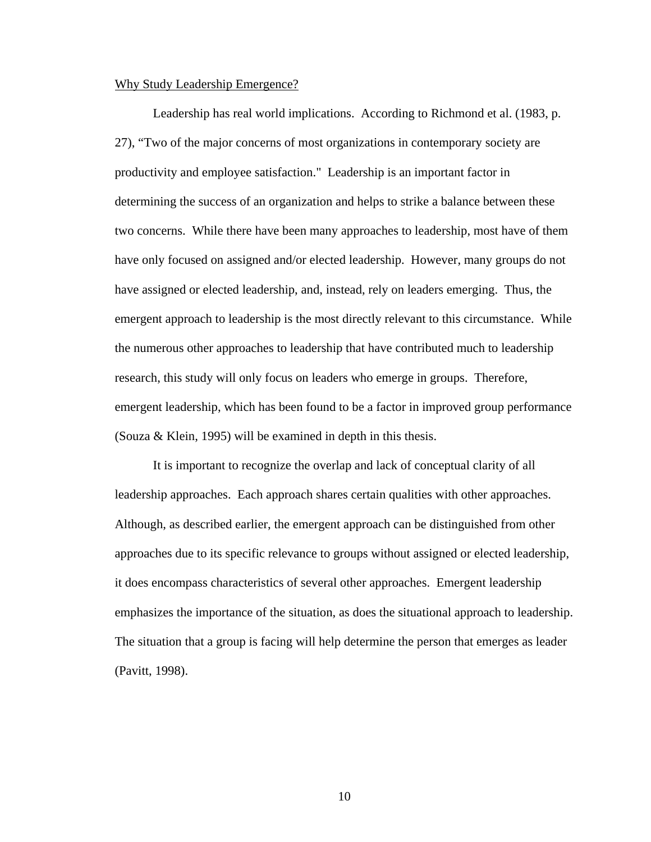# Why Study Leadership Emergence?

Leadership has real world implications. According to Richmond et al. (1983, p. 27), "Two of the major concerns of most organizations in contemporary society are productivity and employee satisfaction." Leadership is an important factor in determining the success of an organization and helps to strike a balance between these two concerns. While there have been many approaches to leadership, most have of them have only focused on assigned and/or elected leadership. However, many groups do not have assigned or elected leadership, and, instead, rely on leaders emerging. Thus, the emergent approach to leadership is the most directly relevant to this circumstance. While the numerous other approaches to leadership that have contributed much to leadership research, this study will only focus on leaders who emerge in groups. Therefore, emergent leadership, which has been found to be a factor in improved group performance (Souza & Klein, 1995) will be examined in depth in this thesis.

It is important to recognize the overlap and lack of conceptual clarity of all leadership approaches. Each approach shares certain qualities with other approaches. Although, as described earlier, the emergent approach can be distinguished from other approaches due to its specific relevance to groups without assigned or elected leadership, it does encompass characteristics of several other approaches. Emergent leadership emphasizes the importance of the situation, as does the situational approach to leadership. The situation that a group is facing will help determine the person that emerges as leader (Pavitt, 1998).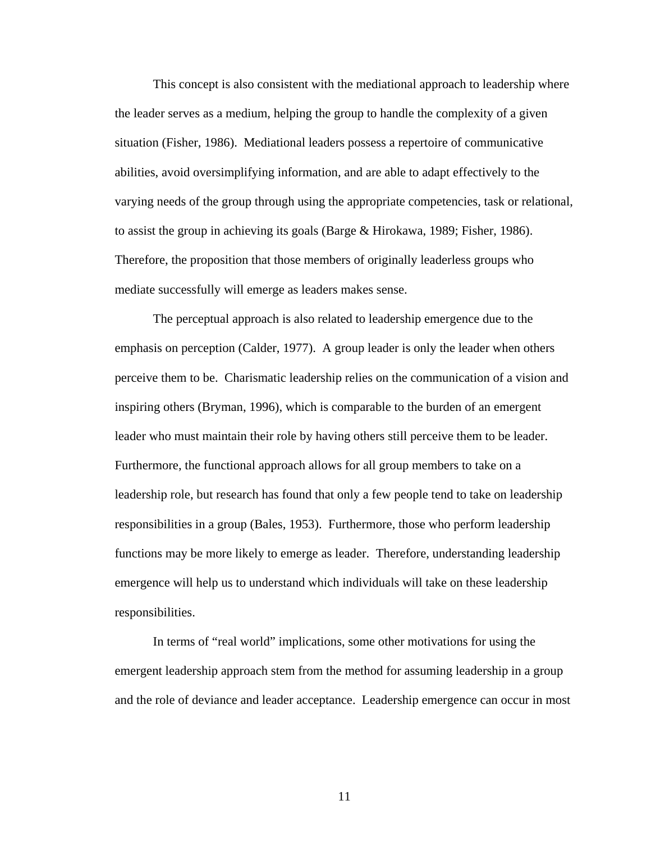This concept is also consistent with the mediational approach to leadership where the leader serves as a medium, helping the group to handle the complexity of a given situation (Fisher, 1986). Mediational leaders possess a repertoire of communicative abilities, avoid oversimplifying information, and are able to adapt effectively to the varying needs of the group through using the appropriate competencies, task or relational, to assist the group in achieving its goals (Barge & Hirokawa, 1989; Fisher, 1986). Therefore, the proposition that those members of originally leaderless groups who mediate successfully will emerge as leaders makes sense.

The perceptual approach is also related to leadership emergence due to the emphasis on perception (Calder, 1977). A group leader is only the leader when others perceive them to be. Charismatic leadership relies on the communication of a vision and inspiring others (Bryman, 1996), which is comparable to the burden of an emergent leader who must maintain their role by having others still perceive them to be leader. Furthermore, the functional approach allows for all group members to take on a leadership role, but research has found that only a few people tend to take on leadership responsibilities in a group (Bales, 1953). Furthermore, those who perform leadership functions may be more likely to emerge as leader. Therefore, understanding leadership emergence will help us to understand which individuals will take on these leadership responsibilities.

In terms of "real world" implications, some other motivations for using the emergent leadership approach stem from the method for assuming leadership in a group and the role of deviance and leader acceptance. Leadership emergence can occur in most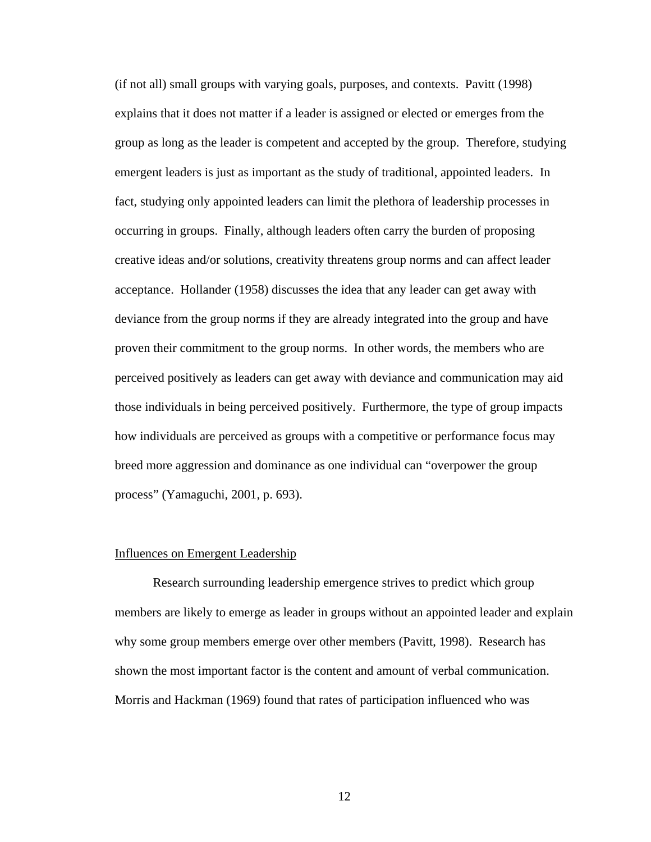(if not all) small groups with varying goals, purposes, and contexts. Pavitt (1998) explains that it does not matter if a leader is assigned or elected or emerges from the group as long as the leader is competent and accepted by the group. Therefore, studying emergent leaders is just as important as the study of traditional, appointed leaders. In fact, studying only appointed leaders can limit the plethora of leadership processes in occurring in groups. Finally, although leaders often carry the burden of proposing creative ideas and/or solutions, creativity threatens group norms and can affect leader acceptance. Hollander (1958) discusses the idea that any leader can get away with deviance from the group norms if they are already integrated into the group and have proven their commitment to the group norms. In other words, the members who are perceived positively as leaders can get away with deviance and communication may aid those individuals in being perceived positively. Furthermore, the type of group impacts how individuals are perceived as groups with a competitive or performance focus may breed more aggression and dominance as one individual can "overpower the group process" (Yamaguchi, 2001, p. 693).

#### Influences on Emergent Leadership

Research surrounding leadership emergence strives to predict which group members are likely to emerge as leader in groups without an appointed leader and explain why some group members emerge over other members (Pavitt, 1998). Research has shown the most important factor is the content and amount of verbal communication. Morris and Hackman (1969) found that rates of participation influenced who was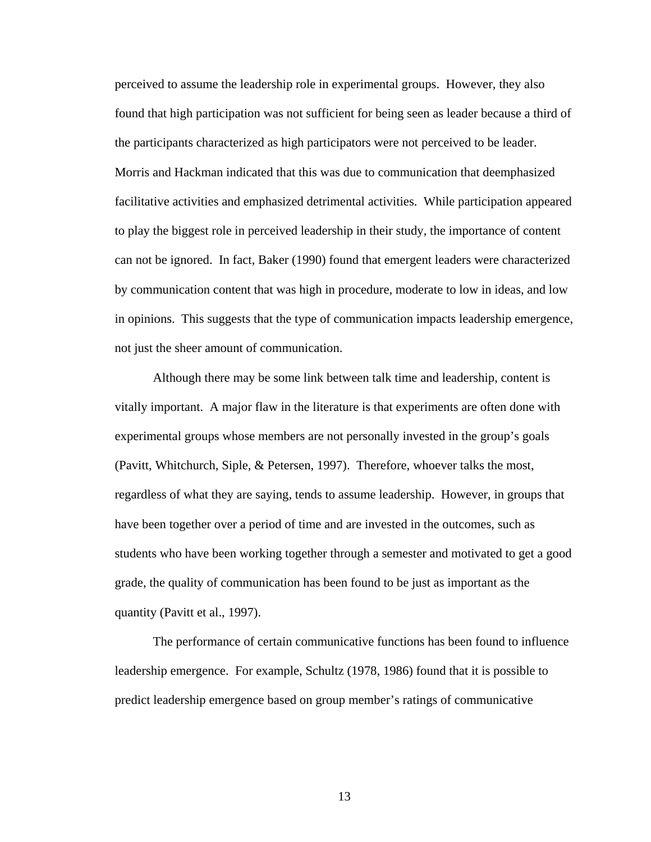perceived to assume the leadership role in experimental groups. However, they also found that high participation was not sufficient for being seen as leader because a third of the participants characterized as high participators were not perceived to be leader. Morris and Hackman indicated that this was due to communication that deemphasized facilitative activities and emphasized detrimental activities. While participation appeared to play the biggest role in perceived leadership in their study, the importance of content can not be ignored. In fact, Baker (1990) found that emergent leaders were characterized by communication content that was high in procedure, moderate to low in ideas, and low in opinions. This suggests that the type of communication impacts leadership emergence, not just the sheer amount of communication.

Although there may be some link between talk time and leadership, content is vitally important. A major flaw in the literature is that experiments are often done with experimental groups whose members are not personally invested in the group's goals (Pavitt, Whitchurch, Siple, & Petersen, 1997). Therefore, whoever talks the most, regardless of what they are saying, tends to assume leadership. However, in groups that have been together over a period of time and are invested in the outcomes, such as students who have been working together through a semester and motivated to get a good grade, the quality of communication has been found to be just as important as the quantity (Pavitt et al., 1997).

The performance of certain communicative functions has been found to influence leadership emergence. For example, Schultz (1978, 1986) found that it is possible to predict leadership emergence based on group member's ratings of communicative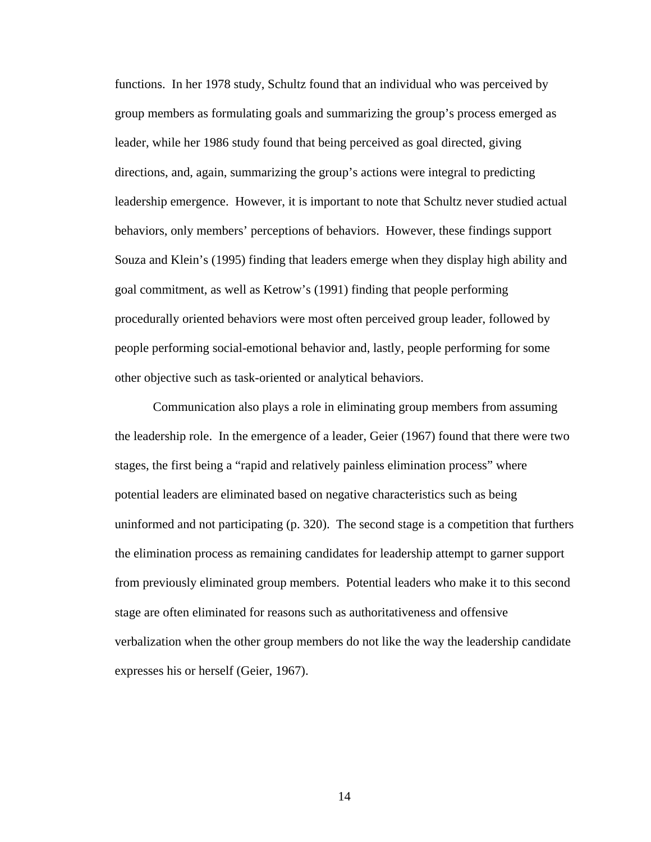functions. In her 1978 study, Schultz found that an individual who was perceived by group members as formulating goals and summarizing the group's process emerged as leader, while her 1986 study found that being perceived as goal directed, giving directions, and, again, summarizing the group's actions were integral to predicting leadership emergence. However, it is important to note that Schultz never studied actual behaviors, only members' perceptions of behaviors. However, these findings support Souza and Klein's (1995) finding that leaders emerge when they display high ability and goal commitment, as well as Ketrow's (1991) finding that people performing procedurally oriented behaviors were most often perceived group leader, followed by people performing social-emotional behavior and, lastly, people performing for some other objective such as task-oriented or analytical behaviors.

Communication also plays a role in eliminating group members from assuming the leadership role. In the emergence of a leader, Geier (1967) found that there were two stages, the first being a "rapid and relatively painless elimination process" where potential leaders are eliminated based on negative characteristics such as being uninformed and not participating (p. 320). The second stage is a competition that furthers the elimination process as remaining candidates for leadership attempt to garner support from previously eliminated group members. Potential leaders who make it to this second stage are often eliminated for reasons such as authoritativeness and offensive verbalization when the other group members do not like the way the leadership candidate expresses his or herself (Geier, 1967).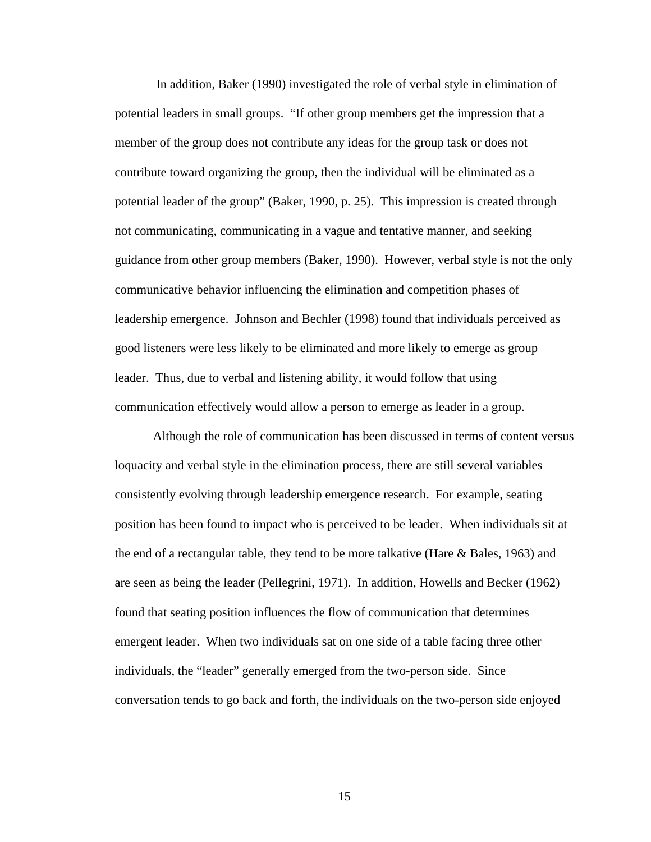In addition, Baker (1990) investigated the role of verbal style in elimination of potential leaders in small groups. "If other group members get the impression that a member of the group does not contribute any ideas for the group task or does not contribute toward organizing the group, then the individual will be eliminated as a potential leader of the group" (Baker, 1990, p. 25). This impression is created through not communicating, communicating in a vague and tentative manner, and seeking guidance from other group members (Baker, 1990). However, verbal style is not the only communicative behavior influencing the elimination and competition phases of leadership emergence. Johnson and Bechler (1998) found that individuals perceived as good listeners were less likely to be eliminated and more likely to emerge as group leader. Thus, due to verbal and listening ability, it would follow that using communication effectively would allow a person to emerge as leader in a group.

Although the role of communication has been discussed in terms of content versus loquacity and verbal style in the elimination process, there are still several variables consistently evolving through leadership emergence research. For example, seating position has been found to impact who is perceived to be leader. When individuals sit at the end of a rectangular table, they tend to be more talkative (Hare & Bales, 1963) and are seen as being the leader (Pellegrini, 1971). In addition, Howells and Becker (1962) found that seating position influences the flow of communication that determines emergent leader. When two individuals sat on one side of a table facing three other individuals, the "leader" generally emerged from the two-person side. Since conversation tends to go back and forth, the individuals on the two-person side enjoyed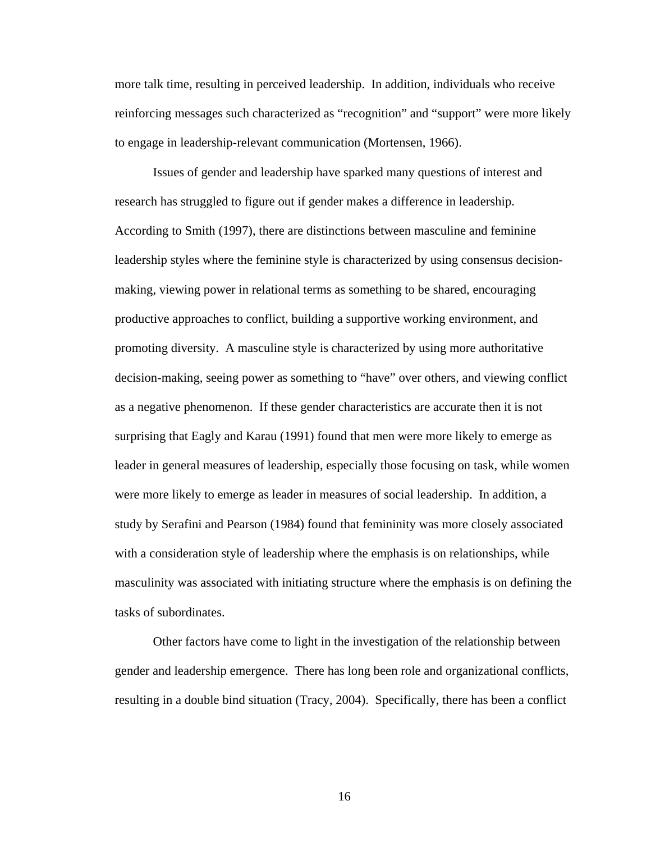more talk time, resulting in perceived leadership. In addition, individuals who receive reinforcing messages such characterized as "recognition" and "support" were more likely to engage in leadership-relevant communication (Mortensen, 1966).

Issues of gender and leadership have sparked many questions of interest and research has struggled to figure out if gender makes a difference in leadership. According to Smith (1997), there are distinctions between masculine and feminine leadership styles where the feminine style is characterized by using consensus decisionmaking, viewing power in relational terms as something to be shared, encouraging productive approaches to conflict, building a supportive working environment, and promoting diversity. A masculine style is characterized by using more authoritative decision-making, seeing power as something to "have" over others, and viewing conflict as a negative phenomenon. If these gender characteristics are accurate then it is not surprising that Eagly and Karau (1991) found that men were more likely to emerge as leader in general measures of leadership, especially those focusing on task, while women were more likely to emerge as leader in measures of social leadership. In addition, a study by Serafini and Pearson (1984) found that femininity was more closely associated with a consideration style of leadership where the emphasis is on relationships, while masculinity was associated with initiating structure where the emphasis is on defining the tasks of subordinates.

Other factors have come to light in the investigation of the relationship between gender and leadership emergence. There has long been role and organizational conflicts, resulting in a double bind situation (Tracy, 2004). Specifically, there has been a conflict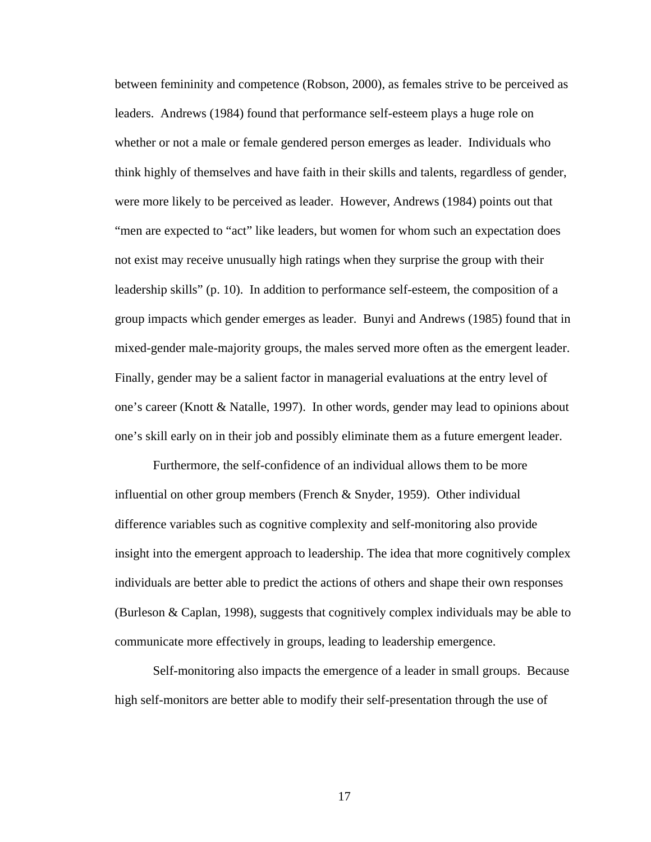between femininity and competence (Robson, 2000), as females strive to be perceived as leaders. Andrews (1984) found that performance self-esteem plays a huge role on whether or not a male or female gendered person emerges as leader. Individuals who think highly of themselves and have faith in their skills and talents, regardless of gender, were more likely to be perceived as leader. However, Andrews (1984) points out that "men are expected to "act" like leaders, but women for whom such an expectation does not exist may receive unusually high ratings when they surprise the group with their leadership skills" (p. 10). In addition to performance self-esteem, the composition of a group impacts which gender emerges as leader. Bunyi and Andrews (1985) found that in mixed-gender male-majority groups, the males served more often as the emergent leader. Finally, gender may be a salient factor in managerial evaluations at the entry level of one's career (Knott & Natalle, 1997). In other words, gender may lead to opinions about one's skill early on in their job and possibly eliminate them as a future emergent leader.

Furthermore, the self-confidence of an individual allows them to be more influential on other group members (French & Snyder, 1959). Other individual difference variables such as cognitive complexity and self-monitoring also provide insight into the emergent approach to leadership. The idea that more cognitively complex individuals are better able to predict the actions of others and shape their own responses (Burleson & Caplan, 1998), suggests that cognitively complex individuals may be able to communicate more effectively in groups, leading to leadership emergence.

Self-monitoring also impacts the emergence of a leader in small groups. Because high self-monitors are better able to modify their self-presentation through the use of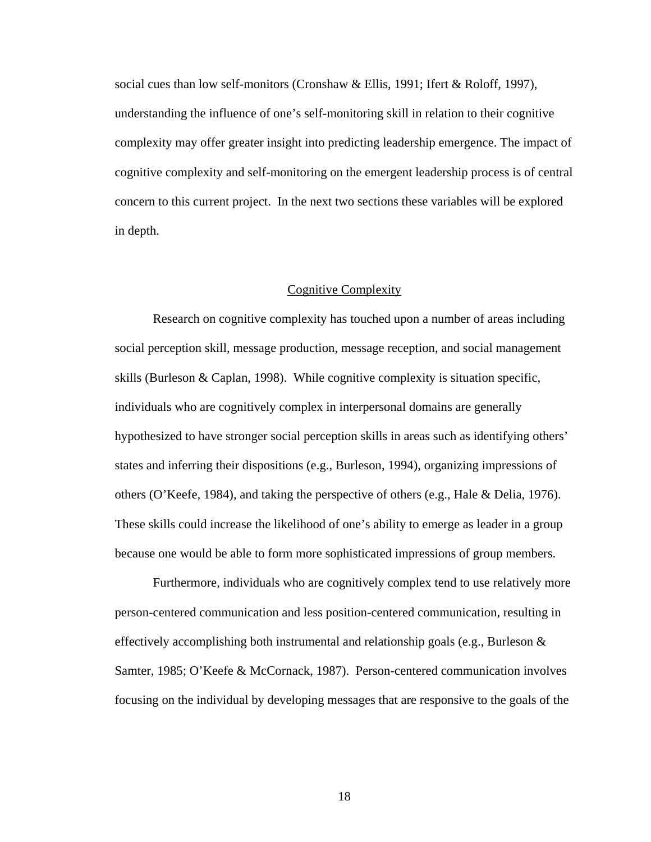social cues than low self-monitors (Cronshaw & Ellis, 1991; Ifert & Roloff, 1997), understanding the influence of one's self-monitoring skill in relation to their cognitive complexity may offer greater insight into predicting leadership emergence. The impact of cognitive complexity and self-monitoring on the emergent leadership process is of central concern to this current project. In the next two sections these variables will be explored in depth.

#### Cognitive Complexity

Research on cognitive complexity has touched upon a number of areas including social perception skill, message production, message reception, and social management skills (Burleson & Caplan, 1998). While cognitive complexity is situation specific, individuals who are cognitively complex in interpersonal domains are generally hypothesized to have stronger social perception skills in areas such as identifying others' states and inferring their dispositions (e.g., Burleson, 1994), organizing impressions of others (O'Keefe, 1984), and taking the perspective of others (e.g., Hale & Delia, 1976). These skills could increase the likelihood of one's ability to emerge as leader in a group because one would be able to form more sophisticated impressions of group members.

Furthermore, individuals who are cognitively complex tend to use relatively more person-centered communication and less position-centered communication, resulting in effectively accomplishing both instrumental and relationship goals (e.g., Burleson & Samter, 1985; O'Keefe & McCornack, 1987). Person-centered communication involves focusing on the individual by developing messages that are responsive to the goals of the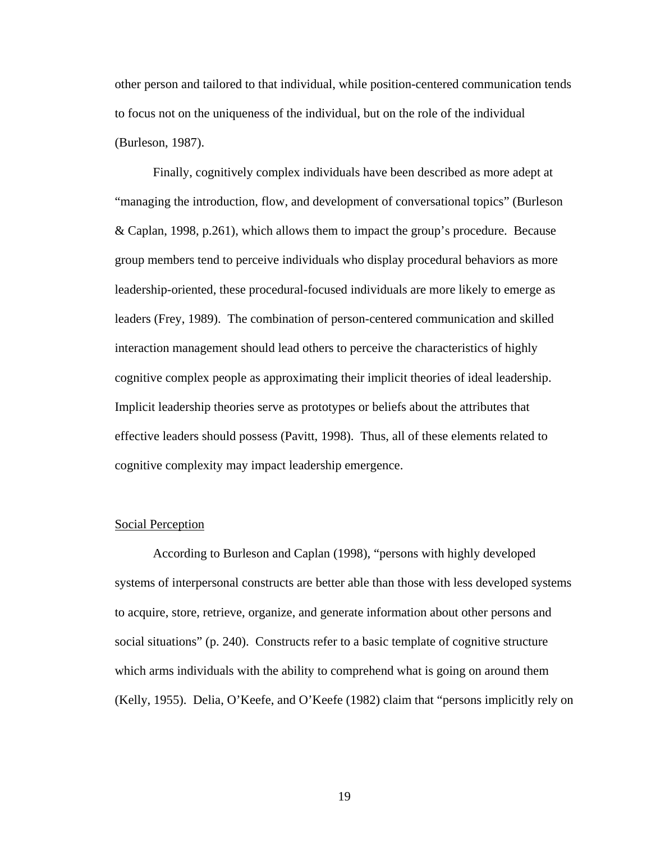other person and tailored to that individual, while position-centered communication tends to focus not on the uniqueness of the individual, but on the role of the individual (Burleson, 1987).

Finally, cognitively complex individuals have been described as more adept at "managing the introduction, flow, and development of conversational topics" (Burleson & Caplan, 1998, p.261), which allows them to impact the group's procedure. Because group members tend to perceive individuals who display procedural behaviors as more leadership-oriented, these procedural-focused individuals are more likely to emerge as leaders (Frey, 1989). The combination of person-centered communication and skilled interaction management should lead others to perceive the characteristics of highly cognitive complex people as approximating their implicit theories of ideal leadership. Implicit leadership theories serve as prototypes or beliefs about the attributes that effective leaders should possess (Pavitt, 1998). Thus, all of these elements related to cognitive complexity may impact leadership emergence.

#### Social Perception

According to Burleson and Caplan (1998), "persons with highly developed systems of interpersonal constructs are better able than those with less developed systems to acquire, store, retrieve, organize, and generate information about other persons and social situations" (p. 240). Constructs refer to a basic template of cognitive structure which arms individuals with the ability to comprehend what is going on around them (Kelly, 1955). Delia, O'Keefe, and O'Keefe (1982) claim that "persons implicitly rely on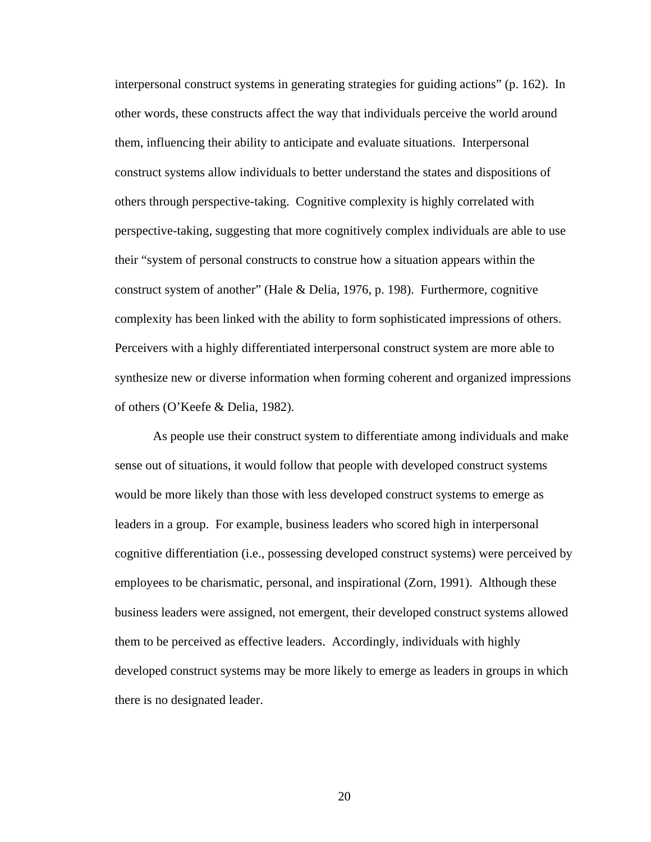interpersonal construct systems in generating strategies for guiding actions" (p. 162). In other words, these constructs affect the way that individuals perceive the world around them, influencing their ability to anticipate and evaluate situations. Interpersonal construct systems allow individuals to better understand the states and dispositions of others through perspective-taking. Cognitive complexity is highly correlated with perspective-taking, suggesting that more cognitively complex individuals are able to use their "system of personal constructs to construe how a situation appears within the construct system of another" (Hale & Delia, 1976, p. 198). Furthermore, cognitive complexity has been linked with the ability to form sophisticated impressions of others. Perceivers with a highly differentiated interpersonal construct system are more able to synthesize new or diverse information when forming coherent and organized impressions of others (O'Keefe & Delia, 1982).

As people use their construct system to differentiate among individuals and make sense out of situations, it would follow that people with developed construct systems would be more likely than those with less developed construct systems to emerge as leaders in a group. For example, business leaders who scored high in interpersonal cognitive differentiation (i.e., possessing developed construct systems) were perceived by employees to be charismatic, personal, and inspirational (Zorn, 1991). Although these business leaders were assigned, not emergent, their developed construct systems allowed them to be perceived as effective leaders. Accordingly, individuals with highly developed construct systems may be more likely to emerge as leaders in groups in which there is no designated leader.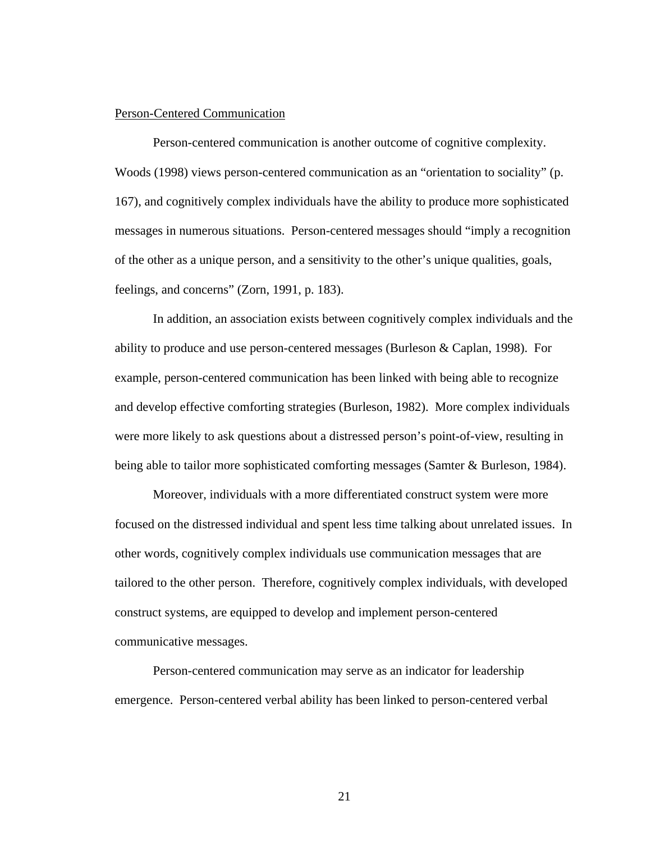#### Person-Centered Communication

Person-centered communication is another outcome of cognitive complexity. Woods (1998) views person-centered communication as an "orientation to sociality" (p. 167), and cognitively complex individuals have the ability to produce more sophisticated messages in numerous situations. Person-centered messages should "imply a recognition of the other as a unique person, and a sensitivity to the other's unique qualities, goals, feelings, and concerns" (Zorn, 1991, p. 183).

In addition, an association exists between cognitively complex individuals and the ability to produce and use person-centered messages (Burleson & Caplan, 1998). For example, person-centered communication has been linked with being able to recognize and develop effective comforting strategies (Burleson, 1982). More complex individuals were more likely to ask questions about a distressed person's point-of-view, resulting in being able to tailor more sophisticated comforting messages (Samter & Burleson, 1984).

Moreover, individuals with a more differentiated construct system were more focused on the distressed individual and spent less time talking about unrelated issues. In other words, cognitively complex individuals use communication messages that are tailored to the other person. Therefore, cognitively complex individuals, with developed construct systems, are equipped to develop and implement person-centered communicative messages.

Person-centered communication may serve as an indicator for leadership emergence. Person-centered verbal ability has been linked to person-centered verbal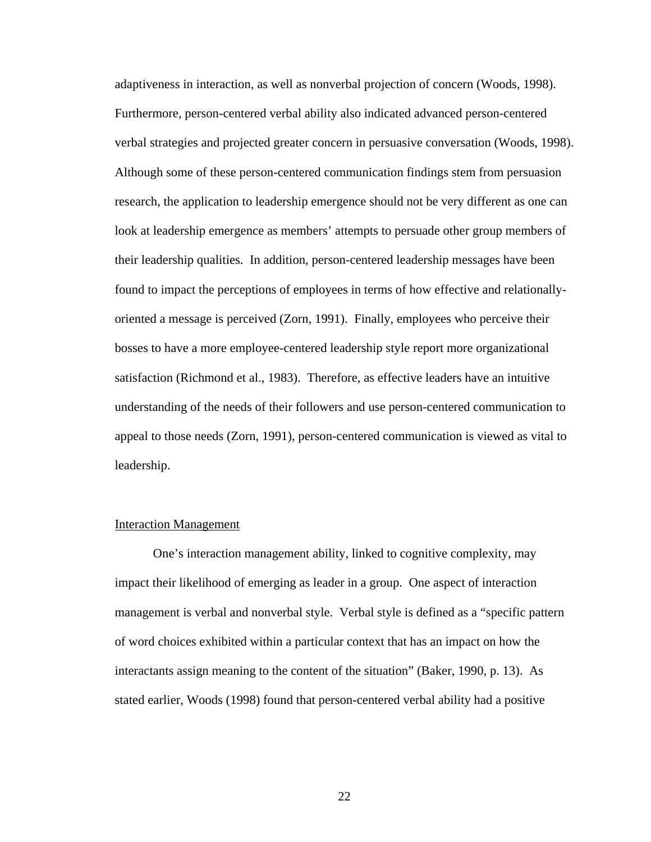adaptiveness in interaction, as well as nonverbal projection of concern (Woods, 1998). Furthermore, person-centered verbal ability also indicated advanced person-centered verbal strategies and projected greater concern in persuasive conversation (Woods, 1998). Although some of these person-centered communication findings stem from persuasion research, the application to leadership emergence should not be very different as one can look at leadership emergence as members' attempts to persuade other group members of their leadership qualities. In addition, person-centered leadership messages have been found to impact the perceptions of employees in terms of how effective and relationallyoriented a message is perceived (Zorn, 1991). Finally, employees who perceive their bosses to have a more employee-centered leadership style report more organizational satisfaction (Richmond et al., 1983). Therefore, as effective leaders have an intuitive understanding of the needs of their followers and use person-centered communication to appeal to those needs (Zorn, 1991), person-centered communication is viewed as vital to leadership.

### Interaction Management

One's interaction management ability, linked to cognitive complexity, may impact their likelihood of emerging as leader in a group. One aspect of interaction management is verbal and nonverbal style. Verbal style is defined as a "specific pattern of word choices exhibited within a particular context that has an impact on how the interactants assign meaning to the content of the situation" (Baker, 1990, p. 13). As stated earlier, Woods (1998) found that person-centered verbal ability had a positive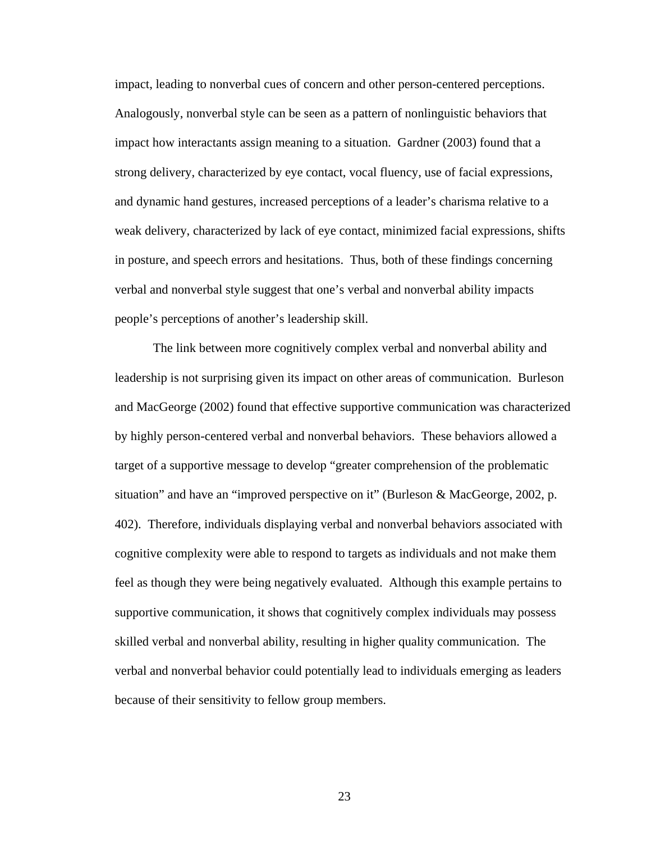impact, leading to nonverbal cues of concern and other person-centered perceptions. Analogously, nonverbal style can be seen as a pattern of nonlinguistic behaviors that impact how interactants assign meaning to a situation. Gardner (2003) found that a strong delivery, characterized by eye contact, vocal fluency, use of facial expressions, and dynamic hand gestures, increased perceptions of a leader's charisma relative to a weak delivery, characterized by lack of eye contact, minimized facial expressions, shifts in posture, and speech errors and hesitations. Thus, both of these findings concerning verbal and nonverbal style suggest that one's verbal and nonverbal ability impacts people's perceptions of another's leadership skill.

The link between more cognitively complex verbal and nonverbal ability and leadership is not surprising given its impact on other areas of communication. Burleson and MacGeorge (2002) found that effective supportive communication was characterized by highly person-centered verbal and nonverbal behaviors. These behaviors allowed a target of a supportive message to develop "greater comprehension of the problematic situation" and have an "improved perspective on it" (Burleson & MacGeorge, 2002, p. 402). Therefore, individuals displaying verbal and nonverbal behaviors associated with cognitive complexity were able to respond to targets as individuals and not make them feel as though they were being negatively evaluated. Although this example pertains to supportive communication, it shows that cognitively complex individuals may possess skilled verbal and nonverbal ability, resulting in higher quality communication. The verbal and nonverbal behavior could potentially lead to individuals emerging as leaders because of their sensitivity to fellow group members.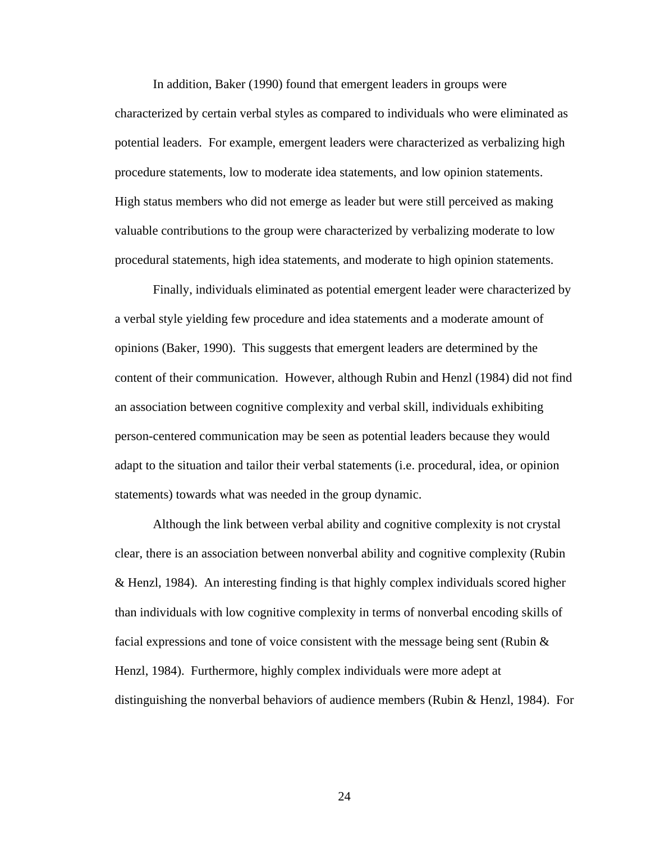In addition, Baker (1990) found that emergent leaders in groups were characterized by certain verbal styles as compared to individuals who were eliminated as potential leaders. For example, emergent leaders were characterized as verbalizing high procedure statements, low to moderate idea statements, and low opinion statements. High status members who did not emerge as leader but were still perceived as making valuable contributions to the group were characterized by verbalizing moderate to low procedural statements, high idea statements, and moderate to high opinion statements.

Finally, individuals eliminated as potential emergent leader were characterized by a verbal style yielding few procedure and idea statements and a moderate amount of opinions (Baker, 1990). This suggests that emergent leaders are determined by the content of their communication. However, although Rubin and Henzl (1984) did not find an association between cognitive complexity and verbal skill, individuals exhibiting person-centered communication may be seen as potential leaders because they would adapt to the situation and tailor their verbal statements (i.e. procedural, idea, or opinion statements) towards what was needed in the group dynamic.

Although the link between verbal ability and cognitive complexity is not crystal clear, there is an association between nonverbal ability and cognitive complexity (Rubin & Henzl, 1984). An interesting finding is that highly complex individuals scored higher than individuals with low cognitive complexity in terms of nonverbal encoding skills of facial expressions and tone of voice consistent with the message being sent (Rubin  $\&$ Henzl, 1984). Furthermore, highly complex individuals were more adept at distinguishing the nonverbal behaviors of audience members (Rubin & Henzl, 1984). For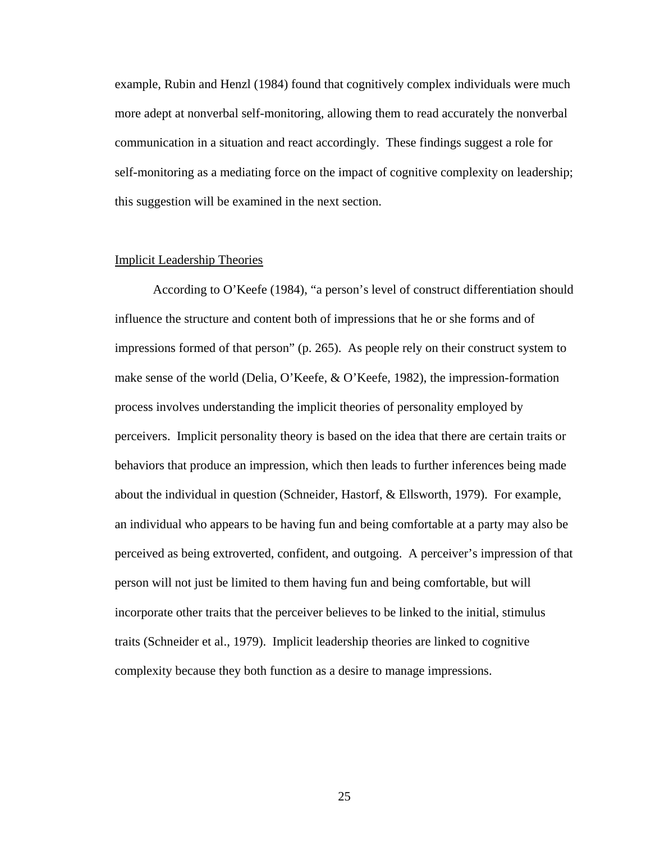example, Rubin and Henzl (1984) found that cognitively complex individuals were much more adept at nonverbal self-monitoring, allowing them to read accurately the nonverbal communication in a situation and react accordingly. These findings suggest a role for self-monitoring as a mediating force on the impact of cognitive complexity on leadership; this suggestion will be examined in the next section.

#### Implicit Leadership Theories

According to O'Keefe (1984), "a person's level of construct differentiation should influence the structure and content both of impressions that he or she forms and of impressions formed of that person" (p. 265). As people rely on their construct system to make sense of the world (Delia, O'Keefe, & O'Keefe, 1982), the impression-formation process involves understanding the implicit theories of personality employed by perceivers. Implicit personality theory is based on the idea that there are certain traits or behaviors that produce an impression, which then leads to further inferences being made about the individual in question (Schneider, Hastorf, & Ellsworth, 1979). For example, an individual who appears to be having fun and being comfortable at a party may also be perceived as being extroverted, confident, and outgoing. A perceiver's impression of that person will not just be limited to them having fun and being comfortable, but will incorporate other traits that the perceiver believes to be linked to the initial, stimulus traits (Schneider et al., 1979). Implicit leadership theories are linked to cognitive complexity because they both function as a desire to manage impressions.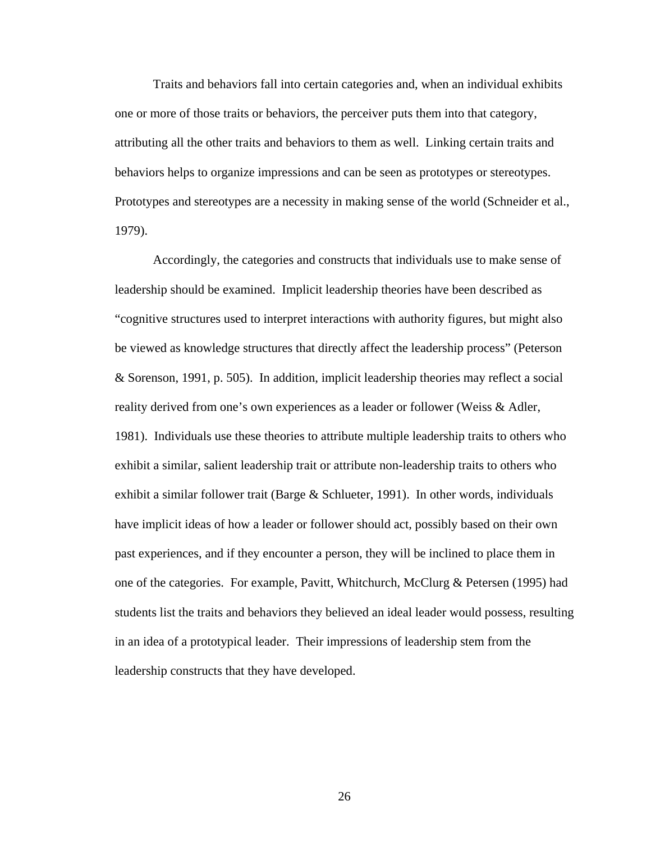Traits and behaviors fall into certain categories and, when an individual exhibits one or more of those traits or behaviors, the perceiver puts them into that category, attributing all the other traits and behaviors to them as well. Linking certain traits and behaviors helps to organize impressions and can be seen as prototypes or stereotypes. Prototypes and stereotypes are a necessity in making sense of the world (Schneider et al., 1979).

Accordingly, the categories and constructs that individuals use to make sense of leadership should be examined. Implicit leadership theories have been described as "cognitive structures used to interpret interactions with authority figures, but might also be viewed as knowledge structures that directly affect the leadership process" (Peterson & Sorenson, 1991, p. 505). In addition, implicit leadership theories may reflect a social reality derived from one's own experiences as a leader or follower (Weiss & Adler, 1981). Individuals use these theories to attribute multiple leadership traits to others who exhibit a similar, salient leadership trait or attribute non-leadership traits to others who exhibit a similar follower trait (Barge & Schlueter, 1991). In other words, individuals have implicit ideas of how a leader or follower should act, possibly based on their own past experiences, and if they encounter a person, they will be inclined to place them in one of the categories. For example, Pavitt, Whitchurch, McClurg & Petersen (1995) had students list the traits and behaviors they believed an ideal leader would possess, resulting in an idea of a prototypical leader. Their impressions of leadership stem from the leadership constructs that they have developed.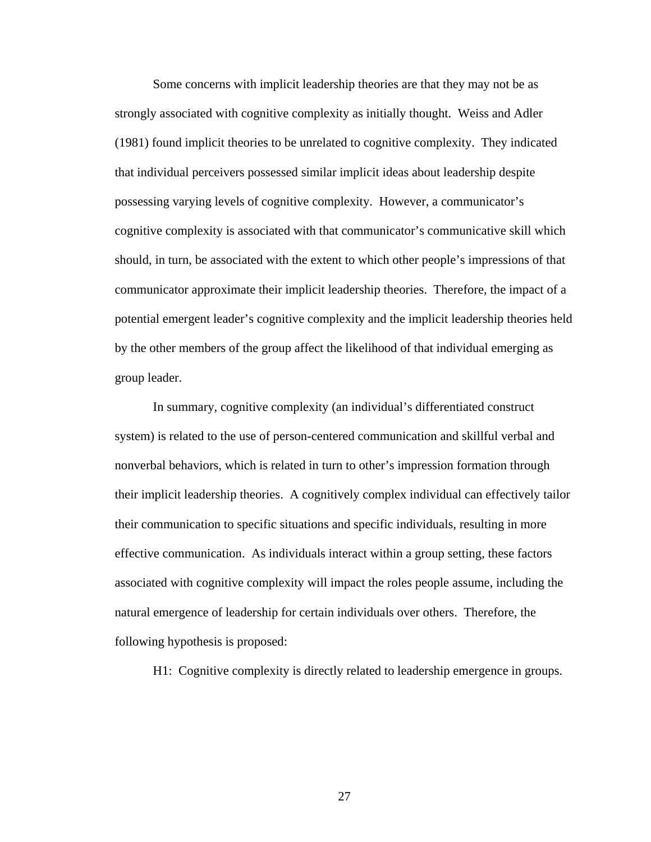Some concerns with implicit leadership theories are that they may not be as strongly associated with cognitive complexity as initially thought. Weiss and Adler (1981) found implicit theories to be unrelated to cognitive complexity. They indicated that individual perceivers possessed similar implicit ideas about leadership despite possessing varying levels of cognitive complexity. However, a communicator's cognitive complexity is associated with that communicator's communicative skill which should, in turn, be associated with the extent to which other people's impressions of that communicator approximate their implicit leadership theories. Therefore, the impact of a potential emergent leader's cognitive complexity and the implicit leadership theories held by the other members of the group affect the likelihood of that individual emerging as group leader.

In summary, cognitive complexity (an individual's differentiated construct system) is related to the use of person-centered communication and skillful verbal and nonverbal behaviors, which is related in turn to other's impression formation through their implicit leadership theories. A cognitively complex individual can effectively tailor their communication to specific situations and specific individuals, resulting in more effective communication. As individuals interact within a group setting, these factors associated with cognitive complexity will impact the roles people assume, including the natural emergence of leadership for certain individuals over others. Therefore, the following hypothesis is proposed:

H1: Cognitive complexity is directly related to leadership emergence in groups.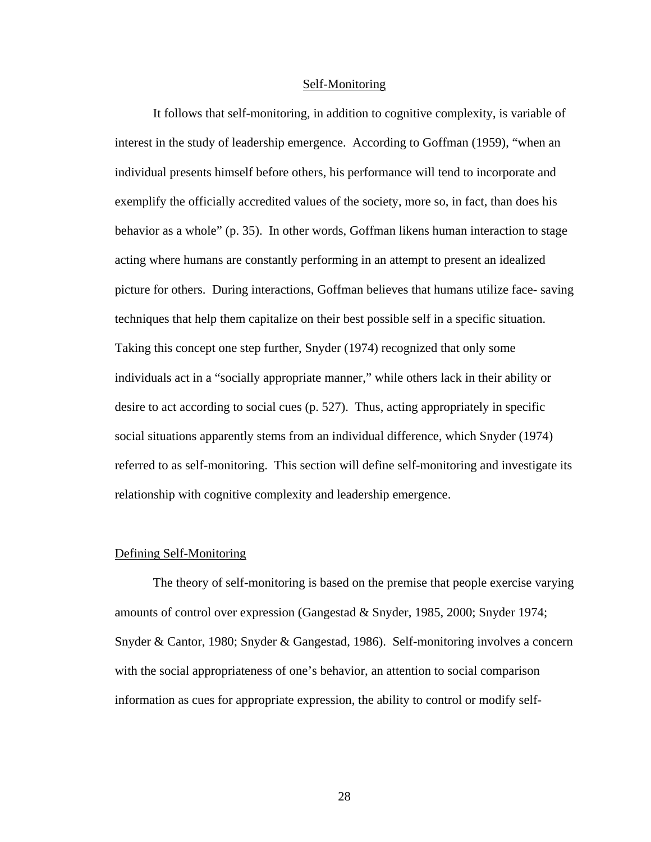#### Self-Monitoring

It follows that self-monitoring, in addition to cognitive complexity, is variable of interest in the study of leadership emergence. According to Goffman (1959), "when an individual presents himself before others, his performance will tend to incorporate and exemplify the officially accredited values of the society, more so, in fact, than does his behavior as a whole" (p. 35). In other words, Goffman likens human interaction to stage acting where humans are constantly performing in an attempt to present an idealized picture for others. During interactions, Goffman believes that humans utilize face- saving techniques that help them capitalize on their best possible self in a specific situation. Taking this concept one step further, Snyder (1974) recognized that only some individuals act in a "socially appropriate manner," while others lack in their ability or desire to act according to social cues (p. 527). Thus, acting appropriately in specific social situations apparently stems from an individual difference, which Snyder (1974) referred to as self-monitoring. This section will define self-monitoring and investigate its relationship with cognitive complexity and leadership emergence.

#### Defining Self-Monitoring

The theory of self-monitoring is based on the premise that people exercise varying amounts of control over expression (Gangestad & Snyder, 1985, 2000; Snyder 1974; Snyder & Cantor, 1980; Snyder & Gangestad, 1986). Self-monitoring involves a concern with the social appropriateness of one's behavior, an attention to social comparison information as cues for appropriate expression, the ability to control or modify self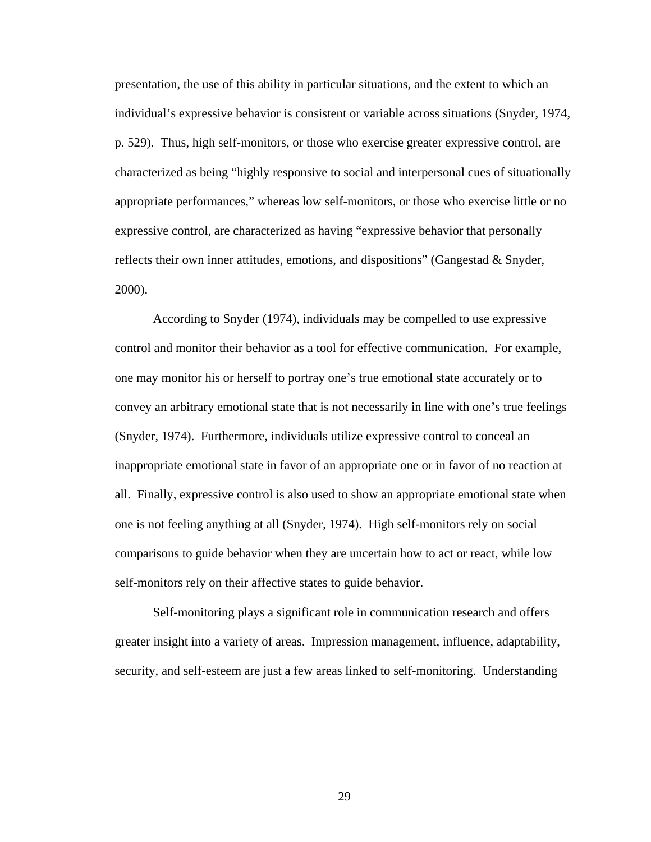presentation, the use of this ability in particular situations, and the extent to which an individual's expressive behavior is consistent or variable across situations (Snyder, 1974, p. 529). Thus, high self-monitors, or those who exercise greater expressive control, are characterized as being "highly responsive to social and interpersonal cues of situationally appropriate performances," whereas low self-monitors, or those who exercise little or no expressive control, are characterized as having "expressive behavior that personally reflects their own inner attitudes, emotions, and dispositions" (Gangestad  $\&$  Snyder, 2000).

According to Snyder (1974), individuals may be compelled to use expressive control and monitor their behavior as a tool for effective communication. For example, one may monitor his or herself to portray one's true emotional state accurately or to convey an arbitrary emotional state that is not necessarily in line with one's true feelings (Snyder, 1974). Furthermore, individuals utilize expressive control to conceal an inappropriate emotional state in favor of an appropriate one or in favor of no reaction at all. Finally, expressive control is also used to show an appropriate emotional state when one is not feeling anything at all (Snyder, 1974). High self-monitors rely on social comparisons to guide behavior when they are uncertain how to act or react, while low self-monitors rely on their affective states to guide behavior.

Self-monitoring plays a significant role in communication research and offers greater insight into a variety of areas. Impression management, influence, adaptability, security, and self-esteem are just a few areas linked to self-monitoring. Understanding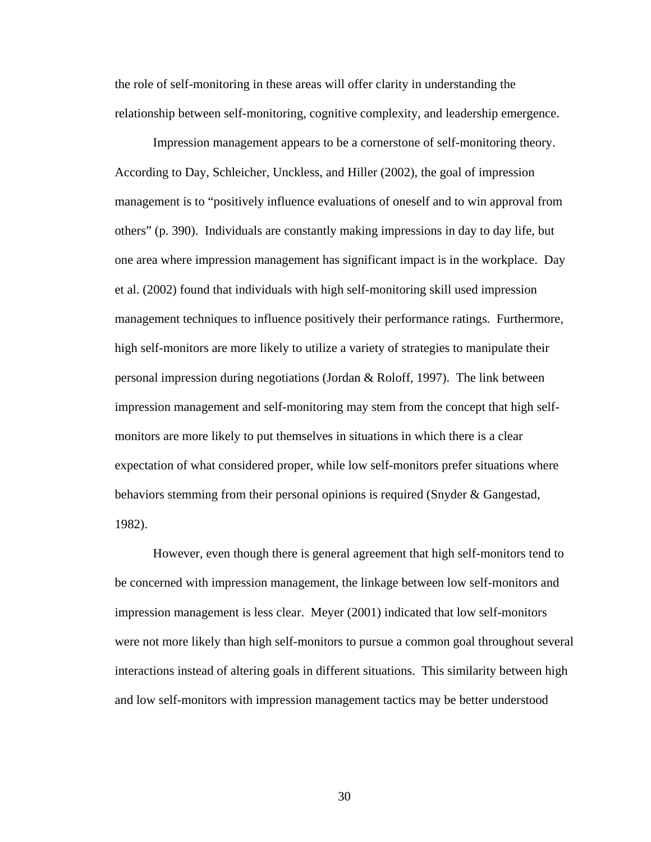the role of self-monitoring in these areas will offer clarity in understanding the relationship between self-monitoring, cognitive complexity, and leadership emergence.

Impression management appears to be a cornerstone of self-monitoring theory. According to Day, Schleicher, Unckless, and Hiller (2002), the goal of impression management is to "positively influence evaluations of oneself and to win approval from others" (p. 390). Individuals are constantly making impressions in day to day life, but one area where impression management has significant impact is in the workplace. Day et al. (2002) found that individuals with high self-monitoring skill used impression management techniques to influence positively their performance ratings. Furthermore, high self-monitors are more likely to utilize a variety of strategies to manipulate their personal impression during negotiations (Jordan & Roloff, 1997). The link between impression management and self-monitoring may stem from the concept that high selfmonitors are more likely to put themselves in situations in which there is a clear expectation of what considered proper, while low self-monitors prefer situations where behaviors stemming from their personal opinions is required (Snyder & Gangestad, 1982).

However, even though there is general agreement that high self-monitors tend to be concerned with impression management, the linkage between low self-monitors and impression management is less clear. Meyer (2001) indicated that low self-monitors were not more likely than high self-monitors to pursue a common goal throughout several interactions instead of altering goals in different situations. This similarity between high and low self-monitors with impression management tactics may be better understood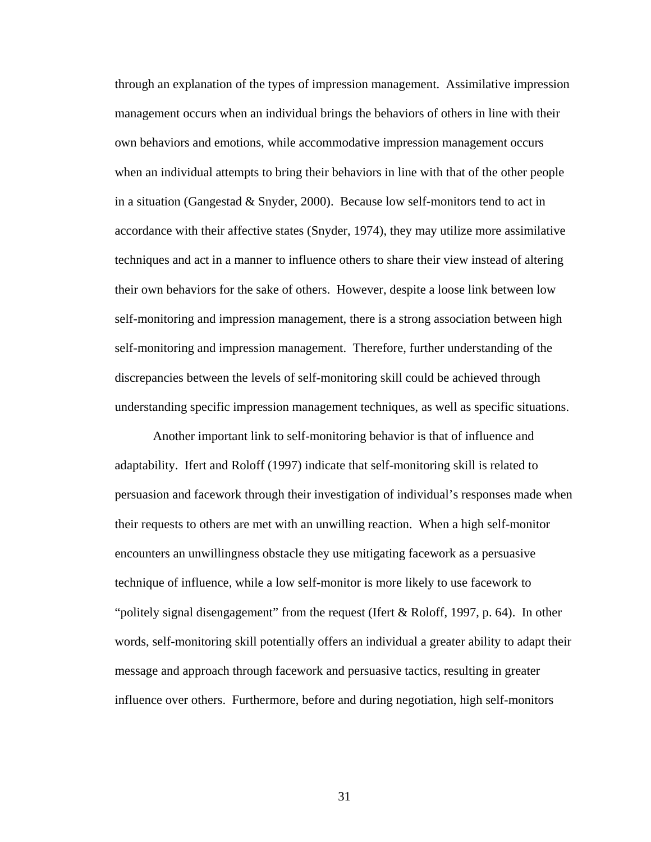through an explanation of the types of impression management. Assimilative impression management occurs when an individual brings the behaviors of others in line with their own behaviors and emotions, while accommodative impression management occurs when an individual attempts to bring their behaviors in line with that of the other people in a situation (Gangestad  $&$  Snyder, 2000). Because low self-monitors tend to act in accordance with their affective states (Snyder, 1974), they may utilize more assimilative techniques and act in a manner to influence others to share their view instead of altering their own behaviors for the sake of others. However, despite a loose link between low self-monitoring and impression management, there is a strong association between high self-monitoring and impression management. Therefore, further understanding of the discrepancies between the levels of self-monitoring skill could be achieved through understanding specific impression management techniques, as well as specific situations.

Another important link to self-monitoring behavior is that of influence and adaptability. Ifert and Roloff (1997) indicate that self-monitoring skill is related to persuasion and facework through their investigation of individual's responses made when their requests to others are met with an unwilling reaction. When a high self-monitor encounters an unwillingness obstacle they use mitigating facework as a persuasive technique of influence, while a low self-monitor is more likely to use facework to "politely signal disengagement" from the request (Ifert  $& \text{Roloff}, 1997, p. 64$ ). In other words, self-monitoring skill potentially offers an individual a greater ability to adapt their message and approach through facework and persuasive tactics, resulting in greater influence over others. Furthermore, before and during negotiation, high self-monitors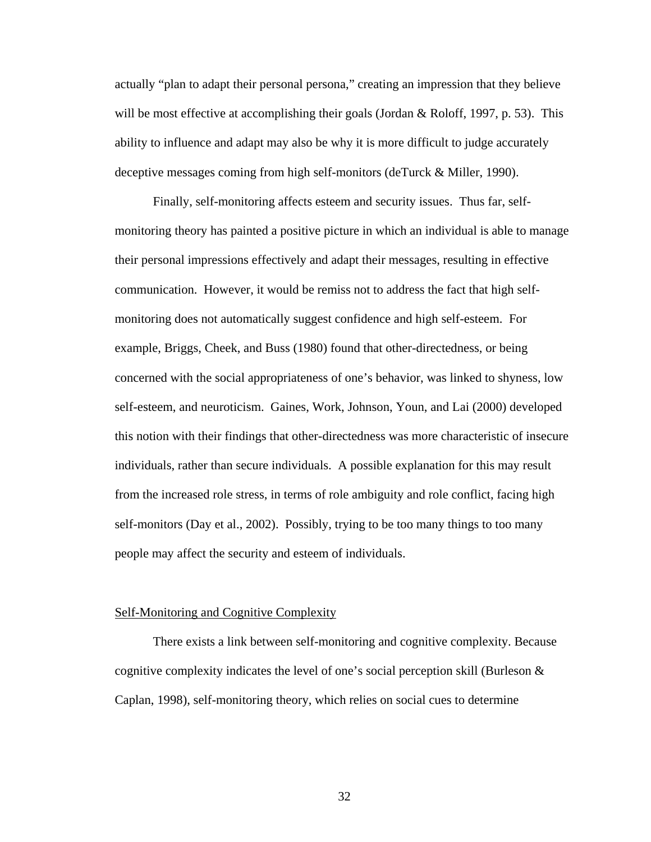actually "plan to adapt their personal persona," creating an impression that they believe will be most effective at accomplishing their goals (Jordan & Roloff, 1997, p. 53). This ability to influence and adapt may also be why it is more difficult to judge accurately deceptive messages coming from high self-monitors (deTurck & Miller, 1990).

Finally, self-monitoring affects esteem and security issues. Thus far, selfmonitoring theory has painted a positive picture in which an individual is able to manage their personal impressions effectively and adapt their messages, resulting in effective communication. However, it would be remiss not to address the fact that high selfmonitoring does not automatically suggest confidence and high self-esteem. For example, Briggs, Cheek, and Buss (1980) found that other-directedness, or being concerned with the social appropriateness of one's behavior, was linked to shyness, low self-esteem, and neuroticism. Gaines, Work, Johnson, Youn, and Lai (2000) developed this notion with their findings that other-directedness was more characteristic of insecure individuals, rather than secure individuals. A possible explanation for this may result from the increased role stress, in terms of role ambiguity and role conflict, facing high self-monitors (Day et al., 2002). Possibly, trying to be too many things to too many people may affect the security and esteem of individuals.

#### Self-Monitoring and Cognitive Complexity

There exists a link between self-monitoring and cognitive complexity. Because cognitive complexity indicates the level of one's social perception skill (Burleson & Caplan, 1998), self-monitoring theory, which relies on social cues to determine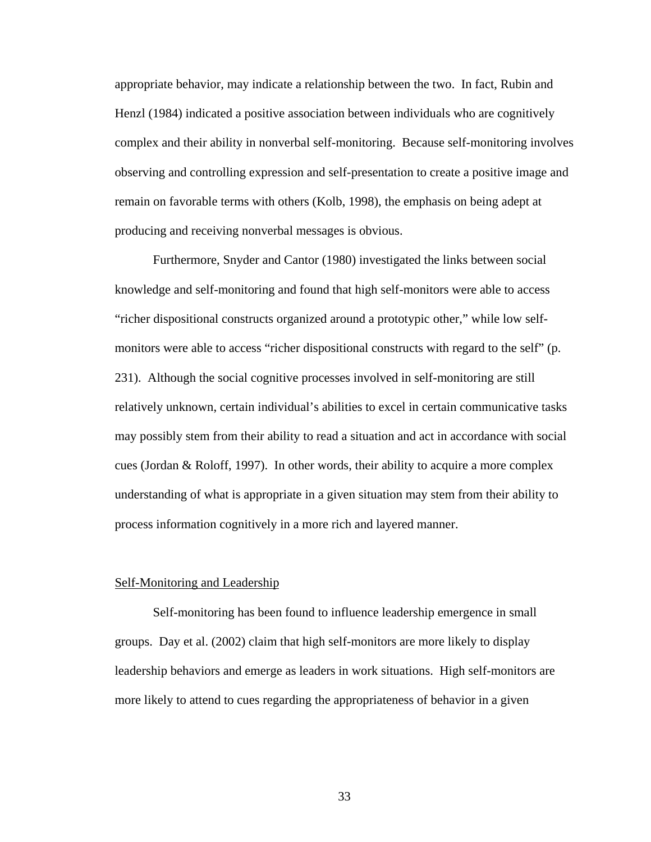appropriate behavior, may indicate a relationship between the two. In fact, Rubin and Henzl (1984) indicated a positive association between individuals who are cognitively complex and their ability in nonverbal self-monitoring. Because self-monitoring involves observing and controlling expression and self-presentation to create a positive image and remain on favorable terms with others (Kolb, 1998), the emphasis on being adept at producing and receiving nonverbal messages is obvious.

Furthermore, Snyder and Cantor (1980) investigated the links between social knowledge and self-monitoring and found that high self-monitors were able to access "richer dispositional constructs organized around a prototypic other," while low selfmonitors were able to access "richer dispositional constructs with regard to the self" (p. 231). Although the social cognitive processes involved in self-monitoring are still relatively unknown, certain individual's abilities to excel in certain communicative tasks may possibly stem from their ability to read a situation and act in accordance with social cues (Jordan & Roloff, 1997). In other words, their ability to acquire a more complex understanding of what is appropriate in a given situation may stem from their ability to process information cognitively in a more rich and layered manner.

#### Self-Monitoring and Leadership

Self-monitoring has been found to influence leadership emergence in small groups. Day et al. (2002) claim that high self-monitors are more likely to display leadership behaviors and emerge as leaders in work situations. High self-monitors are more likely to attend to cues regarding the appropriateness of behavior in a given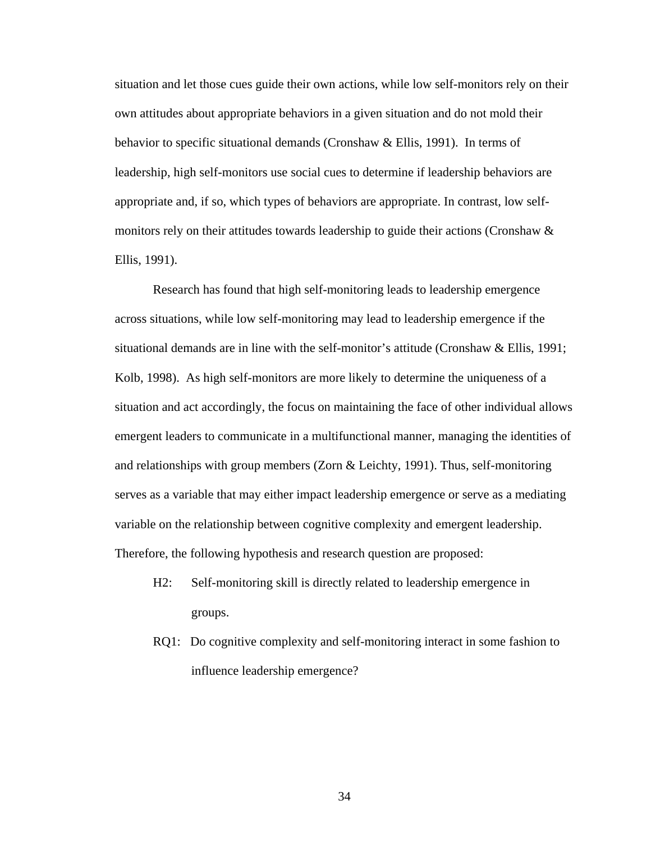situation and let those cues guide their own actions, while low self-monitors rely on their own attitudes about appropriate behaviors in a given situation and do not mold their behavior to specific situational demands (Cronshaw & Ellis, 1991). In terms of leadership, high self-monitors use social cues to determine if leadership behaviors are appropriate and, if so, which types of behaviors are appropriate. In contrast, low selfmonitors rely on their attitudes towards leadership to guide their actions (Cronshaw & Ellis, 1991).

Research has found that high self-monitoring leads to leadership emergence across situations, while low self-monitoring may lead to leadership emergence if the situational demands are in line with the self-monitor's attitude (Cronshaw  $&$  Ellis, 1991; Kolb, 1998). As high self-monitors are more likely to determine the uniqueness of a situation and act accordingly, the focus on maintaining the face of other individual allows emergent leaders to communicate in a multifunctional manner, managing the identities of and relationships with group members (Zorn & Leichty, 1991). Thus, self-monitoring serves as a variable that may either impact leadership emergence or serve as a mediating variable on the relationship between cognitive complexity and emergent leadership. Therefore, the following hypothesis and research question are proposed:

- H2: Self-monitoring skill is directly related to leadership emergence in groups.
- RQ1: Do cognitive complexity and self-monitoring interact in some fashion to influence leadership emergence?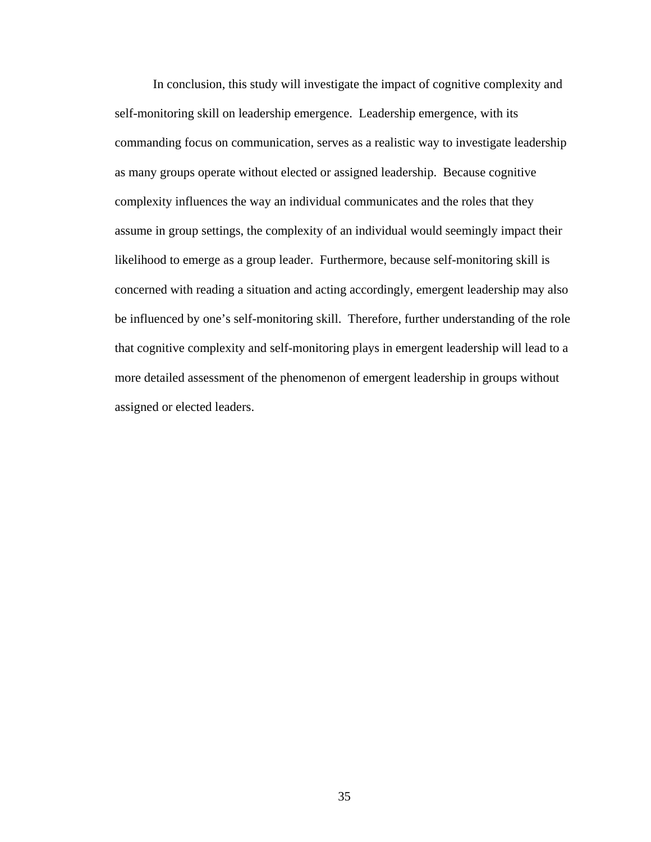In conclusion, this study will investigate the impact of cognitive complexity and self-monitoring skill on leadership emergence. Leadership emergence, with its commanding focus on communication, serves as a realistic way to investigate leadership as many groups operate without elected or assigned leadership. Because cognitive complexity influences the way an individual communicates and the roles that they assume in group settings, the complexity of an individual would seemingly impact their likelihood to emerge as a group leader. Furthermore, because self-monitoring skill is concerned with reading a situation and acting accordingly, emergent leadership may also be influenced by one's self-monitoring skill. Therefore, further understanding of the role that cognitive complexity and self-monitoring plays in emergent leadership will lead to a more detailed assessment of the phenomenon of emergent leadership in groups without assigned or elected leaders.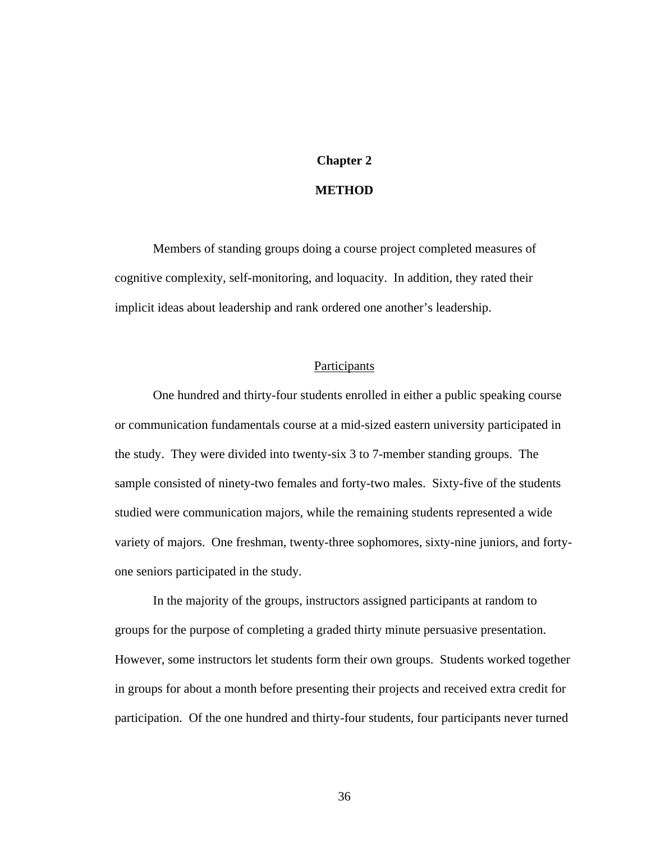# **Chapter 2**

# **METHOD**

Members of standing groups doing a course project completed measures of cognitive complexity, self-monitoring, and loquacity. In addition, they rated their implicit ideas about leadership and rank ordered one another's leadership.

#### **Participants**

One hundred and thirty-four students enrolled in either a public speaking course or communication fundamentals course at a mid-sized eastern university participated in the study. They were divided into twenty-six 3 to 7-member standing groups. The sample consisted of ninety-two females and forty-two males. Sixty-five of the students studied were communication majors, while the remaining students represented a wide variety of majors. One freshman, twenty-three sophomores, sixty-nine juniors, and fortyone seniors participated in the study.

In the majority of the groups, instructors assigned participants at random to groups for the purpose of completing a graded thirty minute persuasive presentation. However, some instructors let students form their own groups. Students worked together in groups for about a month before presenting their projects and received extra credit for participation. Of the one hundred and thirty-four students, four participants never turned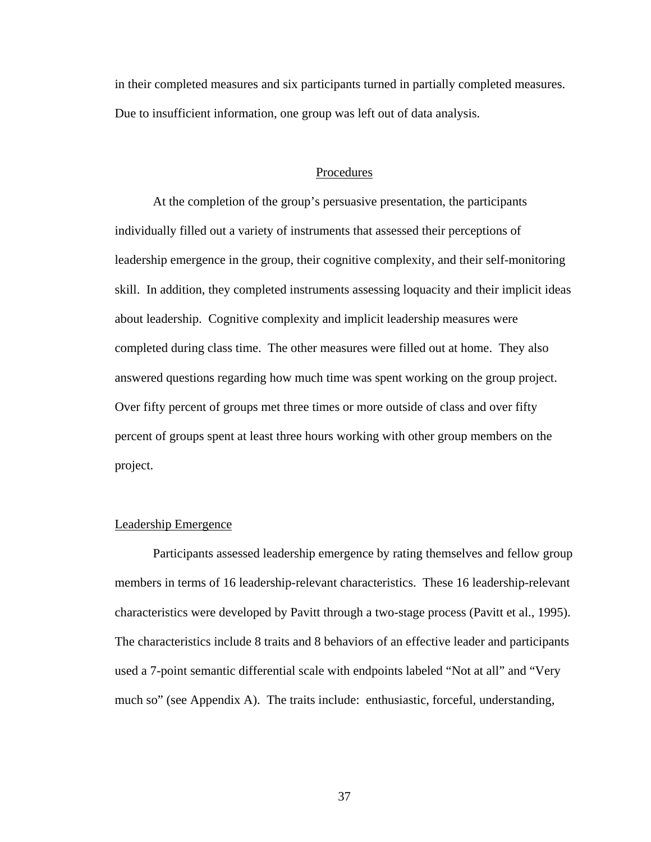in their completed measures and six participants turned in partially completed measures. Due to insufficient information, one group was left out of data analysis.

#### Procedures

At the completion of the group's persuasive presentation, the participants individually filled out a variety of instruments that assessed their perceptions of leadership emergence in the group, their cognitive complexity, and their self-monitoring skill. In addition, they completed instruments assessing loquacity and their implicit ideas about leadership. Cognitive complexity and implicit leadership measures were completed during class time. The other measures were filled out at home. They also answered questions regarding how much time was spent working on the group project. Over fifty percent of groups met three times or more outside of class and over fifty percent of groups spent at least three hours working with other group members on the project.

#### Leadership Emergence

Participants assessed leadership emergence by rating themselves and fellow group members in terms of 16 leadership-relevant characteristics. These 16 leadership-relevant characteristics were developed by Pavitt through a two-stage process (Pavitt et al., 1995). The characteristics include 8 traits and 8 behaviors of an effective leader and participants used a 7-point semantic differential scale with endpoints labeled "Not at all" and "Very much so" (see Appendix A). The traits include: enthusiastic, forceful, understanding,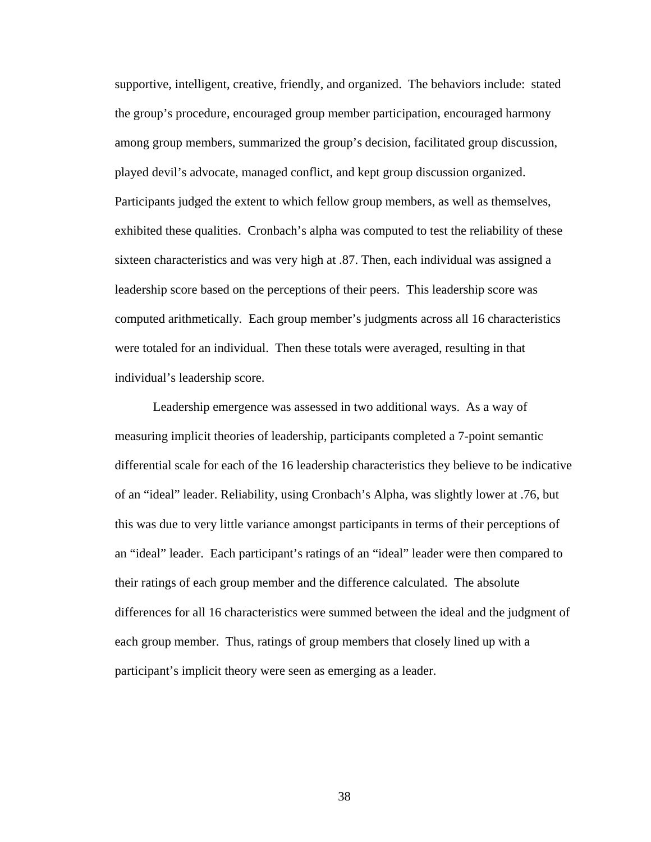supportive, intelligent, creative, friendly, and organized. The behaviors include: stated the group's procedure, encouraged group member participation, encouraged harmony among group members, summarized the group's decision, facilitated group discussion, played devil's advocate, managed conflict, and kept group discussion organized. Participants judged the extent to which fellow group members, as well as themselves, exhibited these qualities. Cronbach's alpha was computed to test the reliability of these sixteen characteristics and was very high at .87. Then, each individual was assigned a leadership score based on the perceptions of their peers. This leadership score was computed arithmetically*.* Each group member's judgments across all 16 characteristics were totaled for an individual. Then these totals were averaged, resulting in that individual's leadership score.

Leadership emergence was assessed in two additional ways. As a way of measuring implicit theories of leadership, participants completed a 7-point semantic differential scale for each of the 16 leadership characteristics they believe to be indicative of an "ideal" leader. Reliability, using Cronbach's Alpha, was slightly lower at .76, but this was due to very little variance amongst participants in terms of their perceptions of an "ideal" leader. Each participant's ratings of an "ideal" leader were then compared to their ratings of each group member and the difference calculated. The absolute differences for all 16 characteristics were summed between the ideal and the judgment of each group member. Thus, ratings of group members that closely lined up with a participant's implicit theory were seen as emerging as a leader.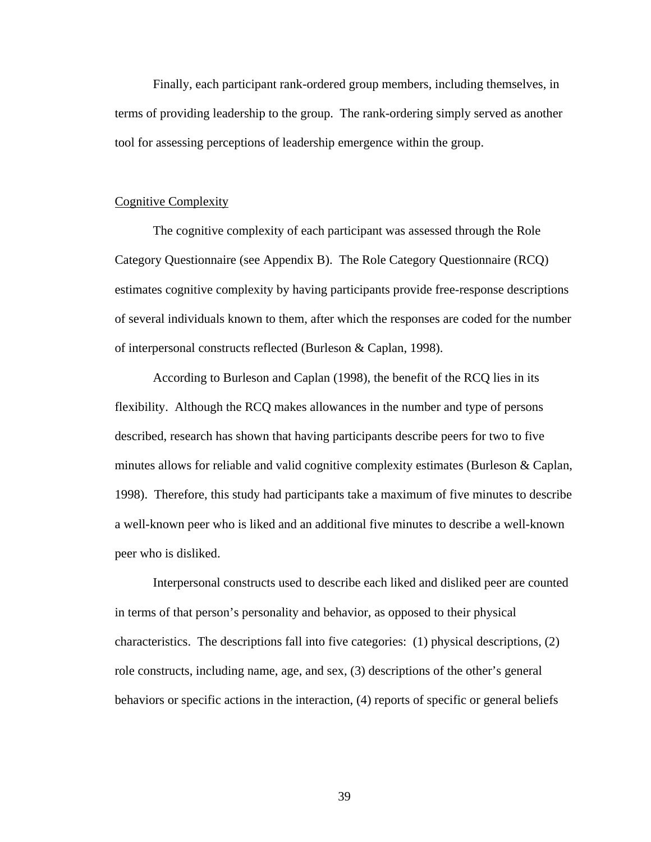Finally, each participant rank-ordered group members, including themselves, in terms of providing leadership to the group. The rank-ordering simply served as another tool for assessing perceptions of leadership emergence within the group.

#### Cognitive Complexity

The cognitive complexity of each participant was assessed through the Role Category Questionnaire (see Appendix B). The Role Category Questionnaire (RCQ) estimates cognitive complexity by having participants provide free-response descriptions of several individuals known to them, after which the responses are coded for the number of interpersonal constructs reflected (Burleson & Caplan, 1998).

According to Burleson and Caplan (1998), the benefit of the RCQ lies in its flexibility. Although the RCQ makes allowances in the number and type of persons described, research has shown that having participants describe peers for two to five minutes allows for reliable and valid cognitive complexity estimates (Burleson & Caplan, 1998). Therefore, this study had participants take a maximum of five minutes to describe a well-known peer who is liked and an additional five minutes to describe a well-known peer who is disliked.

Interpersonal constructs used to describe each liked and disliked peer are counted in terms of that person's personality and behavior, as opposed to their physical characteristics. The descriptions fall into five categories: (1) physical descriptions, (2) role constructs, including name, age, and sex, (3) descriptions of the other's general behaviors or specific actions in the interaction, (4) reports of specific or general beliefs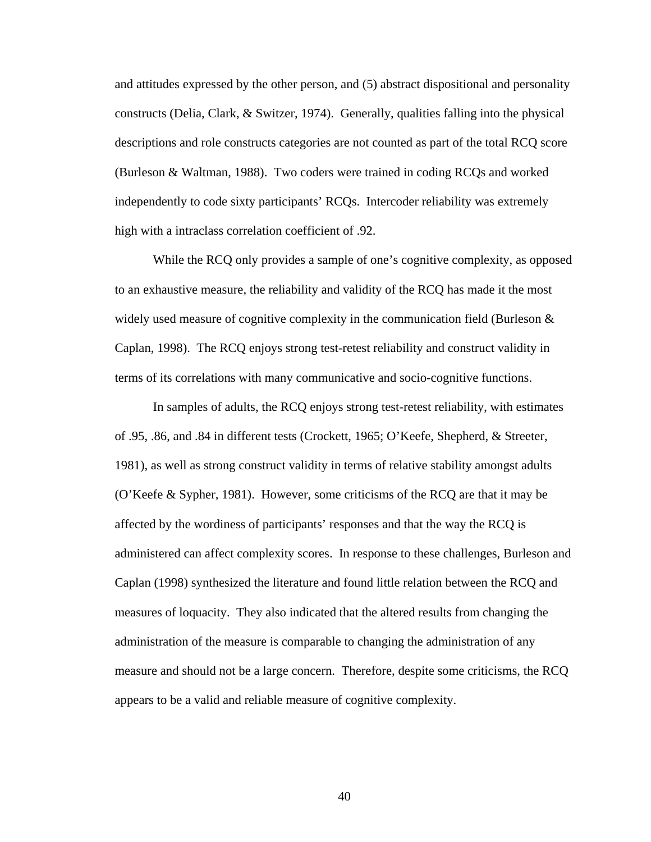and attitudes expressed by the other person, and (5) abstract dispositional and personality constructs (Delia, Clark, & Switzer, 1974). Generally, qualities falling into the physical descriptions and role constructs categories are not counted as part of the total RCQ score (Burleson & Waltman, 1988). Two coders were trained in coding RCQs and worked independently to code sixty participants' RCQs.Intercoder reliability was extremely high with a intraclass correlation coefficient of .92.

While the RCQ only provides a sample of one's cognitive complexity, as opposed to an exhaustive measure, the reliability and validity of the RCQ has made it the most widely used measure of cognitive complexity in the communication field (Burleson  $\&$ Caplan, 1998). The RCQ enjoys strong test-retest reliability and construct validity in terms of its correlations with many communicative and socio-cognitive functions.

In samples of adults, the RCQ enjoys strong test-retest reliability, with estimates of .95, .86, and .84 in different tests (Crockett, 1965; O'Keefe, Shepherd, & Streeter, 1981), as well as strong construct validity in terms of relative stability amongst adults (O'Keefe & Sypher, 1981). However, some criticisms of the RCQ are that it may be affected by the wordiness of participants' responses and that the way the RCQ is administered can affect complexity scores. In response to these challenges, Burleson and Caplan (1998) synthesized the literature and found little relation between the RCQ and measures of loquacity. They also indicated that the altered results from changing the administration of the measure is comparable to changing the administration of any measure and should not be a large concern. Therefore, despite some criticisms, the RCQ appears to be a valid and reliable measure of cognitive complexity.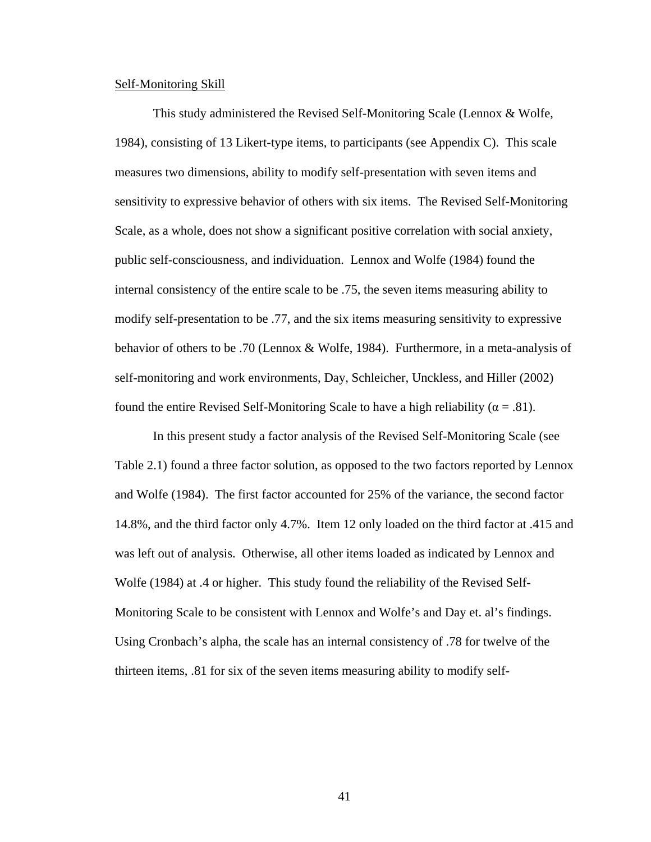#### Self-Monitoring Skill

This study administered the Revised Self-Monitoring Scale (Lennox & Wolfe, 1984), consisting of 13 Likert-type items, to participants (see Appendix C). This scale measures two dimensions, ability to modify self-presentation with seven items and sensitivity to expressive behavior of others with six items. The Revised Self-Monitoring Scale, as a whole, does not show a significant positive correlation with social anxiety, public self-consciousness, and individuation. Lennox and Wolfe (1984) found the internal consistency of the entire scale to be .75, the seven items measuring ability to modify self-presentation to be .77, and the six items measuring sensitivity to expressive behavior of others to be .70 (Lennox & Wolfe, 1984). Furthermore, in a meta-analysis of self-monitoring and work environments, Day, Schleicher, Unckless, and Hiller (2002) found the entire Revised Self-Monitoring Scale to have a high reliability ( $\alpha = .81$ ).

In this present study a factor analysis of the Revised Self-Monitoring Scale (see Table 2.1) found a three factor solution, as opposed to the two factors reported by Lennox and Wolfe (1984). The first factor accounted for 25% of the variance, the second factor 14.8%, and the third factor only 4.7%. Item 12 only loaded on the third factor at .415 and was left out of analysis. Otherwise, all other items loaded as indicated by Lennox and Wolfe (1984) at .4 or higher. This study found the reliability of the Revised Self-Monitoring Scale to be consistent with Lennox and Wolfe's and Day et. al's findings. Using Cronbach's alpha, the scale has an internal consistency of .78 for twelve of the thirteen items, .81 for six of the seven items measuring ability to modify self-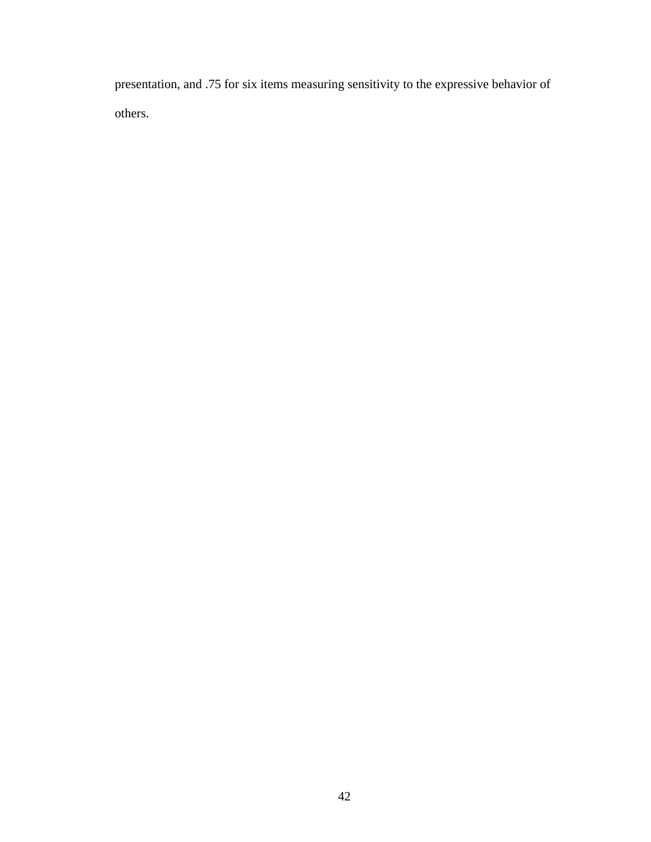presentation, and .75 for six items measuring sensitivity to the expressive behavior of others.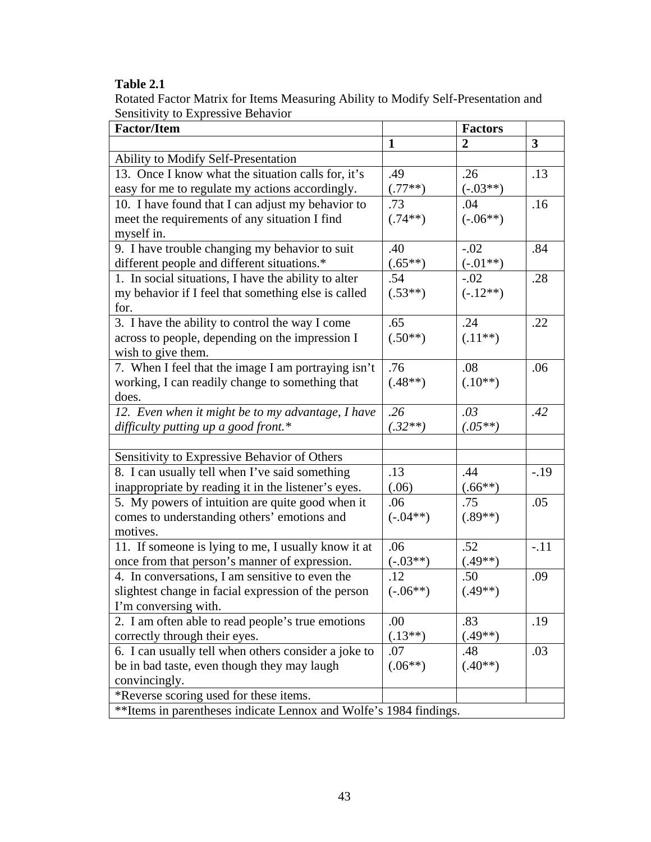# **Table 2.1**

Rotated Factor Matrix for Items Measuring Ability to Modify Self-Presentation and Sensitivity to Expressive Behavior

| <b>Factor/Item</b>                                                |              | <b>Factors</b> |              |
|-------------------------------------------------------------------|--------------|----------------|--------------|
|                                                                   | $\mathbf{1}$ | $\overline{2}$ | $\mathbf{3}$ |
| Ability to Modify Self-Presentation                               |              |                |              |
| 13. Once I know what the situation calls for, it's                | .49          | .26            | .13          |
| easy for me to regulate my actions accordingly.                   | $(.77**)$    | $(-.03**)$     |              |
| 10. I have found that I can adjust my behavior to                 | .73          | .04            | .16          |
| meet the requirements of any situation I find                     | $(.74**)$    | $(-.06**)$     |              |
| myself in.                                                        |              |                |              |
| 9. I have trouble changing my behavior to suit                    | .40          | $-.02$         | .84          |
| different people and different situations.*                       | $(.65**)$    | $(-.01**)$     |              |
| 1. In social situations, I have the ability to alter              | .54          | $-.02$         | .28          |
| my behavior if I feel that something else is called               | $(.53**)$    | $(-.12**)$     |              |
| for.                                                              |              |                |              |
| 3. I have the ability to control the way I come                   | .65          | .24            | .22          |
| across to people, depending on the impression I                   | $(.50^{**})$ | $(.11**)$      |              |
| wish to give them.                                                |              |                |              |
| 7. When I feel that the image I am portraying isn't               | .76          | .08            | .06          |
| working, I can readily change to something that                   | $(.48**)$    | $(.10**)$      |              |
| does.                                                             |              |                |              |
| 12. Even when it might be to my advantage, I have                 | .26          | .03            | .42          |
| difficulty putting up a good front.*                              | $(.32**)$    | $(.05**)$      |              |
|                                                                   |              |                |              |
| Sensitivity to Expressive Behavior of Others                      |              |                |              |
| 8. I can usually tell when I've said something                    | .13          | .44            | $-.19$       |
| inappropriate by reading it in the listener's eyes.               | (.06)        | $(.66**)$      |              |
| 5. My powers of intuition are quite good when it                  | .06          | .75            | .05          |
| comes to understanding others' emotions and                       | $(-.04**)$   | $(.89**)$      |              |
| motives.                                                          |              |                |              |
| 11. If someone is lying to me, I usually know it at               | .06          | .52            | $-.11$       |
| once from that person's manner of expression.                     | $(-.03**)$   | $(.49**)$      |              |
| 4. In conversations, I am sensitive to even the                   | .12          | .50            | .09          |
| slightest change in facial expression of the person               | $(-.06**)$   | $(.49**)$      |              |
| I'm conversing with.                                              |              |                |              |
| 2. I am often able to read people's true emotions                 | .00          | .83            | .19          |
| correctly through their eyes.                                     | $(.13**)$    | $(.49**)$      |              |
| 6. I can usually tell when others consider a joke to              | .07          | .48            | .03          |
| be in bad taste, even though they may laugh                       | $(.06**)$    | $(.40**)$      |              |
| convincingly.                                                     |              |                |              |
| *Reverse scoring used for these items.                            |              |                |              |
| **Items in parentheses indicate Lennox and Wolfe's 1984 findings. |              |                |              |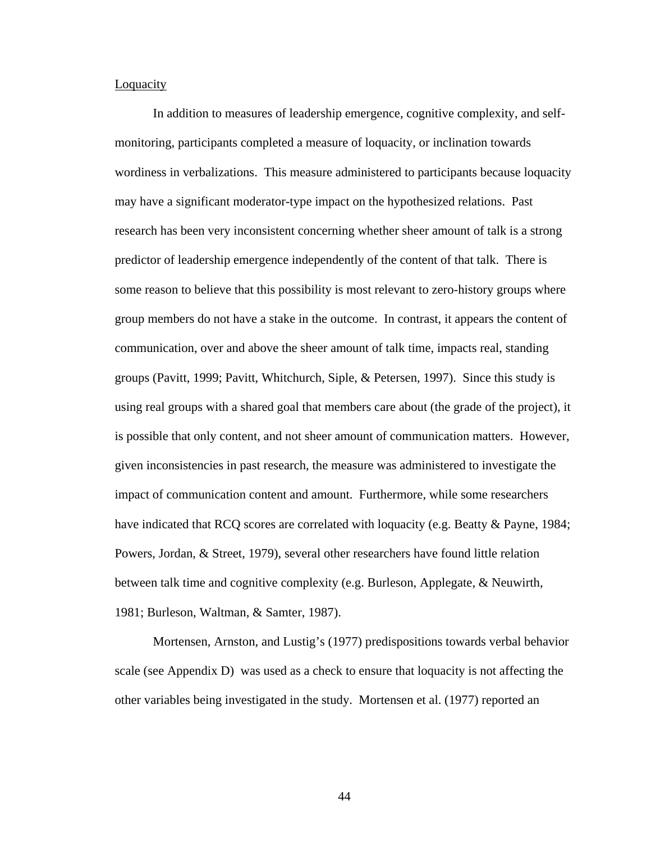#### **Loquacity**

In addition to measures of leadership emergence, cognitive complexity, and selfmonitoring, participants completed a measure of loquacity, or inclination towards wordiness in verbalizations. This measure administered to participants because loquacity may have a significant moderator-type impact on the hypothesized relations. Past research has been very inconsistent concerning whether sheer amount of talk is a strong predictor of leadership emergence independently of the content of that talk. There is some reason to believe that this possibility is most relevant to zero-history groups where group members do not have a stake in the outcome. In contrast, it appears the content of communication, over and above the sheer amount of talk time, impacts real, standing groups (Pavitt, 1999; Pavitt, Whitchurch, Siple, & Petersen, 1997). Since this study is using real groups with a shared goal that members care about (the grade of the project), it is possible that only content, and not sheer amount of communication matters. However, given inconsistencies in past research, the measure was administered to investigate the impact of communication content and amount. Furthermore, while some researchers have indicated that RCQ scores are correlated with loquacity (e.g. Beatty & Payne, 1984; Powers, Jordan, & Street, 1979), several other researchers have found little relation between talk time and cognitive complexity (e.g. Burleson, Applegate, & Neuwirth, 1981; Burleson, Waltman, & Samter, 1987).

Mortensen, Arnston, and Lustig's (1977) predispositions towards verbal behavior scale (see Appendix D) was used as a check to ensure that loquacity is not affecting the other variables being investigated in the study. Mortensen et al. (1977) reported an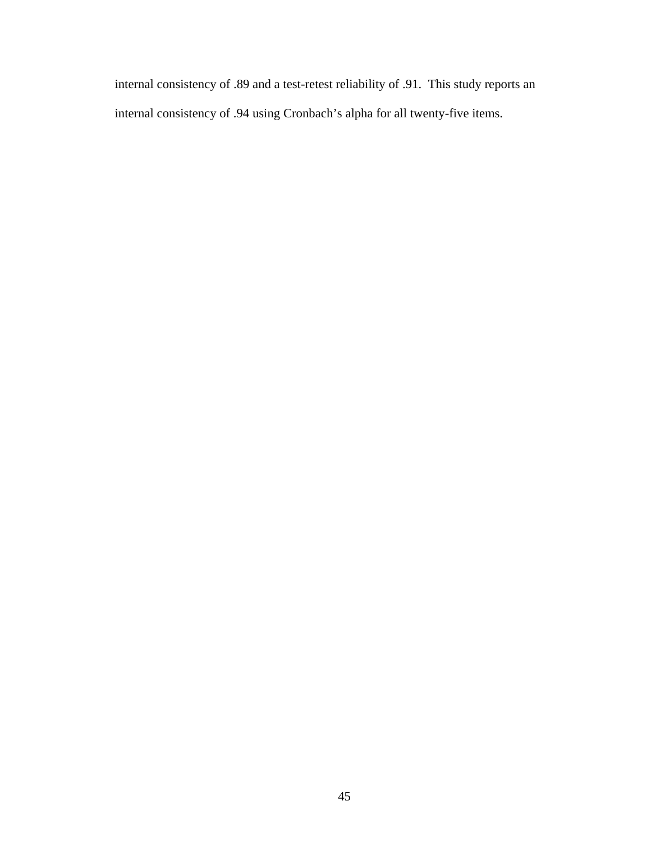internal consistency of .89 and a test-retest reliability of .91. This study reports an internal consistency of .94 using Cronbach's alpha for all twenty-five items.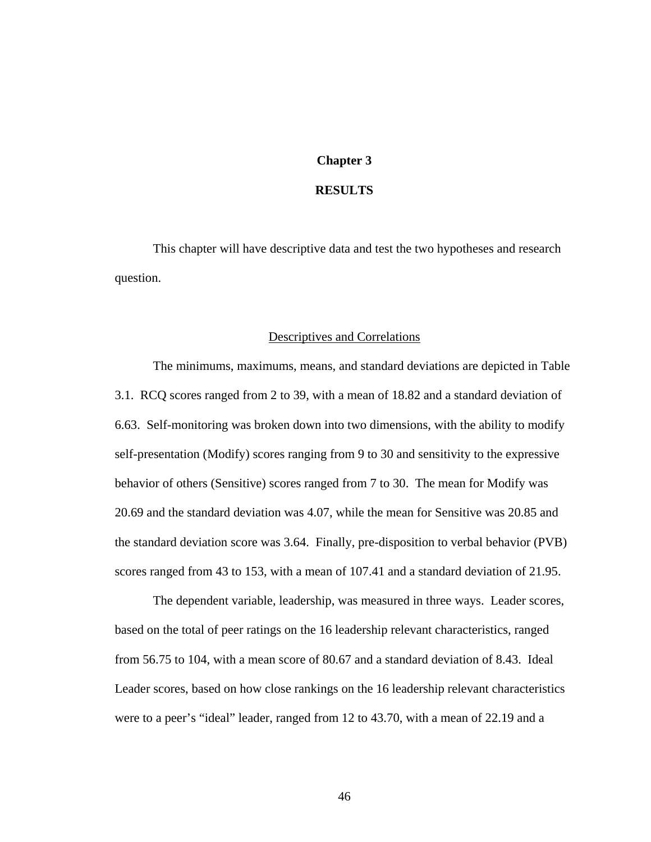# **Chapter 3**

#### **RESULTS**

This chapter will have descriptive data and test the two hypotheses and research question.

#### Descriptives and Correlations

The minimums, maximums, means, and standard deviations are depicted in Table 3.1. RCQ scores ranged from 2 to 39, with a mean of 18.82 and a standard deviation of 6.63. Self-monitoring was broken down into two dimensions, with the ability to modify self-presentation (Modify) scores ranging from 9 to 30 and sensitivity to the expressive behavior of others (Sensitive) scores ranged from 7 to 30. The mean for Modify was 20.69 and the standard deviation was 4.07, while the mean for Sensitive was 20.85 and the standard deviation score was 3.64. Finally, pre-disposition to verbal behavior (PVB) scores ranged from 43 to 153, with a mean of 107.41 and a standard deviation of 21.95.

The dependent variable, leadership, was measured in three ways. Leader scores, based on the total of peer ratings on the 16 leadership relevant characteristics, ranged from 56.75 to 104, with a mean score of 80.67 and a standard deviation of 8.43. Ideal Leader scores, based on how close rankings on the 16 leadership relevant characteristics were to a peer's "ideal" leader, ranged from 12 to 43.70, with a mean of 22.19 and a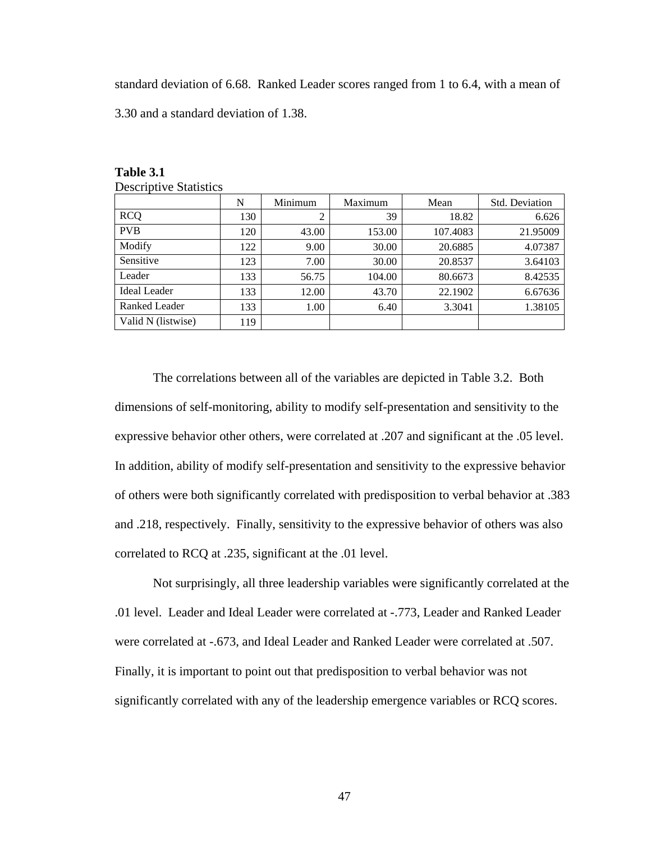standard deviation of 6.68. Ranked Leader scores ranged from 1 to 6.4, with a mean of

3.30 and a standard deviation of 1.38.

|                      | N   | Minimum | Maximum | Mean     | Std. Deviation |
|----------------------|-----|---------|---------|----------|----------------|
| <b>RCQ</b>           | 130 | 2       | 39      | 18.82    | 6.626          |
| <b>PVB</b>           | 120 | 43.00   | 153.00  | 107.4083 | 21.95009       |
| Modify               | 122 | 9.00    | 30.00   | 20.6885  | 4.07387        |
| Sensitive            | 123 | 7.00    | 30.00   | 20.8537  | 3.64103        |
| Leader               | 133 | 56.75   | 104.00  | 80.6673  | 8.42535        |
| <b>Ideal Leader</b>  | 133 | 12.00   | 43.70   | 22.1902  | 6.67636        |
| <b>Ranked Leader</b> | 133 | 1.00    | 6.40    | 3.3041   | 1.38105        |
| Valid N (listwise)   | 119 |         |         |          |                |

**Table 3.1**  Descriptive Statistics

The correlations between all of the variables are depicted in Table 3.2. Both dimensions of self-monitoring, ability to modify self-presentation and sensitivity to the expressive behavior other others, were correlated at .207 and significant at the .05 level. In addition, ability of modify self-presentation and sensitivity to the expressive behavior of others were both significantly correlated with predisposition to verbal behavior at .383 and .218, respectively. Finally, sensitivity to the expressive behavior of others was also correlated to RCQ at .235, significant at the .01 level.

Not surprisingly, all three leadership variables were significantly correlated at the .01 level. Leader and Ideal Leader were correlated at -.773, Leader and Ranked Leader were correlated at -.673, and Ideal Leader and Ranked Leader were correlated at .507. Finally, it is important to point out that predisposition to verbal behavior was not significantly correlated with any of the leadership emergence variables or RCQ scores.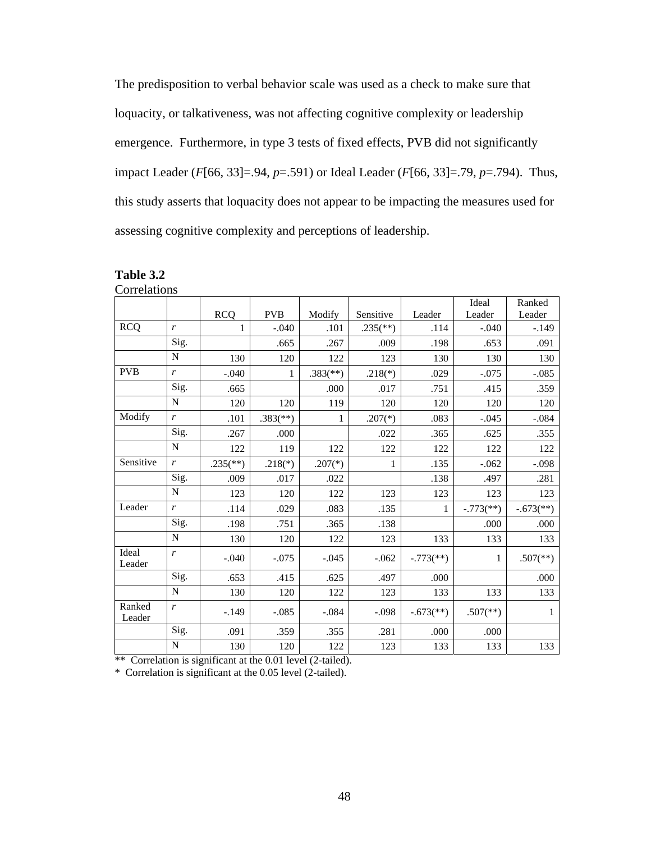The predisposition to verbal behavior scale was used as a check to make sure that loquacity, or talkativeness, was not affecting cognitive complexity or leadership emergence. Furthermore, in type 3 tests of fixed effects, PVB did not significantly impact Leader (*F*[66, 33]=.94, *p*=.591) or Ideal Leader (*F*[66, 33]=.79, *p*=.794). Thus, this study asserts that loquacity does not appear to be impacting the measures used for assessing cognitive complexity and perceptions of leadership.

|                  |                  |                          |                          |                          |                          |                           | Ideal                   | Ranked                    |
|------------------|------------------|--------------------------|--------------------------|--------------------------|--------------------------|---------------------------|-------------------------|---------------------------|
|                  |                  | <b>RCQ</b>               | <b>PVB</b>               | Modify                   | Sensitive                | Leader                    | Leader                  | Leader                    |
| <b>RCQ</b>       | $\boldsymbol{r}$ | 1                        | $-.040$                  | .101                     | $.235$ <sup>(**)</sup> ) | .114                      | $-.040$                 | $-.149$                   |
|                  | Sig.             |                          | .665                     | .267                     | .009                     | .198                      | .653                    | .091                      |
|                  | $\mathbf N$      | 130                      | 120                      | 122                      | 123                      | 130                       | 130                     | 130                       |
| <b>PVB</b>       | $\boldsymbol{r}$ | $-.040$                  | 1                        | $.383$ <sup>(**)</sup> ) | $.218(*)$                | .029                      | $-.075$                 | $-.085$                   |
|                  | Sig.             | .665                     |                          | .000                     | .017                     | .751                      | .415                    | .359                      |
|                  | $\mathbf N$      | 120                      | 120                      | 119                      | 120                      | 120                       | 120                     | 120                       |
| Modify           | $\boldsymbol{r}$ | .101                     | $.383$ <sup>(**)</sup> ) | 1                        | $.207(*)$                | .083                      | $-.045$                 | $-.084$                   |
|                  | Sig.             | .267                     | .000                     |                          | .022                     | .365                      | .625                    | .355                      |
|                  | $\mathbf N$      | 122                      | 119                      | 122                      | 122                      | 122                       | 122                     | 122                       |
| Sensitive        | $\boldsymbol{r}$ | $.235$ <sup>(**)</sup> ) | $.218(*)$                | $.207(*)$                | 1                        | .135                      | $-.062$                 | $-.098$                   |
|                  | Sig.             | .009                     | .017                     | .022                     |                          | .138                      | .497                    | .281                      |
|                  | $\mathbf N$      | 123                      | 120                      | 122                      | 123                      | 123                       | 123                     | 123                       |
| Leader           | r                | .114                     | .029                     | .083                     | .135                     | 1                         | $-.773$ <sup>**</sup> ) | $-.673$ <sup>(**)</sup> ) |
|                  | Sig.             | .198                     | .751                     | .365                     | .138                     |                           | .000                    | .000                      |
|                  | N                | 130                      | 120                      | 122                      | 123                      | 133                       | 133                     | 133                       |
| Ideal<br>Leader  | $\boldsymbol{r}$ | $-.040$                  | $-.075$                  | $-.045$                  | $-.062$                  | $-.773$ <sup>(**)</sup> ) | $\mathbf{1}$            | $.507$ <sup>(**)</sup> )  |
|                  | Sig.             | .653                     | .415                     | .625                     | .497                     | .000                      |                         | .000                      |
|                  | $\mathbf N$      | 130                      | 120                      | 122                      | 123                      | 133                       | 133                     | 133                       |
| Ranked<br>Leader | r                | $-.149$                  | $-.085$                  | $-.084$                  | $-.098$                  | $-.673$ <sup>**</sup> )   | $.507$ <sup>**</sup> )  | 1                         |
|                  | Sig.             | .091                     | .359                     | .355                     | .281                     | .000                      | .000                    |                           |
|                  | ${\bf N}$        | 130                      | 120                      | 122                      | 123                      | 133                       | 133                     | 133                       |

| <b>Table 3.2</b> |
|------------------|
| Correlations     |

\*\* Correlation is significant at the 0.01 level (2-tailed).

\* Correlation is significant at the 0.05 level (2-tailed).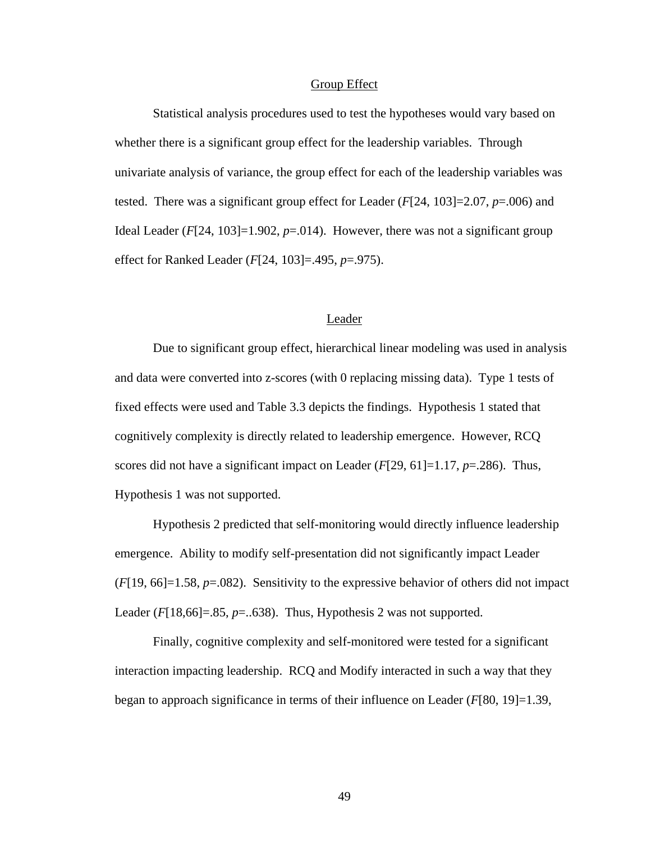#### Group Effect

Statistical analysis procedures used to test the hypotheses would vary based on whether there is a significant group effect for the leadership variables. Through univariate analysis of variance, the group effect for each of the leadership variables was tested. There was a significant group effect for Leader  $(F[24, 103] = 2.07, p = .006)$  and Ideal Leader ( $F[24, 103] = 1.902$ ,  $p = .014$ ). However, there was not a significant group effect for Ranked Leader (*F*[24, 103]=.495, *p*=.975).

#### Leader

Due to significant group effect, hierarchical linear modeling was used in analysis and data were converted into z-scores (with 0 replacing missing data). Type 1 tests of fixed effects were used and Table 3.3 depicts the findings. Hypothesis 1 stated that cognitively complexity is directly related to leadership emergence. However, RCQ scores did not have a significant impact on Leader (*F*[29, 61]=1.17, *p*=.286). Thus, Hypothesis 1 was not supported.

Hypothesis 2 predicted that self-monitoring would directly influence leadership emergence. Ability to modify self-presentation did not significantly impact Leader (*F*[19, 66]=1.58, *p*=.082). Sensitivity to the expressive behavior of others did not impact Leader ( $F[18,66] = .85$ ,  $p = .638$ ). Thus, Hypothesis 2 was not supported.

Finally, cognitive complexity and self-monitored were tested for a significant interaction impacting leadership. RCQ and Modify interacted in such a way that they began to approach significance in terms of their influence on Leader (*F*[80, 19]=1.39,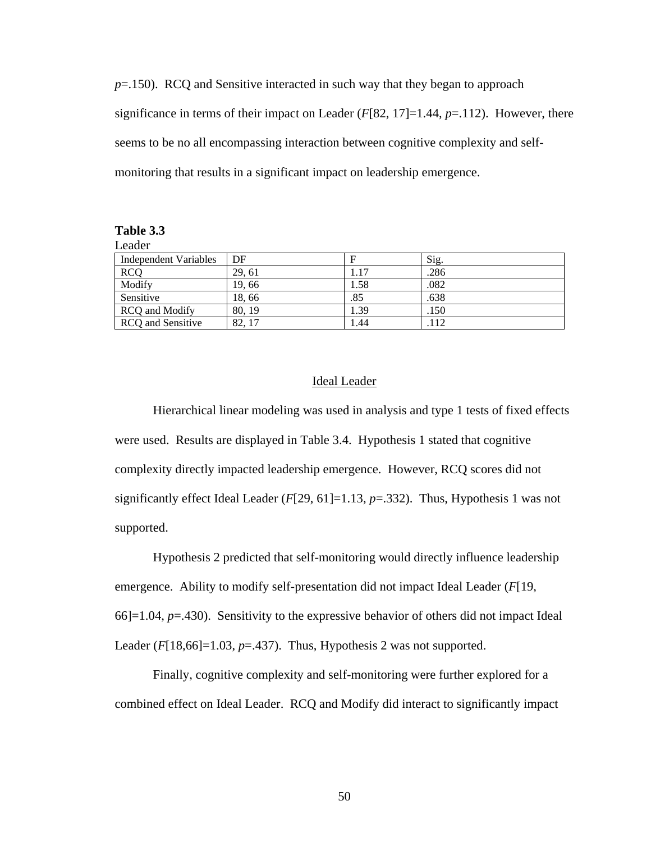*p*=.150). RCQ and Sensitive interacted in such way that they began to approach significance in terms of their impact on Leader  $(F[82, 17]=1.44, p=.112)$ . However, there seems to be no all encompassing interaction between cognitive complexity and selfmonitoring that results in a significant impact on leadership emergence.

| Table 3.3 |  |
|-----------|--|
|-----------|--|

Leader

| Independent Variables | DF     |      | Sig. |
|-----------------------|--------|------|------|
| <b>RCQ</b>            | 29, 61 | 1.17 | .286 |
| Modify                | 19,66  | 1.58 | .082 |
| Sensitive             | 18,66  | .85  | .638 |
| RCQ and Modify        | 80, 19 | 1.39 | .150 |
| RCQ and Sensitive     | 82.17  | .44  | .112 |

#### Ideal Leader

Hierarchical linear modeling was used in analysis and type 1 tests of fixed effects were used. Results are displayed in Table 3.4. Hypothesis 1 stated that cognitive complexity directly impacted leadership emergence. However, RCQ scores did not significantly effect Ideal Leader (*F*[29, 61]=1.13, *p*=.332). Thus, Hypothesis 1 was not supported.

Hypothesis 2 predicted that self-monitoring would directly influence leadership emergence. Ability to modify self-presentation did not impact Ideal Leader (*F*[19, 66]=1.04, *p*=.430). Sensitivity to the expressive behavior of others did not impact Ideal Leader (*F*[18,66]=1.03, *p*=.437). Thus, Hypothesis 2 was not supported.

Finally, cognitive complexity and self-monitoring were further explored for a combined effect on Ideal Leader. RCQ and Modify did interact to significantly impact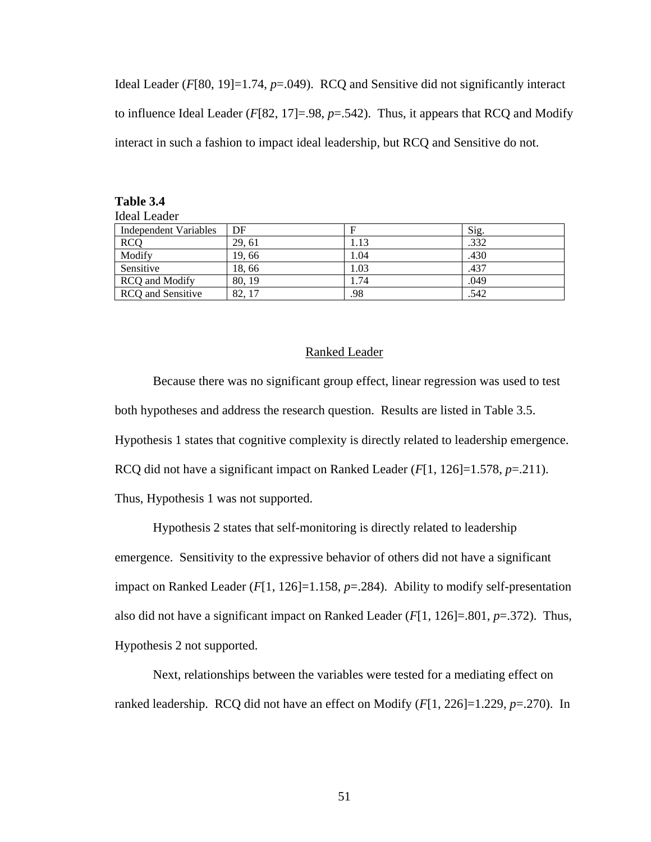Ideal Leader (*F*[80, 19]=1.74, *p*=.049). RCQ and Sensitive did not significantly interact to influence Ideal Leader (*F*[82, 17]=.98, *p*=.542). Thus, it appears that RCQ and Modify interact in such a fashion to impact ideal leadership, but RCQ and Sensitive do not.

| Ideal Leader             |        |      |      |
|--------------------------|--------|------|------|
| Independent Variables    | DF     |      | Sig. |
| <b>RCQ</b>               | 29.61  | 1.13 | .332 |
| Modify                   | 19.66  | 1.04 | .430 |
| Sensitive                | 18,66  | 1.03 | .437 |
| <b>RCQ</b> and Modify    | 80, 19 | 1.74 | .049 |
| <b>RCQ</b> and Sensitive | 82.17  | .98  | .542 |

**Table 3.4** 

#### Ranked Leader

Because there was no significant group effect, linear regression was used to test both hypotheses and address the research question. Results are listed in Table 3.5. Hypothesis 1 states that cognitive complexity is directly related to leadership emergence. RCQ did not have a significant impact on Ranked Leader (*F*[1, 126]=1.578, *p*=.211). Thus, Hypothesis 1 was not supported.

Hypothesis 2 states that self-monitoring is directly related to leadership emergence. Sensitivity to the expressive behavior of others did not have a significant impact on Ranked Leader (*F*[1, 126]=1.158, *p*=.284). Ability to modify self-presentation also did not have a significant impact on Ranked Leader (*F*[1, 126]=.801, *p*=.372). Thus, Hypothesis 2 not supported.

Next, relationships between the variables were tested for a mediating effect on ranked leadership. RCQ did not have an effect on Modify (*F*[1, 226]=1.229, *p*=.270). In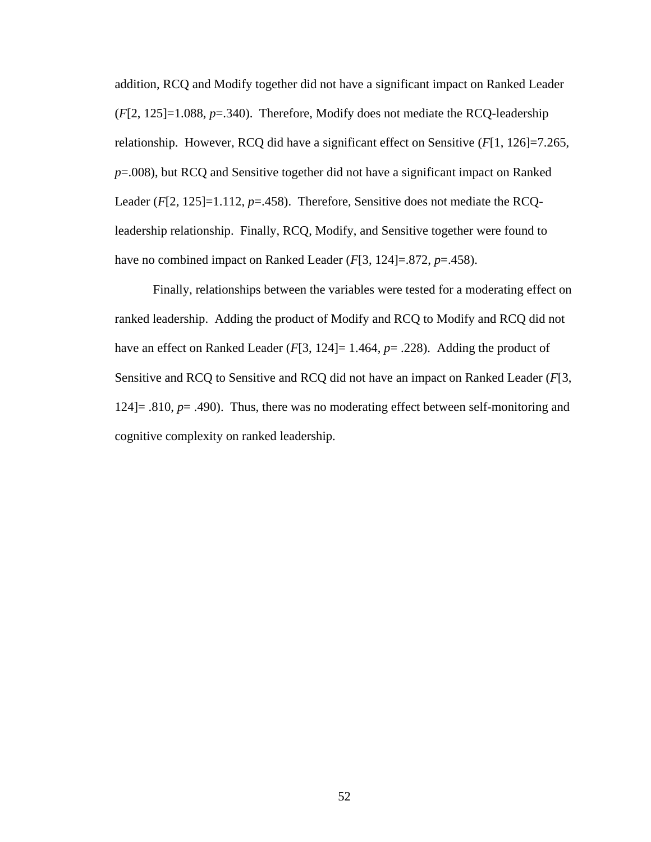addition, RCQ and Modify together did not have a significant impact on Ranked Leader (*F*[2, 125]=1.088, *p*=.340). Therefore, Modify does not mediate the RCQ-leadership relationship. However, RCQ did have a significant effect on Sensitive (*F*[1, 126]=7.265, *p*=.008), but RCQ and Sensitive together did not have a significant impact on Ranked Leader (*F*[2, 125]=1.112, *p*=.458). Therefore, Sensitive does not mediate the RCQleadership relationship. Finally, RCQ, Modify, and Sensitive together were found to have no combined impact on Ranked Leader (*F*[3, 124]=.872, *p*=.458).

Finally, relationships between the variables were tested for a moderating effect on ranked leadership. Adding the product of Modify and RCQ to Modify and RCQ did not have an effect on Ranked Leader (*F*[3, 124]= 1.464, *p*= .228). Adding the product of Sensitive and RCQ to Sensitive and RCQ did not have an impact on Ranked Leader (*F*[3, 124]= .810, *p*= .490). Thus, there was no moderating effect between self-monitoring and cognitive complexity on ranked leadership.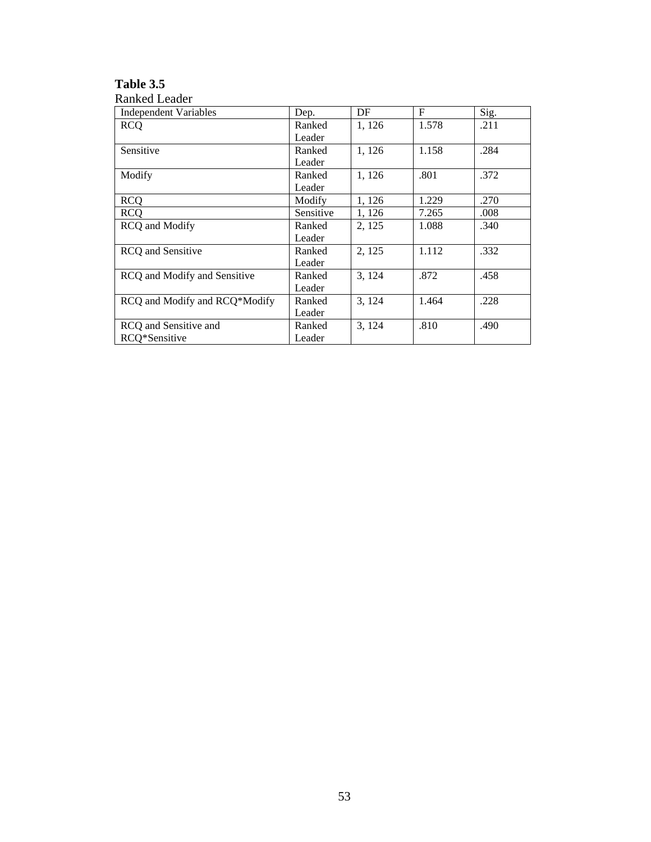### **Table 3.5**

| <b>Ranked Leader</b>          |           |        |             |      |
|-------------------------------|-----------|--------|-------------|------|
| <b>Independent Variables</b>  | Dep.      | DF     | $\mathbf F$ | Sig. |
| <b>RCQ</b>                    | Ranked    | 1, 126 | 1.578       | .211 |
|                               | Leader    |        |             |      |
| Sensitive                     | Ranked    | 1, 126 | 1.158       | .284 |
|                               | Leader    |        |             |      |
| Modify                        | Ranked    | 1, 126 | .801        | .372 |
|                               | Leader    |        |             |      |
| <b>RCQ</b>                    | Modify    | 1, 126 | 1.229       | .270 |
| <b>RCO</b>                    | Sensitive | 1, 126 | 7.265       | .008 |
| <b>RCQ</b> and Modify         | Ranked    | 2, 125 | 1.088       | .340 |
|                               | Leader    |        |             |      |
| <b>RCQ</b> and Sensitive      | Ranked    | 2, 125 | 1.112       | .332 |
|                               | Leader    |        |             |      |
| RCQ and Modify and Sensitive  | Ranked    | 3, 124 | .872        | .458 |
|                               | Leader    |        |             |      |
| RCQ and Modify and RCQ*Modify | Ranked    | 3, 124 | 1.464       | .228 |
|                               | Leader    |        |             |      |
| RCQ and Sensitive and         | Ranked    | 3, 124 | .810        | .490 |
| RCO*Sensitive                 | Leader    |        |             |      |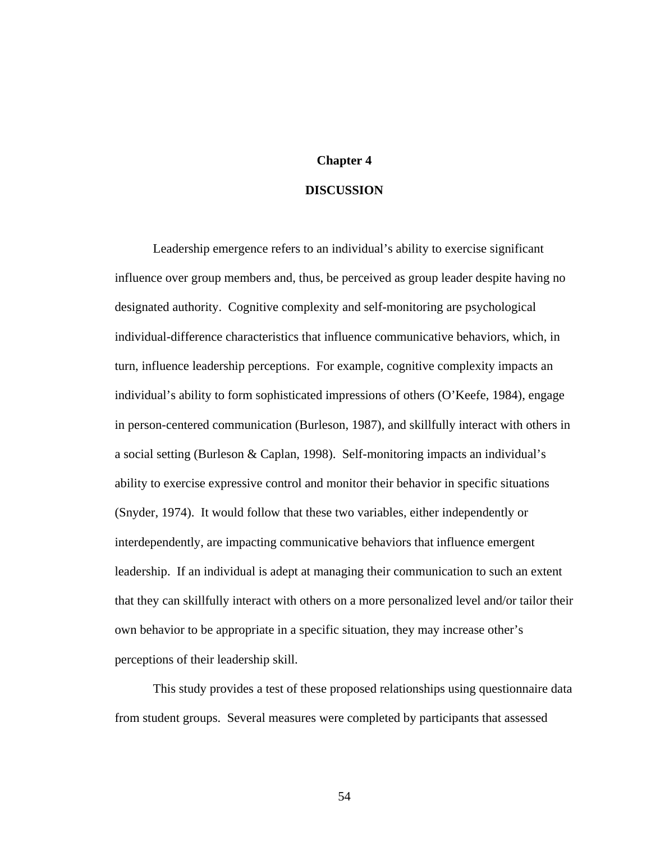# **Chapter 4**

#### **DISCUSSION**

Leadership emergence refers to an individual's ability to exercise significant influence over group members and, thus, be perceived as group leader despite having no designated authority. Cognitive complexity and self-monitoring are psychological individual-difference characteristics that influence communicative behaviors, which, in turn, influence leadership perceptions. For example, cognitive complexity impacts an individual's ability to form sophisticated impressions of others (O'Keefe, 1984), engage in person-centered communication (Burleson, 1987), and skillfully interact with others in a social setting (Burleson & Caplan, 1998). Self-monitoring impacts an individual's ability to exercise expressive control and monitor their behavior in specific situations (Snyder, 1974). It would follow that these two variables, either independently or interdependently, are impacting communicative behaviors that influence emergent leadership. If an individual is adept at managing their communication to such an extent that they can skillfully interact with others on a more personalized level and/or tailor their own behavior to be appropriate in a specific situation, they may increase other's perceptions of their leadership skill.

This study provides a test of these proposed relationships using questionnaire data from student groups. Several measures were completed by participants that assessed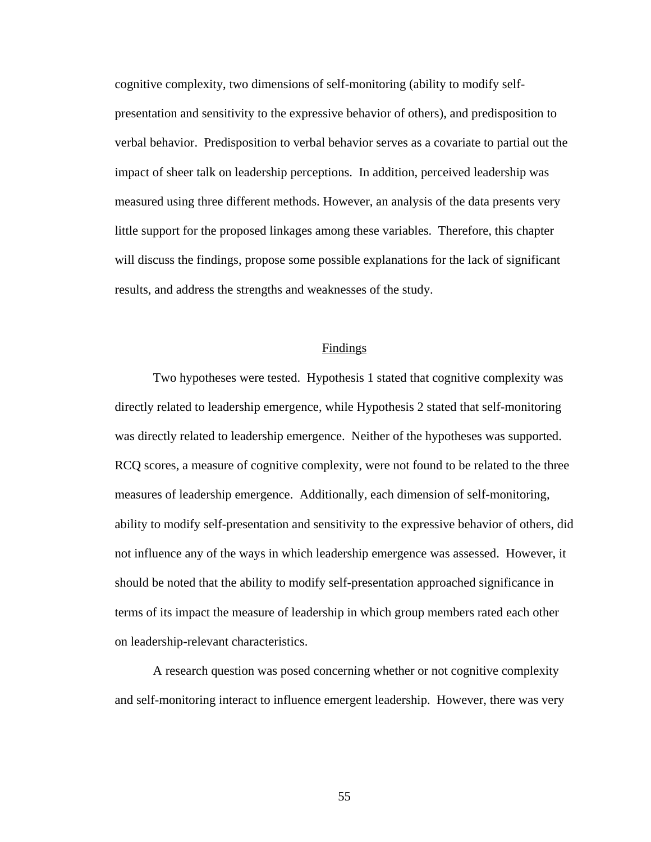cognitive complexity, two dimensions of self-monitoring (ability to modify selfpresentation and sensitivity to the expressive behavior of others), and predisposition to verbal behavior. Predisposition to verbal behavior serves as a covariate to partial out the impact of sheer talk on leadership perceptions. In addition, perceived leadership was measured using three different methods. However, an analysis of the data presents very little support for the proposed linkages among these variables. Therefore, this chapter will discuss the findings, propose some possible explanations for the lack of significant results, and address the strengths and weaknesses of the study.

#### Findings

Two hypotheses were tested. Hypothesis 1 stated that cognitive complexity was directly related to leadership emergence, while Hypothesis 2 stated that self-monitoring was directly related to leadership emergence. Neither of the hypotheses was supported. RCQ scores, a measure of cognitive complexity, were not found to be related to the three measures of leadership emergence. Additionally, each dimension of self-monitoring, ability to modify self-presentation and sensitivity to the expressive behavior of others, did not influence any of the ways in which leadership emergence was assessed. However, it should be noted that the ability to modify self-presentation approached significance in terms of its impact the measure of leadership in which group members rated each other on leadership-relevant characteristics.

A research question was posed concerning whether or not cognitive complexity and self-monitoring interact to influence emergent leadership. However, there was very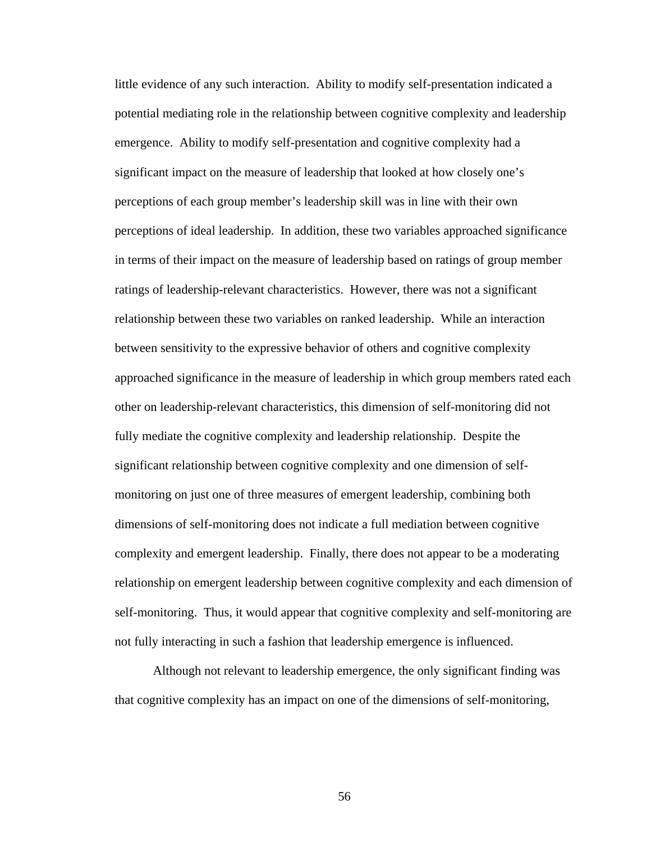little evidence of any such interaction. Ability to modify self-presentation indicated a potential mediating role in the relationship between cognitive complexity and leadership emergence. Ability to modify self-presentation and cognitive complexity had a significant impact on the measure of leadership that looked at how closely one's perceptions of each group member's leadership skill was in line with their own perceptions of ideal leadership. In addition, these two variables approached significance in terms of their impact on the measure of leadership based on ratings of group member ratings of leadership-relevant characteristics. However, there was not a significant relationship between these two variables on ranked leadership. While an interaction between sensitivity to the expressive behavior of others and cognitive complexity approached significance in the measure of leadership in which group members rated each other on leadership-relevant characteristics, this dimension of self-monitoring did not fully mediate the cognitive complexity and leadership relationship. Despite the significant relationship between cognitive complexity and one dimension of selfmonitoring on just one of three measures of emergent leadership, combining both dimensions of self-monitoring does not indicate a full mediation between cognitive complexity and emergent leadership. Finally, there does not appear to be a moderating relationship on emergent leadership between cognitive complexity and each dimension of self-monitoring. Thus, it would appear that cognitive complexity and self-monitoring are not fully interacting in such a fashion that leadership emergence is influenced.

Although not relevant to leadership emergence, the only significant finding was that cognitive complexity has an impact on one of the dimensions of self-monitoring,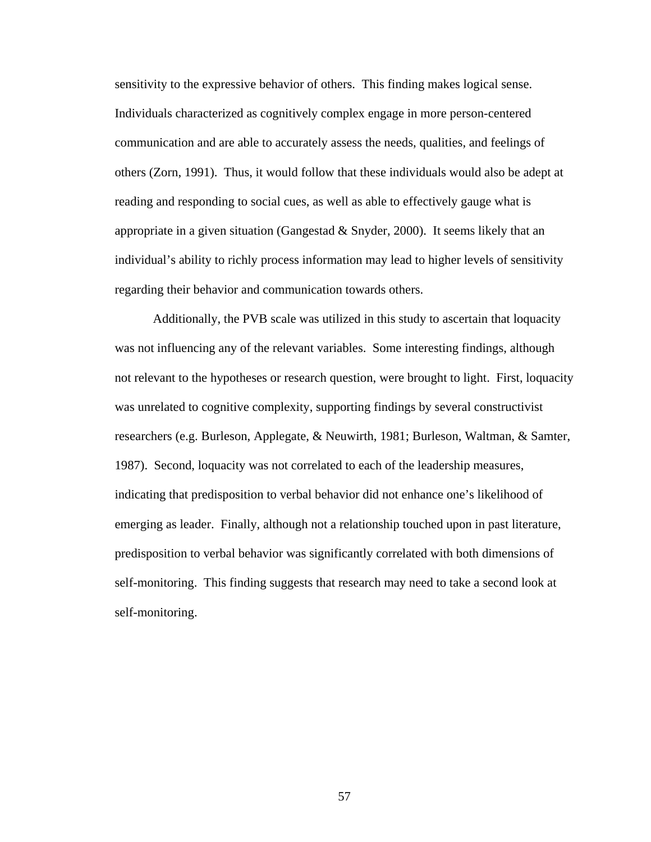sensitivity to the expressive behavior of others. This finding makes logical sense. Individuals characterized as cognitively complex engage in more person-centered communication and are able to accurately assess the needs, qualities, and feelings of others (Zorn, 1991). Thus, it would follow that these individuals would also be adept at reading and responding to social cues, as well as able to effectively gauge what is appropriate in a given situation (Gangestad & Snyder, 2000). It seems likely that an individual's ability to richly process information may lead to higher levels of sensitivity regarding their behavior and communication towards others.

Additionally, the PVB scale was utilized in this study to ascertain that loquacity was not influencing any of the relevant variables. Some interesting findings, although not relevant to the hypotheses or research question, were brought to light. First, loquacity was unrelated to cognitive complexity, supporting findings by several constructivist researchers (e.g. Burleson, Applegate, & Neuwirth, 1981; Burleson, Waltman, & Samter, 1987). Second, loquacity was not correlated to each of the leadership measures, indicating that predisposition to verbal behavior did not enhance one's likelihood of emerging as leader. Finally, although not a relationship touched upon in past literature, predisposition to verbal behavior was significantly correlated with both dimensions of self-monitoring. This finding suggests that research may need to take a second look at self-monitoring.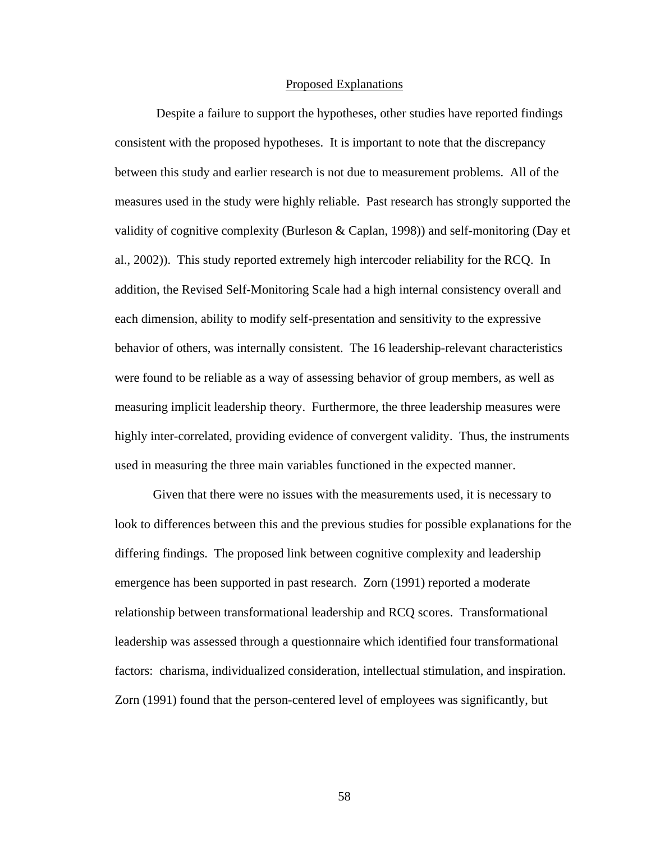#### Proposed Explanations

 Despite a failure to support the hypotheses, other studies have reported findings consistent with the proposed hypotheses. It is important to note that the discrepancy between this study and earlier research is not due to measurement problems. All of the measures used in the study were highly reliable. Past research has strongly supported the validity of cognitive complexity (Burleson & Caplan, 1998)) and self-monitoring (Day et al., 2002)). This study reported extremely high intercoder reliability for the RCQ. In addition, the Revised Self-Monitoring Scale had a high internal consistency overall and each dimension, ability to modify self-presentation and sensitivity to the expressive behavior of others, was internally consistent. The 16 leadership-relevant characteristics were found to be reliable as a way of assessing behavior of group members, as well as measuring implicit leadership theory. Furthermore, the three leadership measures were highly inter-correlated, providing evidence of convergent validity. Thus, the instruments used in measuring the three main variables functioned in the expected manner.

 Given that there were no issues with the measurements used, it is necessary to look to differences between this and the previous studies for possible explanations for the differing findings. The proposed link between cognitive complexity and leadership emergence has been supported in past research. Zorn (1991) reported a moderate relationship between transformational leadership and RCQ scores. Transformational leadership was assessed through a questionnaire which identified four transformational factors: charisma, individualized consideration, intellectual stimulation, and inspiration. Zorn (1991) found that the person-centered level of employees was significantly, but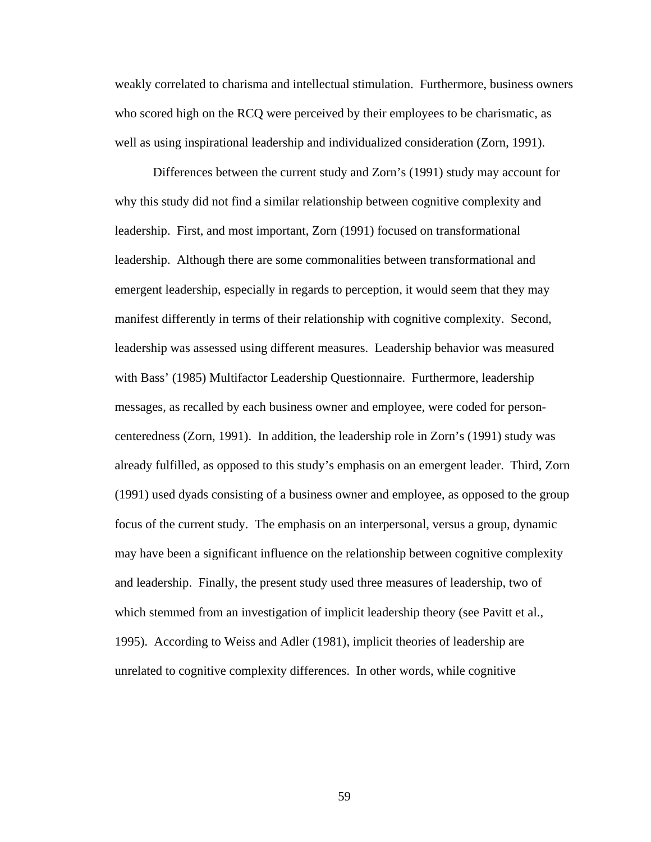weakly correlated to charisma and intellectual stimulation. Furthermore, business owners who scored high on the RCQ were perceived by their employees to be charismatic, as well as using inspirational leadership and individualized consideration (Zorn, 1991).

Differences between the current study and Zorn's (1991) study may account for why this study did not find a similar relationship between cognitive complexity and leadership. First, and most important, Zorn (1991) focused on transformational leadership. Although there are some commonalities between transformational and emergent leadership, especially in regards to perception, it would seem that they may manifest differently in terms of their relationship with cognitive complexity. Second, leadership was assessed using different measures. Leadership behavior was measured with Bass' (1985) Multifactor Leadership Questionnaire. Furthermore, leadership messages, as recalled by each business owner and employee, were coded for personcenteredness (Zorn, 1991). In addition, the leadership role in Zorn's (1991) study was already fulfilled, as opposed to this study's emphasis on an emergent leader. Third, Zorn (1991) used dyads consisting of a business owner and employee, as opposed to the group focus of the current study. The emphasis on an interpersonal, versus a group, dynamic may have been a significant influence on the relationship between cognitive complexity and leadership. Finally, the present study used three measures of leadership, two of which stemmed from an investigation of implicit leadership theory (see Pavitt et al., 1995). According to Weiss and Adler (1981), implicit theories of leadership are unrelated to cognitive complexity differences. In other words, while cognitive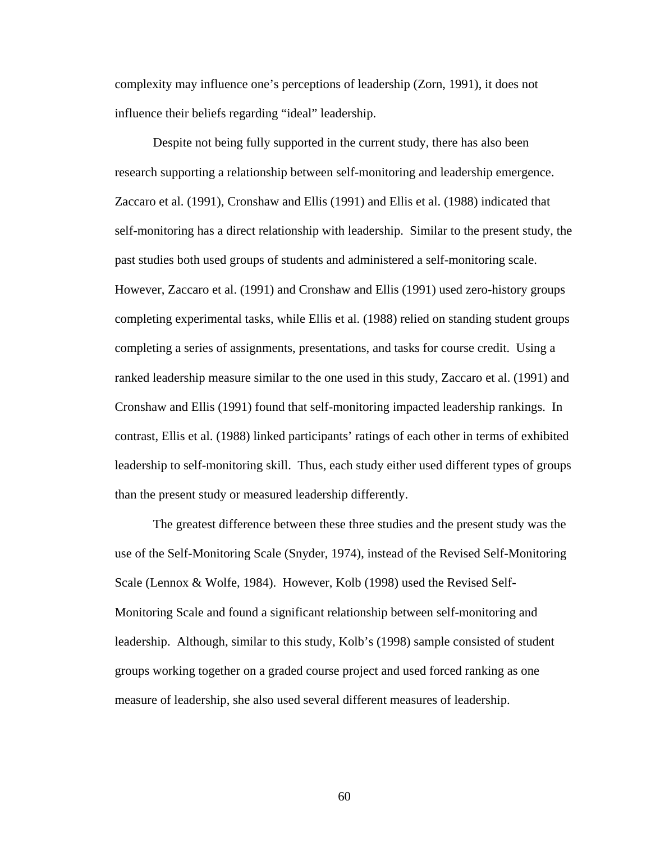complexity may influence one's perceptions of leadership (Zorn, 1991), it does not influence their beliefs regarding "ideal" leadership.

Despite not being fully supported in the current study, there has also been research supporting a relationship between self-monitoring and leadership emergence. Zaccaro et al. (1991), Cronshaw and Ellis (1991) and Ellis et al. (1988) indicated that self-monitoring has a direct relationship with leadership. Similar to the present study, the past studies both used groups of students and administered a self-monitoring scale. However, Zaccaro et al. (1991) and Cronshaw and Ellis (1991) used zero-history groups completing experimental tasks, while Ellis et al. (1988) relied on standing student groups completing a series of assignments, presentations, and tasks for course credit. Using a ranked leadership measure similar to the one used in this study, Zaccaro et al. (1991) and Cronshaw and Ellis (1991) found that self-monitoring impacted leadership rankings. In contrast, Ellis et al. (1988) linked participants' ratings of each other in terms of exhibited leadership to self-monitoring skill. Thus, each study either used different types of groups than the present study or measured leadership differently.

The greatest difference between these three studies and the present study was the use of the Self-Monitoring Scale (Snyder, 1974), instead of the Revised Self-Monitoring Scale (Lennox & Wolfe, 1984). However, Kolb (1998) used the Revised Self-Monitoring Scale and found a significant relationship between self-monitoring and leadership. Although, similar to this study, Kolb's (1998) sample consisted of student groups working together on a graded course project and used forced ranking as one measure of leadership, she also used several different measures of leadership.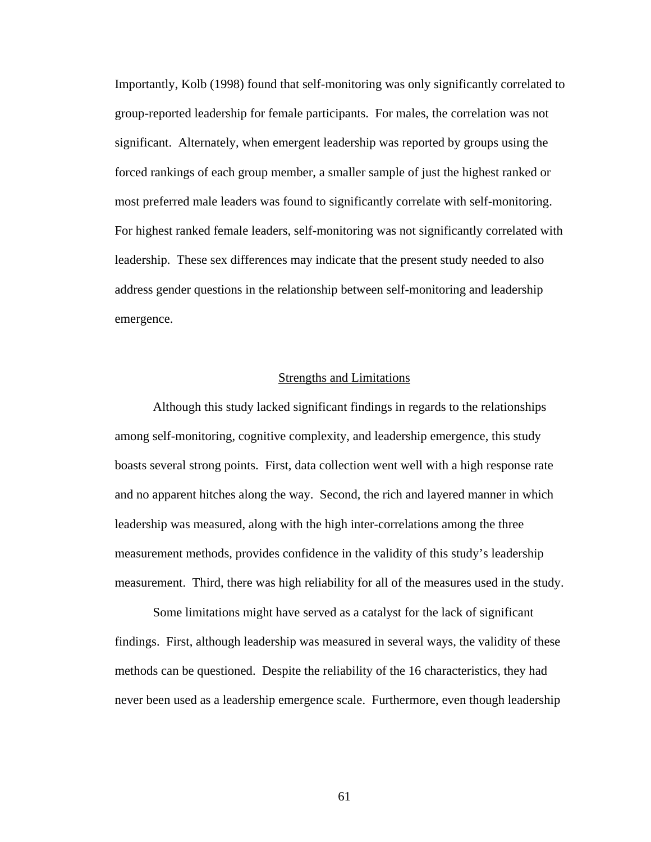Importantly, Kolb (1998) found that self-monitoring was only significantly correlated to group-reported leadership for female participants. For males, the correlation was not significant. Alternately, when emergent leadership was reported by groups using the forced rankings of each group member, a smaller sample of just the highest ranked or most preferred male leaders was found to significantly correlate with self-monitoring. For highest ranked female leaders, self-monitoring was not significantly correlated with leadership. These sex differences may indicate that the present study needed to also address gender questions in the relationship between self-monitoring and leadership emergence.

#### Strengths and Limitations

Although this study lacked significant findings in regards to the relationships among self-monitoring, cognitive complexity, and leadership emergence, this study boasts several strong points. First, data collection went well with a high response rate and no apparent hitches along the way. Second, the rich and layered manner in which leadership was measured, along with the high inter-correlations among the three measurement methods, provides confidence in the validity of this study's leadership measurement. Third, there was high reliability for all of the measures used in the study.

Some limitations might have served as a catalyst for the lack of significant findings. First, although leadership was measured in several ways, the validity of these methods can be questioned. Despite the reliability of the 16 characteristics, they had never been used as a leadership emergence scale. Furthermore, even though leadership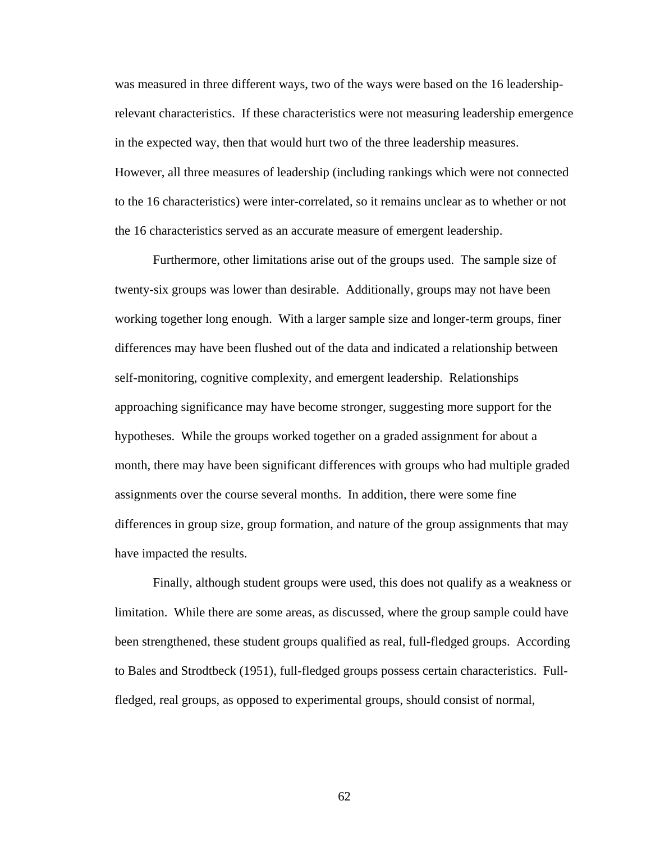was measured in three different ways, two of the ways were based on the 16 leadershiprelevant characteristics. If these characteristics were not measuring leadership emergence in the expected way, then that would hurt two of the three leadership measures. However, all three measures of leadership (including rankings which were not connected to the 16 characteristics) were inter-correlated, so it remains unclear as to whether or not the 16 characteristics served as an accurate measure of emergent leadership.

Furthermore, other limitations arise out of the groups used. The sample size of twenty-six groups was lower than desirable. Additionally, groups may not have been working together long enough. With a larger sample size and longer-term groups, finer differences may have been flushed out of the data and indicated a relationship between self-monitoring, cognitive complexity, and emergent leadership. Relationships approaching significance may have become stronger, suggesting more support for the hypotheses. While the groups worked together on a graded assignment for about a month, there may have been significant differences with groups who had multiple graded assignments over the course several months. In addition, there were some fine differences in group size, group formation, and nature of the group assignments that may have impacted the results.

Finally, although student groups were used, this does not qualify as a weakness or limitation. While there are some areas, as discussed, where the group sample could have been strengthened, these student groups qualified as real, full-fledged groups. According to Bales and Strodtbeck (1951), full-fledged groups possess certain characteristics. Fullfledged, real groups, as opposed to experimental groups, should consist of normal,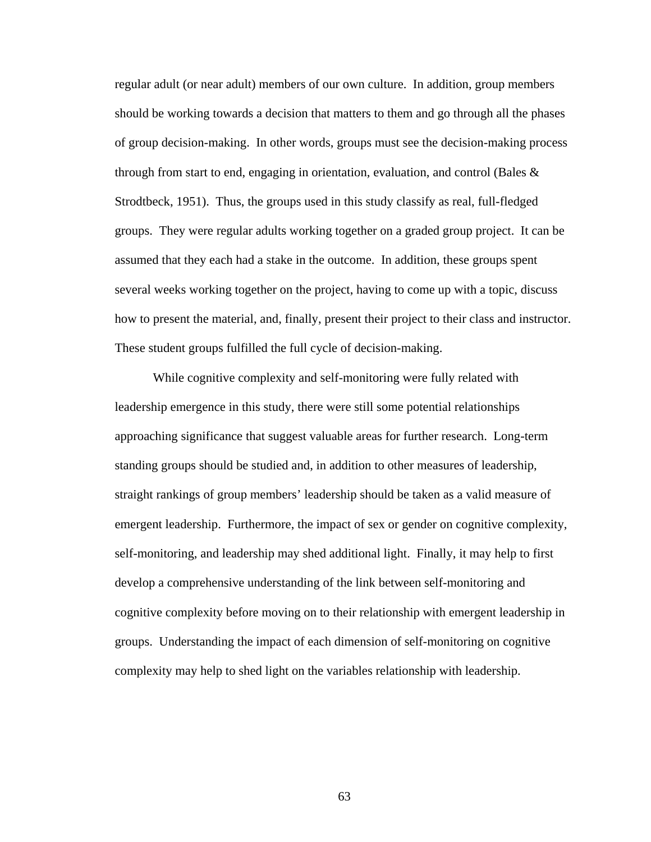regular adult (or near adult) members of our own culture. In addition, group members should be working towards a decision that matters to them and go through all the phases of group decision-making. In other words, groups must see the decision-making process through from start to end, engaging in orientation, evaluation, and control (Bales & Strodtbeck, 1951). Thus, the groups used in this study classify as real, full-fledged groups. They were regular adults working together on a graded group project. It can be assumed that they each had a stake in the outcome. In addition, these groups spent several weeks working together on the project, having to come up with a topic, discuss how to present the material, and, finally, present their project to their class and instructor. These student groups fulfilled the full cycle of decision-making.

While cognitive complexity and self-monitoring were fully related with leadership emergence in this study, there were still some potential relationships approaching significance that suggest valuable areas for further research. Long-term standing groups should be studied and, in addition to other measures of leadership, straight rankings of group members' leadership should be taken as a valid measure of emergent leadership. Furthermore, the impact of sex or gender on cognitive complexity, self-monitoring, and leadership may shed additional light. Finally, it may help to first develop a comprehensive understanding of the link between self-monitoring and cognitive complexity before moving on to their relationship with emergent leadership in groups. Understanding the impact of each dimension of self-monitoring on cognitive complexity may help to shed light on the variables relationship with leadership.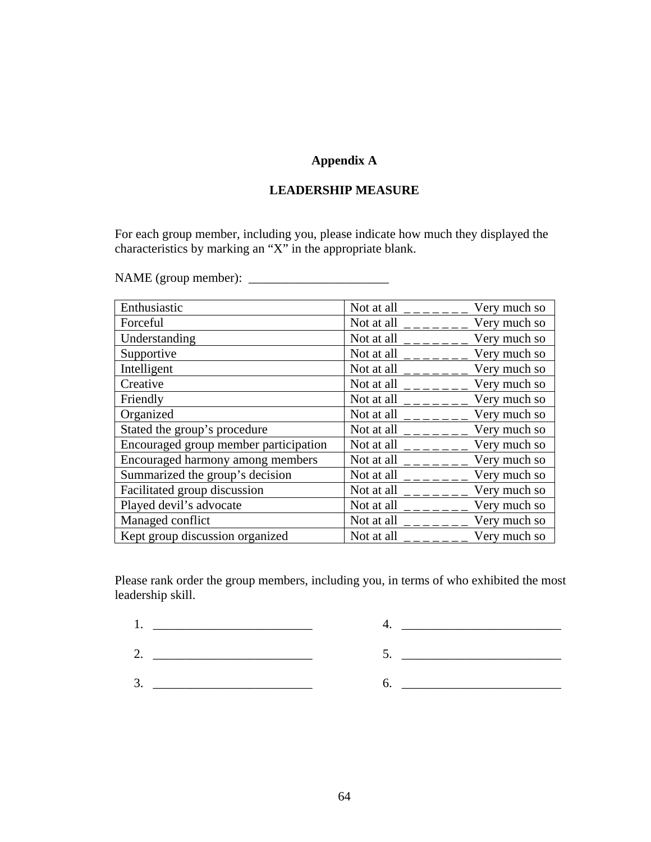# **Appendix A**

## **LEADERSHIP MEASURE**

For each group member, including you, please indicate how much they displayed the characteristics by marking an "X" in the appropriate blank.

NAME (group member): \_\_\_\_\_\_\_\_\_\_\_\_\_\_\_\_\_\_\_\_\_\_

| Enthusiastic                          | Not at all $\angle$ $\angle$ $\angle$ $\angle$ $\angle$ $\angle$                                                                                                                                                                                                                                                                      | Very much so |
|---------------------------------------|---------------------------------------------------------------------------------------------------------------------------------------------------------------------------------------------------------------------------------------------------------------------------------------------------------------------------------------|--------------|
| Forceful                              | Not at all                                                                                                                                                                                                                                                                                                                            | Very much so |
| Understanding                         | Not at all $\Big $ $\Big $ $\Big $ $\Big $ $\Big $ $\Big $ $\Big $ $\Big $ $\Big $ $\Big $ $\Big $ $\Big $ $\Big $ $\Big $ $\Big $ $\Big $ $\Big $ $\Big $ $\Big $ $\Big $ $\Big $ $\Big $ $\Big $ $\Big $ $\Big $ $\Big $ $\Big $ $\Big $ $\Big $ $\Big $ $\Big $ $\Big $ $\Big $ $\Big $ $\Big $                                    | Very much so |
| Supportive                            | Not at all $\qquad$ $\qquad$ $\qquad$ $\qquad$ $\qquad$ $\qquad$ $\qquad$ $\qquad$ $\qquad$ $\qquad$ $\qquad$ $\qquad$ $\qquad$ $\qquad$ $\qquad$ $\qquad$ $\qquad$ $\qquad$ $\qquad$ $\qquad$ $\qquad$ $\qquad$ $\qquad$ $\qquad$ $\qquad$ $\qquad$ $\qquad$ $\qquad$ $\qquad$ $\qquad$ $\qquad$ $\qquad$ $\qquad$ $\qquad$ $\qquad$ | Very much so |
| Intelligent                           | Not at all $\frac{1}{2}$ = $\frac{1}{2}$ = $\frac{1}{2}$                                                                                                                                                                                                                                                                              | Very much so |
| Creative                              | Not at all $\angle$ $\angle$ $\angle$ $\angle$ $\angle$ $\angle$                                                                                                                                                                                                                                                                      | Very much so |
| Friendly                              | Not at all $\qquad$ $_{---}$                                                                                                                                                                                                                                                                                                          | Very much so |
| Organized                             | Not at all $\frac{1}{2}$ - - - - - -                                                                                                                                                                                                                                                                                                  | Very much so |
| Stated the group's procedure          | Not at all $\frac{1}{2}$ - $\frac{1}{2}$ - $\frac{1}{2}$                                                                                                                                                                                                                                                                              | Very much so |
| Encouraged group member participation | Not at all $\frac{1}{2}$ = $\frac{1}{2}$ = $\frac{1}{2}$                                                                                                                                                                                                                                                                              | Very much so |
| Encouraged harmony among members      |                                                                                                                                                                                                                                                                                                                                       | Very much so |
| Summarized the group's decision       | Not at all $\frac{1}{2}$ - - - - - - -                                                                                                                                                                                                                                                                                                | Very much so |
| Facilitated group discussion          |                                                                                                                                                                                                                                                                                                                                       | Very much so |
| Played devil's advocate               |                                                                                                                                                                                                                                                                                                                                       |              |
| Managed conflict                      | Not at all $\frac{1}{2}$ $\frac{1}{2}$ $\frac{1}{2}$ $\frac{1}{2}$                                                                                                                                                                                                                                                                    | Very much so |
| Kept group discussion organized       | Not at all $\bar{z}$                                                                                                                                                                                                                                                                                                                  | Very much so |

Please rank order the group members, including you, in terms of who exhibited the most leadership skill.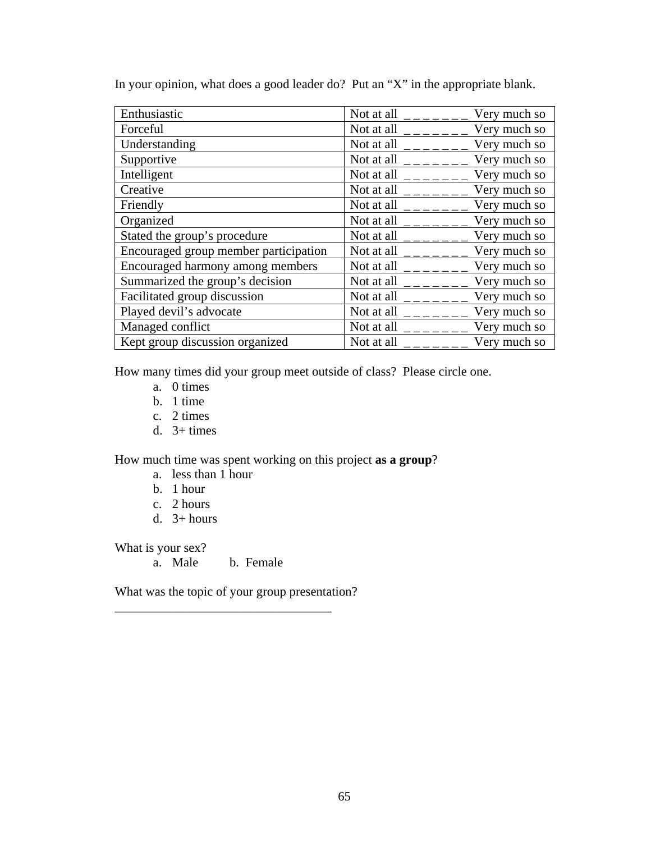| Enthusiastic                          | Not at all $\frac{\ }{2}$ - $\frac{\ }{2}$ - $\frac{\ }{2}$                                                                                                                                                                                                                                                                           | Very much so |
|---------------------------------------|---------------------------------------------------------------------------------------------------------------------------------------------------------------------------------------------------------------------------------------------------------------------------------------------------------------------------------------|--------------|
| Forceful                              |                                                                                                                                                                                                                                                                                                                                       | Very much so |
| Understanding                         |                                                                                                                                                                                                                                                                                                                                       | Very much so |
| Supportive                            | Not at all $\frac{\ }{2}$ - $\frac{\ }{2}$ - $\frac{\ }{2}$                                                                                                                                                                                                                                                                           | Very much so |
| Intelligent                           | Not at all $\frac{1}{1}$ $\frac{1}{1}$                                                                                                                                                                                                                                                                                                | Very much so |
| Creative                              |                                                                                                                                                                                                                                                                                                                                       | Very much so |
| Friendly                              | Not at all $\frac{\ }{2}$ - $\frac{\ }{2}$ - $\frac{\ }{2}$                                                                                                                                                                                                                                                                           | Very much so |
| Organized                             | Not at all $\frac{1}{2}$ - $\frac{1}{2}$ - $\frac{1}{2}$                                                                                                                                                                                                                                                                              | Very much so |
| Stated the group's procedure          |                                                                                                                                                                                                                                                                                                                                       | Very much so |
| Encouraged group member participation | Not at all $\frac{1}{2}$ = $\frac{1}{2}$ = $\frac{1}{2}$ = $\frac{1}{2}$                                                                                                                                                                                                                                                              | Very much so |
| Encouraged harmony among members      | Not at all $\frac{1}{2}$ - $\frac{1}{2}$ - $\frac{1}{2}$                                                                                                                                                                                                                                                                              | Very much so |
| Summarized the group's decision       |                                                                                                                                                                                                                                                                                                                                       | Very much so |
| Facilitated group discussion          | Not at all $\frac{1}{2}$ $\frac{1}{2}$ $\frac{1}{2}$ $\frac{1}{2}$                                                                                                                                                                                                                                                                    | Very much so |
| Played devil's advocate               | Not at all $\frac{1}{2}$ - $\frac{1}{2}$ - $\frac{1}{2}$ - $\frac{1}{2}$                                                                                                                                                                                                                                                              | Very much so |
| Managed conflict                      | Not at all $\qquad$ $\qquad$ $\qquad$ $\qquad$ $\qquad$ $\qquad$ $\qquad$ $\qquad$ $\qquad$ $\qquad$ $\qquad$ $\qquad$ $\qquad$ $\qquad$ $\qquad$ $\qquad$ $\qquad$ $\qquad$ $\qquad$ $\qquad$ $\qquad$ $\qquad$ $\qquad$ $\qquad$ $\qquad$ $\qquad$ $\qquad$ $\qquad$ $\qquad$ $\qquad$ $\qquad$ $\qquad$ $\qquad$ $\qquad$ $\qquad$ | Very much so |
| Kept group discussion organized       | Not at all $\qquad$                                                                                                                                                                                                                                                                                                                   | Very much so |

In your opinion, what does a good leader do? Put an "X" in the appropriate blank.

How many times did your group meet outside of class? Please circle one.

- a. 0 times
- b. 1 time
- c. 2 times
- d.  $3+ \text{times}$

How much time was spent working on this project **as a group**?

- a. less than 1 hour
- b. 1 hour
- c. 2 hours
- d.  $3+ hours$

What is your sex?

a. Male b. Female

\_\_\_\_\_\_\_\_\_\_\_\_\_\_\_\_\_\_\_\_\_\_\_\_\_\_\_\_\_\_\_\_\_\_

What was the topic of your group presentation?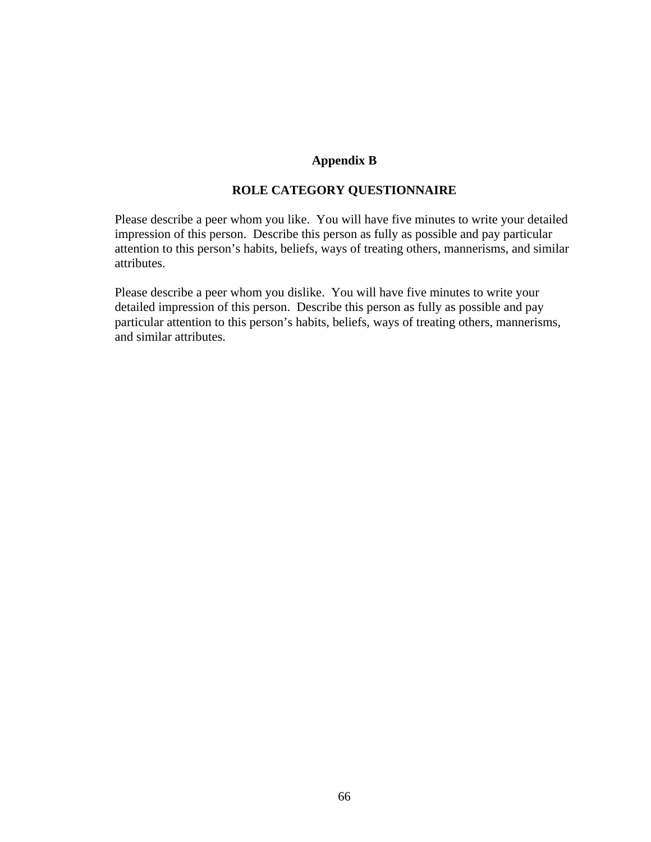## **Appendix B**

# **ROLE CATEGORY QUESTIONNAIRE**

Please describe a peer whom you like. You will have five minutes to write your detailed impression of this person. Describe this person as fully as possible and pay particular attention to this person's habits, beliefs, ways of treating others, mannerisms, and similar attributes.

Please describe a peer whom you dislike. You will have five minutes to write your detailed impression of this person. Describe this person as fully as possible and pay particular attention to this person's habits, beliefs, ways of treating others, mannerisms, and similar attributes.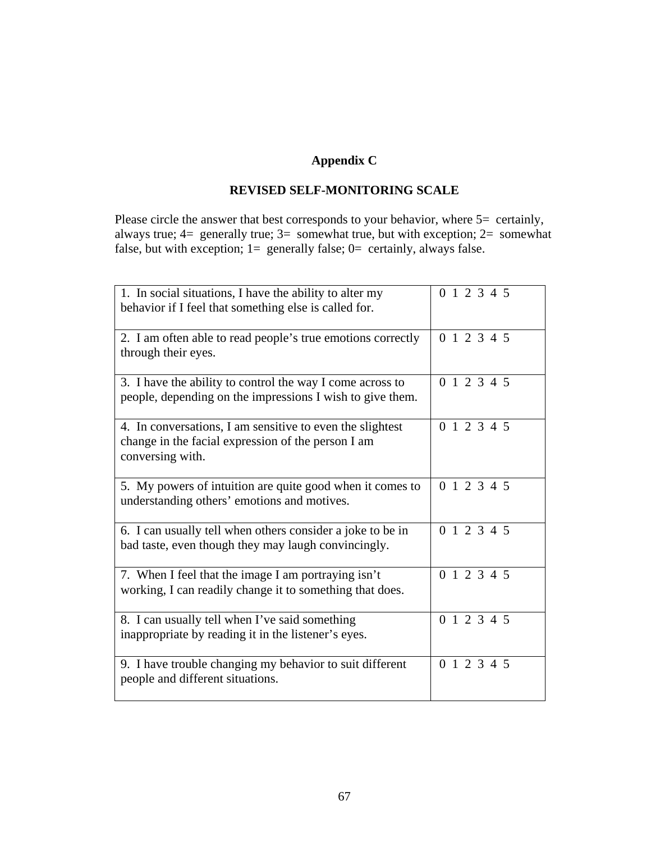# **Appendix C**

## **REVISED SELF-MONITORING SCALE**

Please circle the answer that best corresponds to your behavior, where 5= certainly, always true; 4= generally true; 3= somewhat true, but with exception; 2= somewhat false, but with exception;  $1=$  generally false;  $0=$  certainly, always false.

| 1. In social situations, I have the ability to alter my<br>behavior if I feel that something else is called for.                    | 0 1 2 3 4 5 |
|-------------------------------------------------------------------------------------------------------------------------------------|-------------|
| 2. I am often able to read people's true emotions correctly<br>through their eyes.                                                  | 0 1 2 3 4 5 |
| 3. I have the ability to control the way I come across to<br>people, depending on the impressions I wish to give them.              | 0 1 2 3 4 5 |
| 4. In conversations, I am sensitive to even the slightest<br>change in the facial expression of the person I am<br>conversing with. | 0 1 2 3 4 5 |
| 5. My powers of intuition are quite good when it comes to<br>understanding others' emotions and motives.                            | 0 1 2 3 4 5 |
| 6. I can usually tell when others consider a joke to be in<br>bad taste, even though they may laugh convincingly.                   | 0 1 2 3 4 5 |
| 7. When I feel that the image I am portraying isn't<br>working, I can readily change it to something that does.                     | 0 1 2 3 4 5 |
| 8. I can usually tell when I've said something<br>inappropriate by reading it in the listener's eyes.                               | 0 1 2 3 4 5 |
| 9. I have trouble changing my behavior to suit different<br>people and different situations.                                        | 0 1 2 3 4 5 |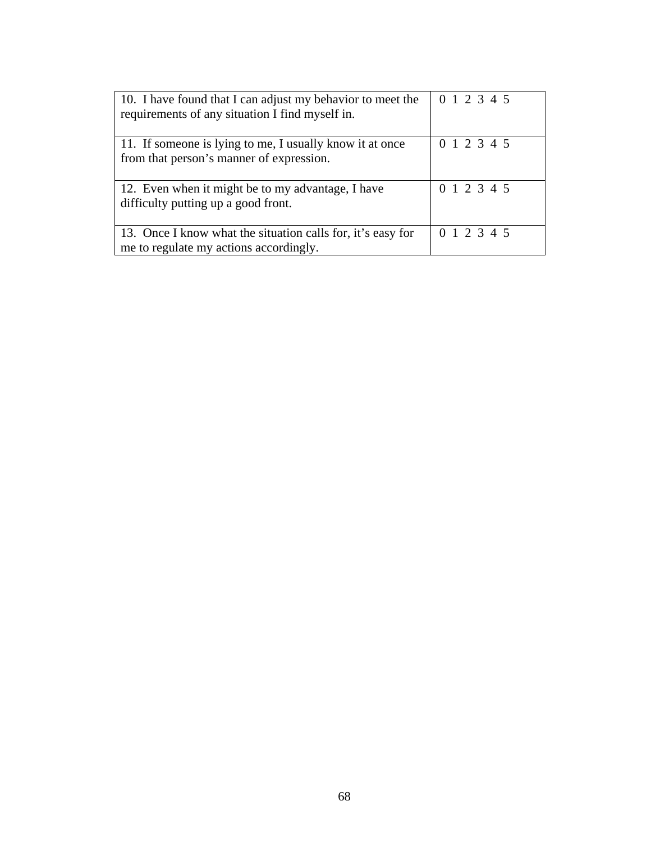| 10. I have found that I can adjust my behavior to meet the<br>requirements of any situation I find myself in. | 0 1 2 3 4 5 |
|---------------------------------------------------------------------------------------------------------------|-------------|
| 11. If someone is lying to me, I usually know it at once<br>from that person's manner of expression.          | 0 1 2 3 4 5 |
| 12. Even when it might be to my advantage, I have<br>difficulty putting up a good front.                      | 0 1 2 3 4 5 |
| 13. Once I know what the situation calls for, it's easy for<br>me to regulate my actions accordingly.         | 0 1 2 3 4 5 |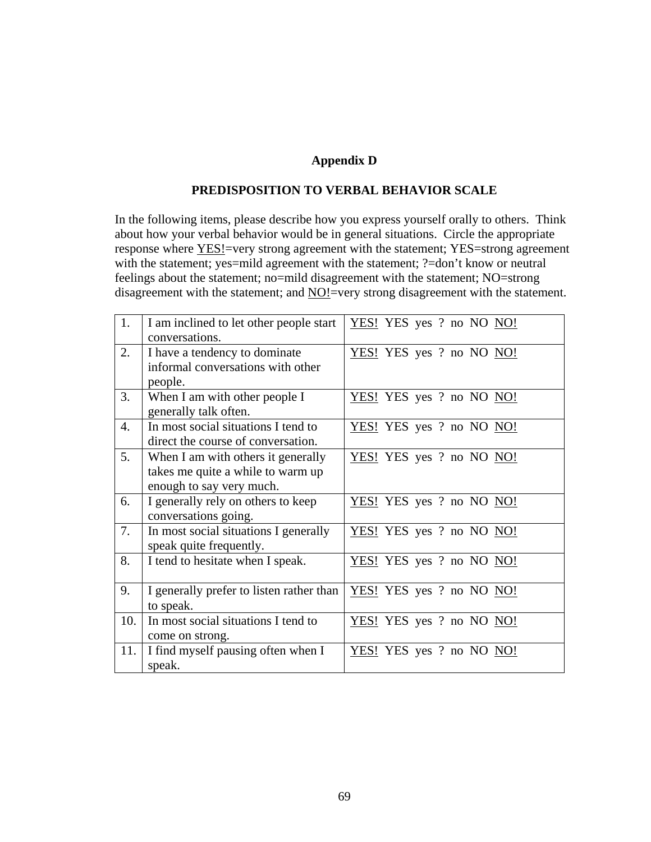# **Appendix D**

### **PREDISPOSITION TO VERBAL BEHAVIOR SCALE**

In the following items, please describe how you express yourself orally to others. Think about how your verbal behavior would be in general situations. Circle the appropriate response where YES!=very strong agreement with the statement; YES=strong agreement with the statement; yes=mild agreement with the statement; ?=don't know or neutral feelings about the statement; no=mild disagreement with the statement; NO=strong disagreement with the statement; and NO!=very strong disagreement with the statement.

| 1.  | I am inclined to let other people start  | YES! YES yes ? no NO NO! |
|-----|------------------------------------------|--------------------------|
|     | conversations.                           |                          |
| 2.  | I have a tendency to dominate            | YES! YES yes ? no NO NO! |
|     | informal conversations with other        |                          |
|     |                                          |                          |
|     | people.                                  |                          |
| 3.  | When I am with other people I            | YES! YES yes ? no NO NO! |
|     | generally talk often.                    |                          |
| 4.  | In most social situations I tend to      | YES! YES yes ? no NO NO! |
|     | direct the course of conversation.       |                          |
| 5.  | When I am with others it generally       | YES! YES yes ? no NO NO! |
|     |                                          |                          |
|     | takes me quite a while to warm up        |                          |
|     | enough to say very much.                 |                          |
| 6.  | I generally rely on others to keep       | YES! YES yes ? no NO NO! |
|     | conversations going.                     |                          |
| 7.  | In most social situations I generally    | YES! YES yes ? no NO NO! |
|     |                                          |                          |
|     | speak quite frequently.                  |                          |
| 8.  | I tend to hesitate when I speak.         | YES! YES yes ? no NO NO! |
|     |                                          |                          |
| 9.  | I generally prefer to listen rather than | YES! YES yes ? no NO NO! |
|     | to speak.                                |                          |
|     |                                          |                          |
| 10. | In most social situations I tend to      | YES! YES yes ? no NO NO! |
|     | come on strong.                          |                          |
| 11. | I find myself pausing often when I       | YES! YES yes ? no NO NO! |
|     |                                          |                          |
|     | speak.                                   |                          |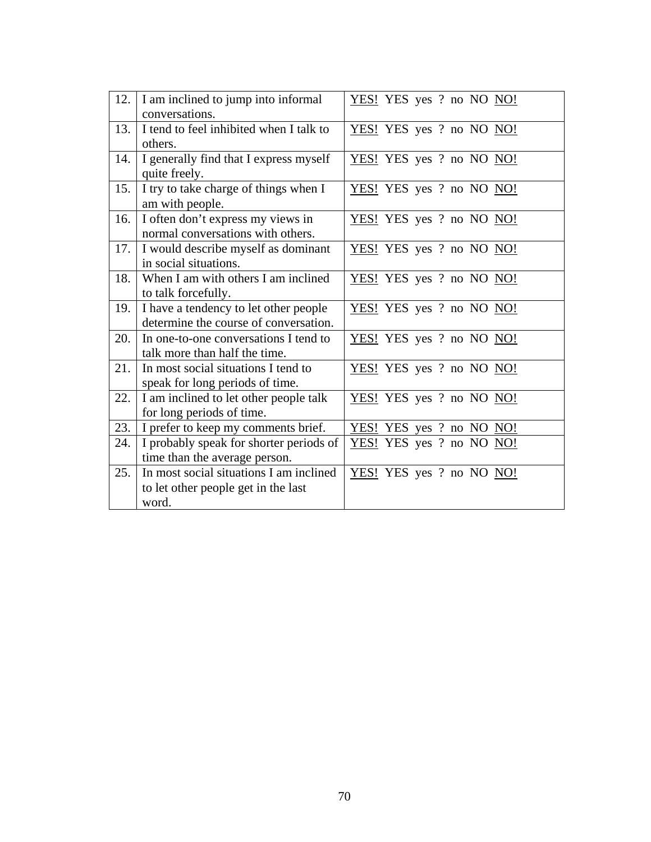| 12.  | I am inclined to jump into informal     | YES! YES yes ? no NO NO! |
|------|-----------------------------------------|--------------------------|
|      | conversations.                          |                          |
| 13.  | I tend to feel inhibited when I talk to | YES! YES yes ? no NO NO! |
|      | others.                                 |                          |
| 14.  | I generally find that I express myself  | YES! YES yes ? no NO NO! |
|      | quite freely.                           |                          |
| 15.  | I try to take charge of things when I   | YES! YES yes ? no NO NO! |
|      | am with people.                         |                          |
| 16.  | I often don't express my views in       | YES! YES yes ? no NO NO! |
|      | normal conversations with others.       |                          |
| 17.1 | I would describe myself as dominant     | YES! YES yes ? no NO NO! |
|      | in social situations.                   |                          |
| 18.  | When I am with others I am inclined     | YES! YES yes ? no NO NO! |
|      | to talk forcefully.                     |                          |
| 19.  | I have a tendency to let other people   | YES! YES yes ? no NO NO! |
|      | determine the course of conversation.   |                          |
| 20.  | In one-to-one conversations I tend to   | YES! YES yes ? no NO NO! |
|      | talk more than half the time.           |                          |
| 21.  | In most social situations I tend to     | YES! YES yes ? no NO NO! |
|      | speak for long periods of time.         |                          |
| 22.  | I am inclined to let other people talk  | YES! YES yes ? no NO NO! |
|      | for long periods of time.               |                          |
| 23.  | I prefer to keep my comments brief.     | YES! YES yes ? no NO NO! |
| 24.  | I probably speak for shorter periods of | YES! YES yes ? no NO NO! |
|      | time than the average person.           |                          |
| 25.  | In most social situations I am inclined | YES! YES yes ? no NO NO! |
|      | to let other people get in the last     |                          |
|      | word.                                   |                          |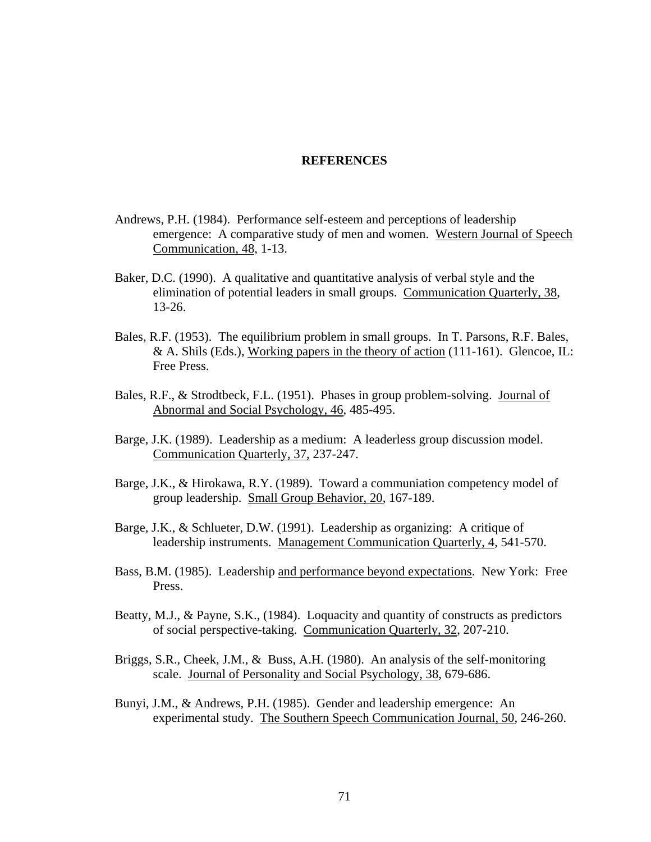#### **REFERENCES**

- Andrews, P.H. (1984). Performance self-esteem and perceptions of leadership emergence: A comparative study of men and women. Western Journal of Speech Communication, 48, 1-13.
- Baker, D.C. (1990). A qualitative and quantitative analysis of verbal style and the elimination of potential leaders in small groups. Communication Quarterly, 38, 13-26.
- Bales, R.F. (1953). The equilibrium problem in small groups. In T. Parsons, R.F. Bales,  $& A. Shils (Eds.), Working papers in the theory of action (111-161). Glencoe, IL:$ Free Press.
- Bales, R.F., & Strodtbeck, F.L. (1951). Phases in group problem-solving. Journal of Abnormal and Social Psychology, 46, 485-495.
- Barge, J.K. (1989). Leadership as a medium: A leaderless group discussion model. Communication Quarterly, 37, 237-247.
- Barge, J.K., & Hirokawa, R.Y. (1989). Toward a communiation competency model of group leadership. Small Group Behavior, 20, 167-189.
- Barge, J.K., & Schlueter, D.W. (1991). Leadership as organizing: A critique of leadership instruments. Management Communication Quarterly, 4, 541-570.
- Bass, B.M. (1985). Leadership and performance beyond expectations. New York: Free Press.
- Beatty, M.J., & Payne, S.K., (1984). Loquacity and quantity of constructs as predictors of social perspective-taking. Communication Quarterly, 32, 207-210.
- Briggs, S.R., Cheek, J.M., & Buss, A.H. (1980). An analysis of the self-monitoring scale. Journal of Personality and Social Psychology, 38, 679-686.
- Bunyi, J.M., & Andrews, P.H. (1985). Gender and leadership emergence: An experimental study. The Southern Speech Communication Journal, 50, 246-260.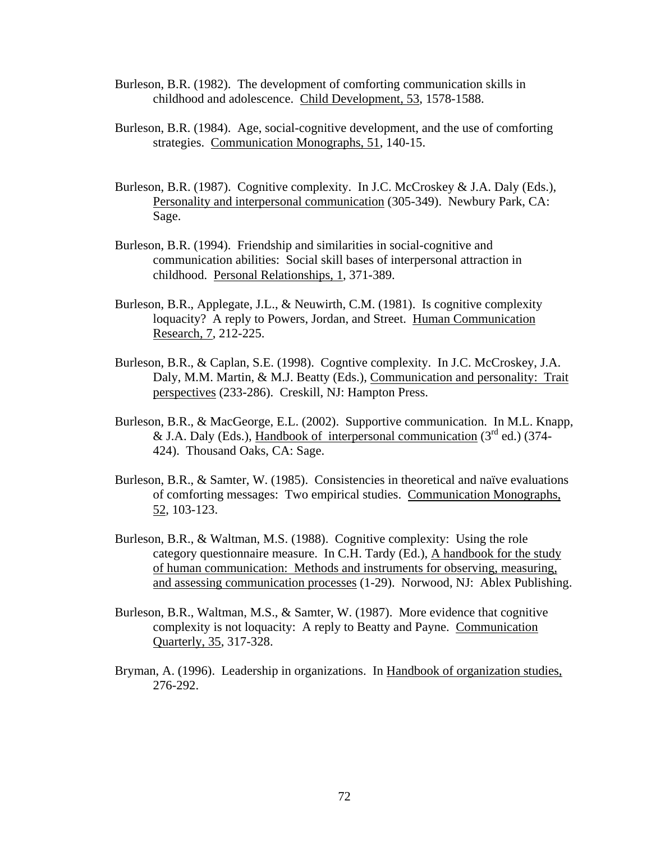- Burleson, B.R. (1982). The development of comforting communication skills in childhood and adolescence. Child Development, 53, 1578-1588.
- Burleson, B.R. (1984). Age, social-cognitive development, and the use of comforting strategies. Communication Monographs, 51, 140-15.
- Burleson, B.R. (1987). Cognitive complexity. In J.C. McCroskey & J.A. Daly (Eds.), Personality and interpersonal communication (305-349). Newbury Park, CA: Sage.
- Burleson, B.R. (1994). Friendship and similarities in social-cognitive and communication abilities: Social skill bases of interpersonal attraction in childhood. Personal Relationships, 1, 371-389.
- Burleson, B.R., Applegate, J.L., & Neuwirth, C.M. (1981). Is cognitive complexity loquacity? A reply to Powers, Jordan, and Street. Human Communication Research, 7, 212-225.
- Burleson, B.R., & Caplan, S.E. (1998). Cogntive complexity. In J.C. McCroskey, J.A. Daly, M.M. Martin, & M.J. Beatty (Eds.), Communication and personality: Trait perspectives (233-286). Creskill, NJ: Hampton Press.
- Burleson, B.R., & MacGeorge, E.L. (2002). Supportive communication. In M.L. Knapp, & J.A. Daly (Eds.), Handbook of interpersonal communication  $(3^{rd}$  ed.) (374-424). Thousand Oaks, CA: Sage.
- Burleson, B.R., & Samter, W. (1985). Consistencies in theoretical and naïve evaluations of comforting messages: Two empirical studies. Communication Monographs, 52, 103-123.
- Burleson, B.R., & Waltman, M.S. (1988). Cognitive complexity: Using the role category questionnaire measure. In C.H. Tardy (Ed.), A handbook for the study of human communication: Methods and instruments for observing, measuring, and assessing communication processes (1-29). Norwood, NJ: Ablex Publishing.
- Burleson, B.R., Waltman, M.S., & Samter, W. (1987). More evidence that cognitive complexity is not loquacity: A reply to Beatty and Payne. Communication Quarterly, 35, 317-328.
- Bryman, A. (1996). Leadership in organizations. In Handbook of organization studies, 276-292.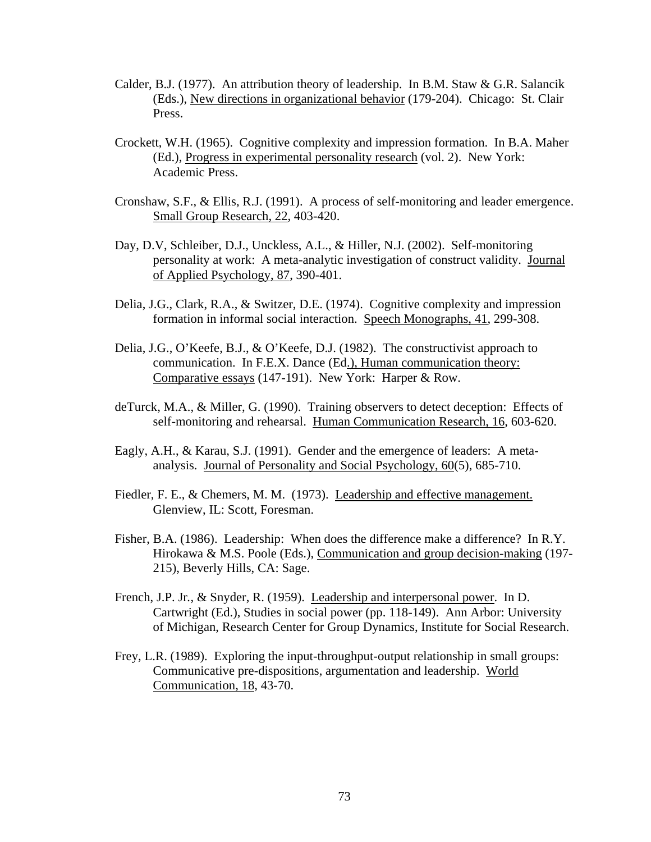- Calder, B.J. (1977). An attribution theory of leadership. In B.M. Staw & G.R. Salancik (Eds.), New directions in organizational behavior (179-204). Chicago: St. Clair Press.
- Crockett, W.H. (1965). Cognitive complexity and impression formation. In B.A. Maher (Ed.), Progress in experimental personality research (vol. 2). New York: Academic Press.
- Cronshaw, S.F., & Ellis, R.J. (1991). A process of self-monitoring and leader emergence. Small Group Research, 22, 403-420.
- Day, D.V, Schleiber, D.J., Unckless, A.L., & Hiller, N.J. (2002). Self-monitoring personality at work: A meta-analytic investigation of construct validity. Journal of Applied Psychology, 87, 390-401.
- Delia, J.G., Clark, R.A., & Switzer, D.E. (1974). Cognitive complexity and impression formation in informal social interaction. Speech Monographs, 41, 299-308.
- Delia, J.G., O'Keefe, B.J., & O'Keefe, D.J. (1982). The constructivist approach to communication. In F.E.X. Dance (Ed.), Human communication theory: Comparative essays (147-191). New York: Harper & Row.
- deTurck, M.A., & Miller, G. (1990). Training observers to detect deception: Effects of self-monitoring and rehearsal. Human Communication Research, 16, 603-620.
- Eagly, A.H., & Karau, S.J. (1991). Gender and the emergence of leaders: A metaanalysis. Journal of Personality and Social Psychology, 60(5), 685-710.
- Fiedler, F. E., & Chemers, M. M. (1973). Leadership and effective management. Glenview, IL: Scott, Foresman.
- Fisher, B.A. (1986). Leadership: When does the difference make a difference? In R.Y. Hirokawa & M.S. Poole (Eds.), Communication and group decision-making (197- 215), Beverly Hills, CA: Sage.
- French, J.P. Jr*.*, & Snyder, R. (1959). Leadership and interpersonal power. In D. Cartwright (Ed.), Studies in social power (pp. 118-149). Ann Arbor: University of Michigan, Research Center for Group Dynamics, Institute for Social Research.
- Frey, L.R. (1989). Exploring the input-throughput-output relationship in small groups: Communicative pre-dispositions, argumentation and leadership. World Communication, 18, 43-70.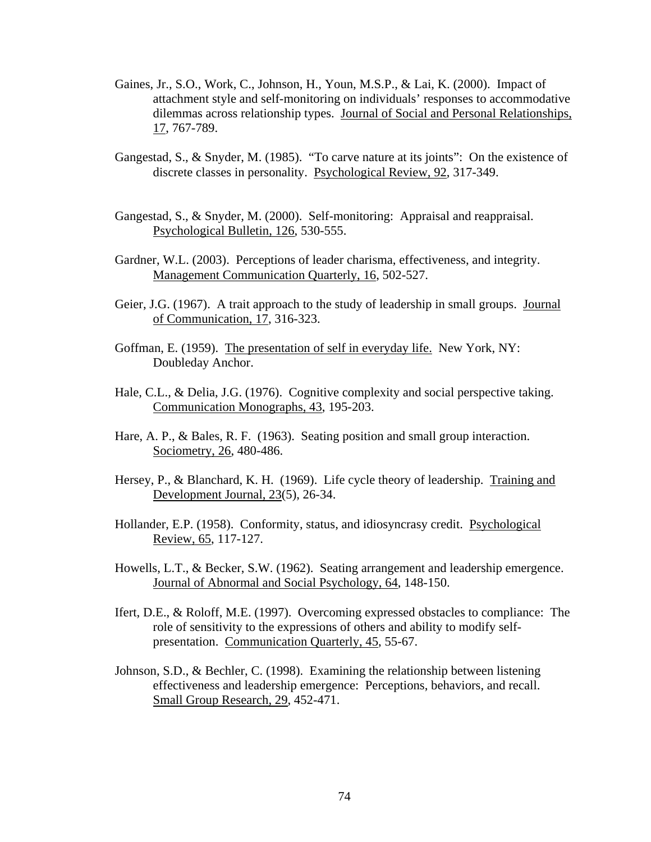- Gaines, Jr., S.O., Work, C., Johnson, H., Youn, M.S.P., & Lai, K. (2000). Impact of attachment style and self-monitoring on individuals' responses to accommodative dilemmas across relationship types. Journal of Social and Personal Relationships, 17, 767-789.
- Gangestad, S., & Snyder, M. (1985). "To carve nature at its joints": On the existence of discrete classes in personality. Psychological Review, 92, 317-349.
- Gangestad, S., & Snyder, M. (2000). Self-monitoring: Appraisal and reappraisal. Psychological Bulletin, 126, 530-555.
- Gardner, W.L. (2003). Perceptions of leader charisma, effectiveness, and integrity. Management Communication Quarterly, 16, 502-527.
- Geier, J.G. (1967). A trait approach to the study of leadership in small groups. Journal of Communication, 17, 316-323.
- Goffman, E. (1959). The presentation of self in everyday life. New York, NY: Doubleday Anchor.
- Hale, C.L., & Delia, J.G. (1976). Cognitive complexity and social perspective taking. Communication Monographs, 43, 195-203.
- Hare, A. P., & Bales, R. F. (1963). Seating position and small group interaction. Sociometry, 26, 480-486.
- Hersey, P., & Blanchard, K. H. (1969). Life cycle theory of leadership. Training and Development Journal, 23(5), 26-34.
- Hollander, E.P. (1958). Conformity, status, and idiosyncrasy credit. Psychological Review, 65, 117-127.
- Howells, L.T., & Becker, S.W. (1962). Seating arrangement and leadership emergence. Journal of Abnormal and Social Psychology, 64, 148-150.
- Ifert, D.E., & Roloff, M.E. (1997). Overcoming expressed obstacles to compliance: The role of sensitivity to the expressions of others and ability to modify selfpresentation. Communication Quarterly, 45, 55-67.
- Johnson, S.D., & Bechler, C. (1998). Examining the relationship between listening effectiveness and leadership emergence: Perceptions, behaviors, and recall. Small Group Research, 29, 452-471.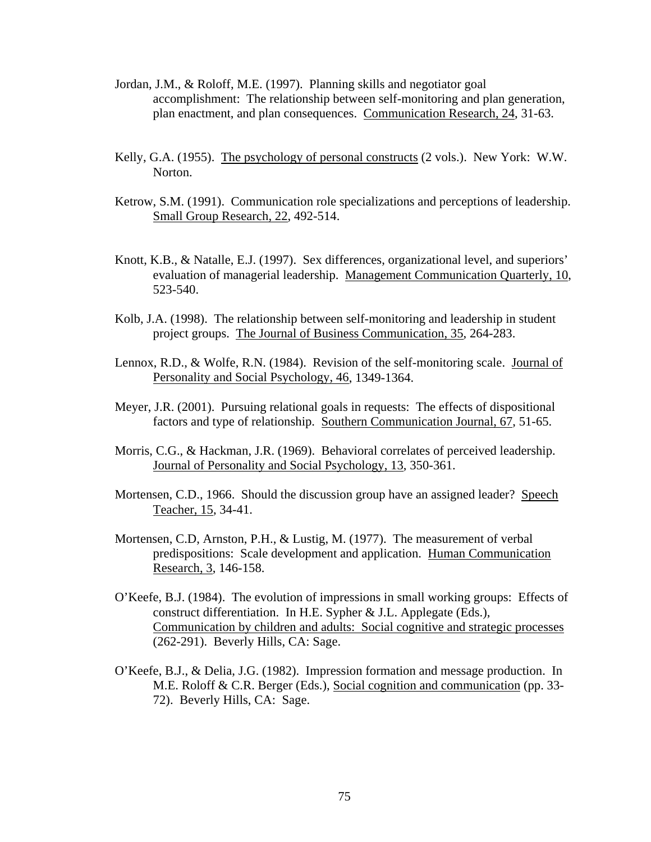- Jordan, J.M., & Roloff, M.E. (1997). Planning skills and negotiator goal accomplishment: The relationship between self-monitoring and plan generation, plan enactment, and plan consequences. Communication Research, 24, 31-63.
- Kelly, G.A. (1955). The psychology of personal constructs (2 vols.). New York: W.W. Norton.
- Ketrow, S.M. (1991). Communication role specializations and perceptions of leadership. Small Group Research, 22, 492-514.
- Knott, K.B., & Natalle, E.J. (1997). Sex differences, organizational level, and superiors' evaluation of managerial leadership. Management Communication Quarterly, 10, 523-540.
- Kolb, J.A. (1998). The relationship between self-monitoring and leadership in student project groups. The Journal of Business Communication, 35, 264-283.
- Lennox, R.D., & Wolfe, R.N. (1984). Revision of the self-monitoring scale. Journal of Personality and Social Psychology, 46, 1349-1364.
- Meyer, J.R. (2001). Pursuing relational goals in requests: The effects of dispositional factors and type of relationship. Southern Communication Journal, 67, 51-65.
- Morris, C.G., & Hackman, J.R. (1969). Behavioral correlates of perceived leadership. Journal of Personality and Social Psychology, 13, 350-361.
- Mortensen, C.D., 1966. Should the discussion group have an assigned leader? Speech Teacher, 15, 34-41.
- Mortensen, C.D, Arnston, P.H., & Lustig, M. (1977). The measurement of verbal predispositions: Scale development and application. Human Communication Research, 3, 146-158.
- O'Keefe, B.J. (1984). The evolution of impressions in small working groups: Effects of construct differentiation. In H.E. Sypher & J.L. Applegate (Eds.), Communication by children and adults: Social cognitive and strategic processes (262-291). Beverly Hills, CA: Sage.
- O'Keefe, B.J., & Delia, J.G. (1982). Impression formation and message production. In M.E. Roloff & C.R. Berger (Eds.), Social cognition and communication (pp. 33- 72). Beverly Hills, CA: Sage.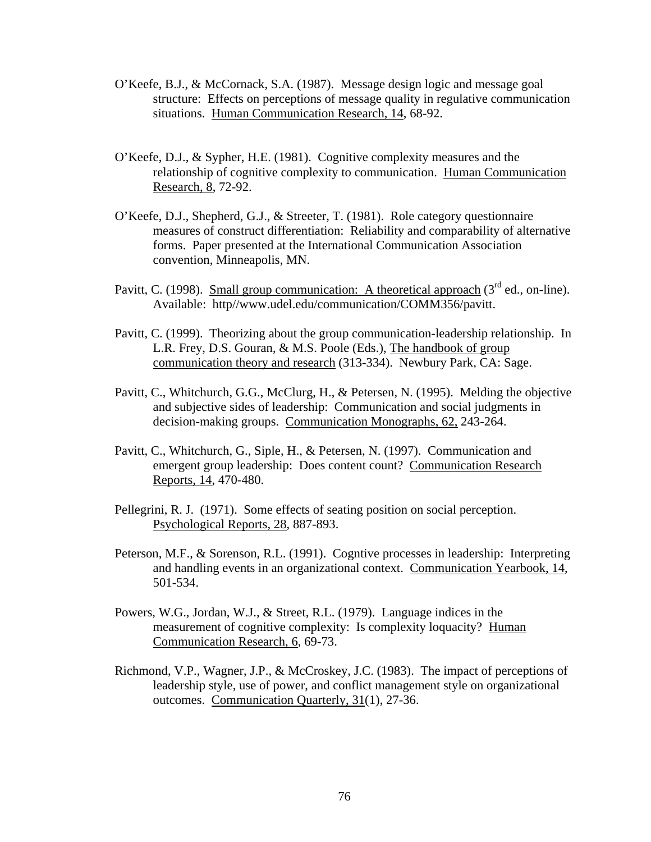- O'Keefe, B.J., & McCornack, S.A. (1987). Message design logic and message goal structure: Effects on perceptions of message quality in regulative communication situations. Human Communication Research, 14, 68-92.
- O'Keefe, D.J., & Sypher, H.E. (1981). Cognitive complexity measures and the relationship of cognitive complexity to communication. Human Communication Research, 8, 72-92.
- O'Keefe, D.J., Shepherd, G.J., & Streeter, T. (1981). Role category questionnaire measures of construct differentiation: Reliability and comparability of alternative forms. Paper presented at the International Communication Association convention, Minneapolis, MN.
- Pavitt, C. (1998). Small group communication: A theoretical approach  $(3<sup>rd</sup>$  ed., on-line). Available: http//www.udel.edu/communication/COMM356/pavitt.
- Pavitt, C. (1999). Theorizing about the group communication-leadership relationship. In L.R. Frey, D.S. Gouran, & M.S. Poole (Eds.), The handbook of group communication theory and research (313-334). Newbury Park, CA: Sage.
- Pavitt, C., Whitchurch, G.G., McClurg, H., & Petersen, N. (1995). Melding the objective and subjective sides of leadership: Communication and social judgments in decision-making groups. Communication Monographs, 62, 243-264.
- Pavitt, C., Whitchurch, G., Siple, H., & Petersen, N. (1997). Communication and emergent group leadership: Does content count? Communication Research Reports, 14, 470-480.
- Pellegrini, R. J. (1971). Some effects of seating position on social perception. Psychological Reports, 28, 887-893.
- Peterson, M.F., & Sorenson, R.L. (1991). Cogntive processes in leadership: Interpreting and handling events in an organizational context. Communication Yearbook, 14, 501-534.
- Powers, W.G., Jordan, W.J., & Street, R.L. (1979). Language indices in the measurement of cognitive complexity: Is complexity loquacity? Human Communication Research, 6, 69-73.
- Richmond, V.P., Wagner, J.P., & McCroskey, J.C. (1983). The impact of perceptions of leadership style, use of power, and conflict management style on organizational outcomes. Communication Quarterly, 31(1), 27-36.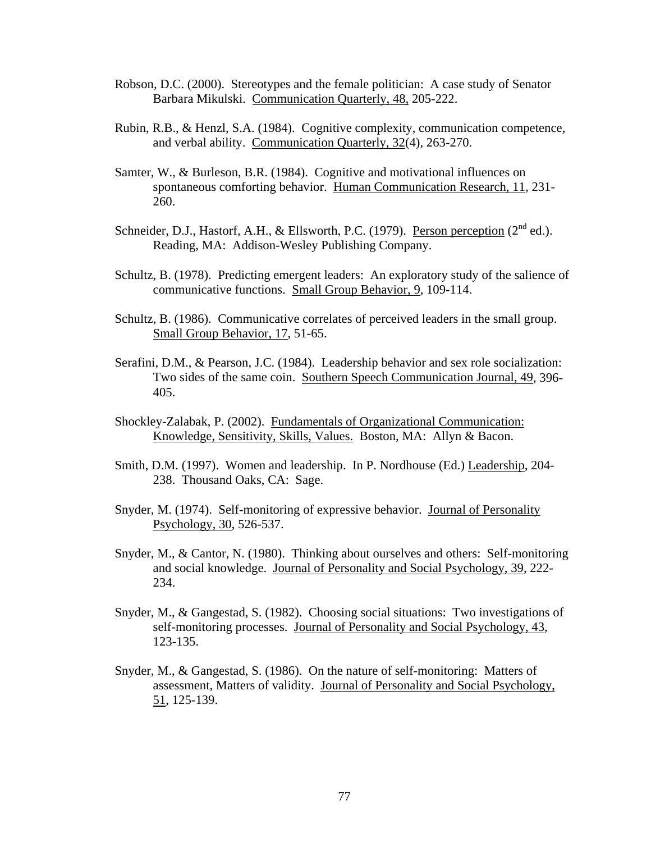- Robson, D.C. (2000). Stereotypes and the female politician: A case study of Senator Barbara Mikulski. Communication Quarterly, 48, 205-222.
- Rubin, R.B., & Henzl, S.A. (1984). Cognitive complexity, communication competence, and verbal ability. Communication Quarterly, 32(4), 263-270.
- Samter, W., & Burleson, B.R. (1984). Cognitive and motivational influences on spontaneous comforting behavior. Human Communication Research, 11, 231- 260.
- Schneider, D.J., Hastorf, A.H., & Ellsworth, P.C. (1979). Person perception  $(2^{nd}$  ed.). Reading, MA: Addison-Wesley Publishing Company.
- Schultz, B. (1978). Predicting emergent leaders: An exploratory study of the salience of communicative functions. Small Group Behavior, 9, 109-114.
- Schultz, B. (1986). Communicative correlates of perceived leaders in the small group. Small Group Behavior, 17, 51-65.
- Serafini, D.M., & Pearson, J.C. (1984). Leadership behavior and sex role socialization: Two sides of the same coin. Southern Speech Communication Journal, 49, 396- 405.
- Shockley-Zalabak, P. (2002). Fundamentals of Organizational Communication: Knowledge, Sensitivity, Skills, Values. Boston, MA: Allyn & Bacon.
- Smith, D.M. (1997). Women and leadership. In P. Nordhouse (Ed.) Leadership, 204- 238. Thousand Oaks, CA: Sage.
- Snyder, M. (1974). Self-monitoring of expressive behavior. Journal of Personality Psychology, 30, 526-537.
- Snyder, M., & Cantor, N. (1980). Thinking about ourselves and others: Self-monitoring and social knowledge. Journal of Personality and Social Psychology, 39, 222- 234.
- Snyder, M., & Gangestad, S. (1982). Choosing social situations: Two investigations of self-monitoring processes. Journal of Personality and Social Psychology, 43, 123-135.
- Snyder, M., & Gangestad, S. (1986). On the nature of self-monitoring: Matters of assessment, Matters of validity. Journal of Personality and Social Psychology, 51, 125-139.